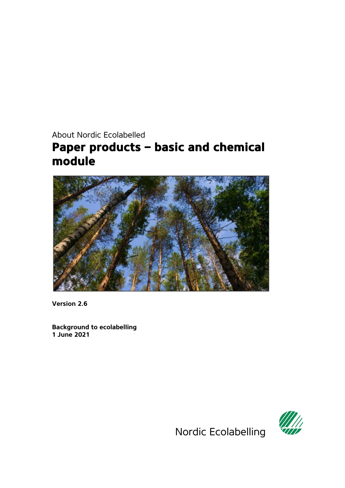# <span id="page-0-0"></span>About Nordic Ecolabelled **Paper products – basic and chemical module**



**Version 2.6**

**Background to ecolabelling 1 June 2021**



Nordic Ecolabelling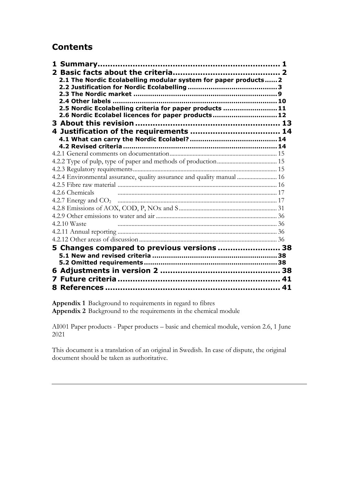# **Contents**

| 2.1 The Nordic Ecolabelling modular system for paper products 2         |  |
|-------------------------------------------------------------------------|--|
|                                                                         |  |
|                                                                         |  |
| 2.4 Other labels ……………………………………………………………………… 10                         |  |
| 2.5 Nordic Ecolabelling criteria for paper products 11                  |  |
| 2.6 Nordic Ecolabel licences for paper products12                       |  |
|                                                                         |  |
|                                                                         |  |
|                                                                         |  |
|                                                                         |  |
|                                                                         |  |
|                                                                         |  |
|                                                                         |  |
| 4.2.4 Environmental assurance, quality assurance and quality manual  16 |  |
|                                                                         |  |
| 4.2.6 Chemicals                                                         |  |
|                                                                         |  |
|                                                                         |  |
|                                                                         |  |
| 4.2.10 Waste                                                            |  |
|                                                                         |  |
|                                                                         |  |
| 5 Changes compared to previous versions  38                             |  |
|                                                                         |  |
|                                                                         |  |
|                                                                         |  |
|                                                                         |  |
|                                                                         |  |
|                                                                         |  |

**Appendix 1** [Background to requirements in regard to fibres](#page-44-0) **Appendix 2** [Background to the requirements in the chemical module](#page-59-0)

<span id="page-1-1"></span><span id="page-1-0"></span>AI001 Paper products - Paper products – basic [and chemical module,](#page-0-0) version 2.6, 1 June 2021

This document is a translation of an original in Swedish. In case of dispute, the original document should be taken as authoritative.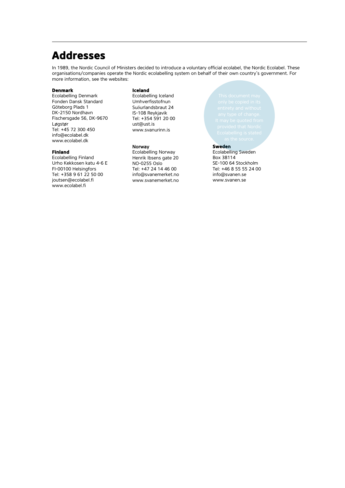# **Addresses**

In 1989, the Nordic Council of Ministers decided to introduce a voluntary official ecolabel, the Nordic Ecolabel. These organisations/companies operate the Nordic ecolabelling system on behalf of their own country's government. For more information, see the websites:

#### **Denmark**

Ecolabelling Denmark Fonden Dansk Standard Göteborg Plads 1 DK-2150 Nordhavn Fischersgade 56, DK-9670 Løgstør Tel: +45 72 300 450 info@ecolabel.dk www.ecolabel.dk

#### **Finland**

Ecolabelling Finland Urho Kekkosen katu 4-6 E FI-00100 Helsingfors Tel: +358 9 61 22 50 00 joutsen@ecolabel.fi www.ecolabel.fi

#### **Iceland**

Ecolabelling Iceland Umhverfisstofnun Suδurlandsbraut 24 IS-108 Reykjavik Tel: +354 591 20 00 ust@ust.is [www.svanurinn.is](http://www.svanurinn.is/)

#### Norway

Ecolabelling Norway Henrik Ibsens gate 20 NO-0255 Oslo Tel: +47 24 14 46 00 info@svanemerket.no www.svanemerket.no

#### **Sweden**

Ecolabelling Sweden Box 38114 SE-100 64 Stockholm Tel: +46 8 55 55 24 00 info@svanen.se www.svanen.se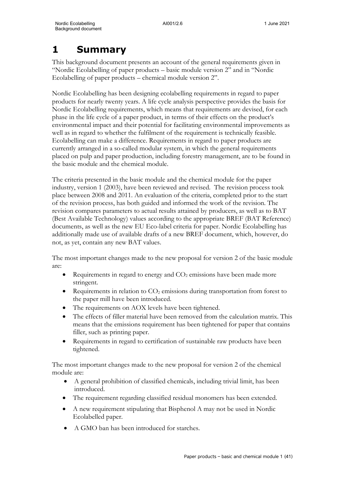# **1 Summary**

This background document presents an account of the general requirements given in "Nordic Ecolabelling of paper products – basic module version 2" and in "Nordic Ecolabelling of paper products – chemical module version 2".

Nordic Ecolabelling has been designing ecolabelling requirements in regard to paper products for nearly twenty years. A life cycle analysis perspective provides the basis for Nordic Ecolabelling requirements, which means that requirements are devised, for each phase in the life cycle of a paper product, in terms of their effects on the product's environmental impact and their potential for facilitating environmental improvements as well as in regard to whether the fulfilment of the requirement is technically feasible. Ecolabelling can make a difference. Requirements in regard to paper products are currently arranged in a so-called modular system, in which the general requirements placed on pulp and paper production, including forestry management, are to be found in the basic module and the chemical module.

The criteria presented in the basic module and the chemical module for the paper industry, version 1 (2003), have been reviewed and revised. The revision process took place between 2008 and 2011. An evaluation of the criteria, completed prior to the start of the revision process, has both guided and informed the work of the revision. The revision compares parameters to actual results attained by producers, as well as to BAT (Best Available Technology) values according to the appropriate BREF (BAT Reference) documents, as well as the new EU Eco-label criteria for paper. Nordic Ecolabelling has additionally made use of available drafts of a new BREF document, which, however, do not, as yet, contain any new BAT values.

The most important changes made to the new proposal for version 2 of the basic module are:

- Requirements in regard to energy and  $CO<sub>2</sub>$  emissions have been made more stringent.
- Requirements in relation to  $CO<sub>2</sub>$  emissions during transportation from forest to the paper mill have been introduced.
- The requirements on AOX levels have been tightened.
- The effects of filler material have been removed from the calculation matrix. This means that the emissions requirement has been tightened for paper that contains filler, such as printing paper.
- Requirements in regard to certification of sustainable raw products have been tightened.

The most important changes made to the new proposal for version 2 of the chemical module are:

- A general prohibition of classified chemicals, including trivial limit, has been introduced.
- The requirement regarding classified residual monomers has been extended.
- A new requirement stipulating that Bisphenol A may not be used in Nordic Ecolabelled paper.
- A GMO ban has been introduced for starches.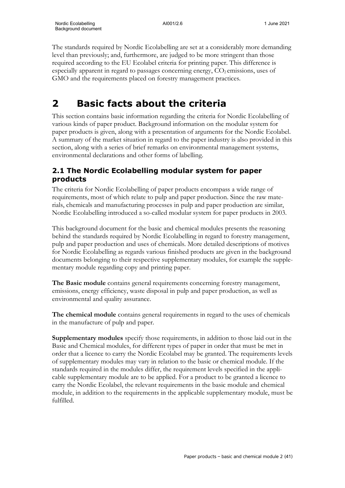The standards required by Nordic Ecolabelling are set at a considerably more demanding level than previously; and, furthermore, are judged to be more stringent than those required according to the EU Ecolabel criteria for printing paper. This difference is especially apparent in regard to passages concerning energy,  $CO<sub>2</sub>$  emissions, uses of GMO and the requirements placed on forestry management practices.

# **2 Basic facts about the criteria**

This section contains basic information regarding the criteria for Nordic Ecolabelling of various kinds of paper product. Background information on the modular system for paper products is given, along with a presentation of arguments for the Nordic Ecolabel. A summary of the market situation in regard to the paper industry is also provided in this section, along with a series of brief remarks on environmental management systems, environmental declarations and other forms of labelling.

# **2.1 The Nordic Ecolabelling modular system for paper products**

The criteria for Nordic Ecolabelling of paper products encompass a wide range of requirements, most of which relate to pulp and paper production. Since the raw materials, chemicals and manufacturing processes in pulp and paper production are similar, Nordic Ecolabelling introduced a so-called modular system for paper products in 2003.

This background document for the basic and chemical modules presents the reasoning behind the standards required by Nordic Ecolabelling in regard to forestry management, pulp and paper production and uses of chemicals. More detailed descriptions of motives for Nordic Ecolabelling as regards various finished products are given in the background documents belonging to their respective supplementary modules, for example the supplementary module regarding copy and printing paper.

**The Basic module** contains general requirements concerning forestry management, emissions, energy efficiency, waste disposal in pulp and paper production, as well as environmental and quality assurance.

**The chemical module** contains general requirements in regard to the uses of chemicals in the manufacture of pulp and paper.

**Supplementary modules** specify those requirements, in addition to those laid out in the Basic and Chemical modules, for different types of paper in order that must be met in order that a licence to carry the Nordic Ecolabel may be granted. The requirements levels of supplementary modules may vary in relation to the basic or chemical module. If the standards required in the modules differ, the requirement levels specified in the applicable supplementary module are to be applied. For a product to be granted a licence to carry the Nordic Ecolabel, the relevant requirements in the basic module and chemical module, in addition to the requirements in the applicable supplementary module, must be fulfilled.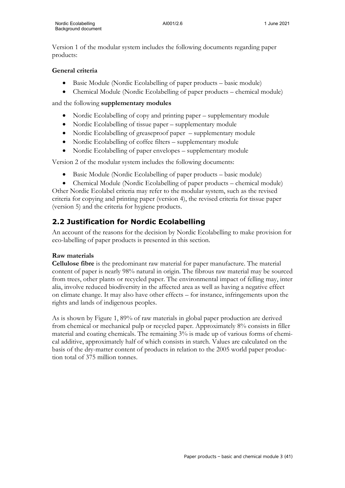Version 1 of the modular system includes the following documents regarding paper products:

# **General criteria**

- Basic Module (Nordic Ecolabelling of paper products basic module)
- Chemical Module (Nordic Ecolabelling of paper products chemical module)

and the following **supplementary modules**

- Nordic Ecolabelling of copy and printing paper supplementary module
- Nordic Ecolabelling of tissue paper supplementary module
- Nordic Ecolabelling of greaseproof paper supplementary module
- Nordic Ecolabelling of coffee filters supplementary module
- Nordic Ecolabelling of paper envelopes supplementary module

Version 2 of the modular system includes the following documents:

- Basic Module (Nordic Ecolabelling of paper products basic module)
- Chemical Module (Nordic Ecolabelling of paper products chemical module)

Other Nordic Ecolabel criteria may refer to the modular system, such as the revised criteria for copying and printing paper (version 4), the revised criteria for tissue paper (version 5) and the criteria for hygiene products.

# **2.2 Justification for Nordic Ecolabelling**

An account of the reasons for the decision by Nordic Ecolabelling to make provision for eco-labelling of paper products is presented in this section.

# **Raw materials**

**Cellulose fibre** is the predominant raw material for paper manufacture. The material content of paper is nearly 98% natural in origin. The fibrous raw material may be sourced from trees, other plants or recycled paper. The environmental impact of felling may, inter alia, involve reduced biodiversity in the affected area as well as having a negative effect on climate change. It may also have other effects – for instance, infringements upon the rights and lands of indigenous peoples.

As is shown by Figure 1, 89% of raw materials in global paper production are derived from chemical or mechanical pulp or recycled paper. Approximately 8% consists in filler material and coating chemicals. The remaining 3% is made up of various forms of chemical additive, approximately half of which consists in starch. Values are calculated on the basis of the dry-matter content of products in relation to the 2005 world paper production total of 375 million tonnes.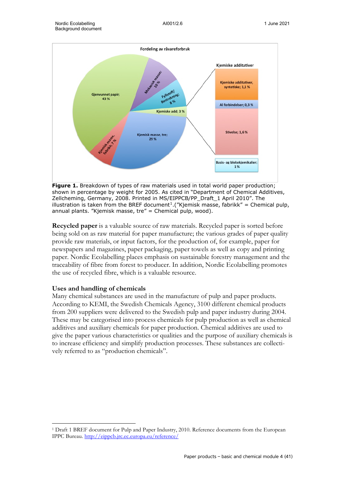

**Figure 1.** Breakdown of types of raw materials used in total world paper production; shown in percentage by weight for 2005. As cited in "Department of Chemical Additives, Zellcheming, Germany, 2008. Printed in MS/EIPPCB/PP\_Draft\_1 April 2010". The illustration is taken from the BREF document<sup>[1](#page-6-0)</sup>. ("Kjemisk masse, fabrikk" = Chemical pulp, annual plants. "Kjemisk masse, tre" = Chemical pulp, wood).

**Recycled paper** is a valuable source of raw materials. Recycled paper is sorted before being sold on as raw material for paper manufacture; the various grades of paper quality provide raw materials, or input factors, for the production of, for example, paper for newspapers and magazines, paper packaging, paper towels as well as copy and printing paper. Nordic Ecolabelling places emphasis on sustainable forestry management and the traceability of fibre from forest to producer. In addition, Nordic Ecolabelling promotes the use of recycled fibre, which is a valuable resource.

#### **Uses and handling of chemicals**

Many chemical substances are used in the manufacture of pulp and paper products. According to KEMI, the Swedish Chemicals Agency, 3100 different chemical products from 200 suppliers were delivered to the Swedish pulp and paper industry during 2004. These may be categorised into process chemicals for pulp production as well as chemical additives and auxiliary chemicals for paper production. Chemical additives are used to give the paper various characteristics or qualities and the purpose of auxiliary chemicals is to increase efficiency and simplify production processes. These substances are collectively referred to as "production chemicals".

<span id="page-6-0"></span><sup>1</sup> Draft 1 BREF document for Pulp and Paper Industry, 2010. Reference documents from the European IPPC Bureau. <http://eippcb.jrc.ec.europa.eu/reference/>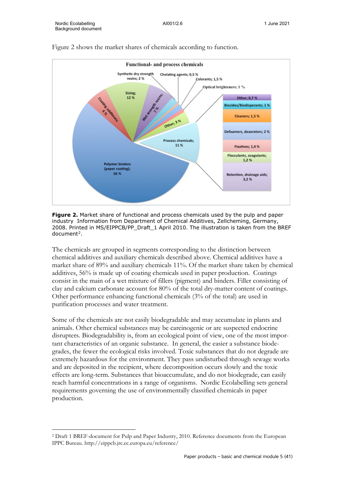

#### Figure 2 shows the market shares of chemicals according to function.

**Figure 2.** Market share of functional and process chemicals used by the pulp and paper industry Information from Department of Chemical Additives, Zellcheming, Germany, 2008. Printed in MS/EIPPCB/PP\_Draft\_1 April 2010. The illustration is taken from the BREF  $document<sup>2</sup>$  $document<sup>2</sup>$  $document<sup>2</sup>$ .

The chemicals are grouped in segments corresponding to the distinction between chemical additives and auxiliary chemicals described above. Chemical additives have a market share of 89% and auxiliary chemicals 11%. Of the market share taken by chemical additives, 56% is made up of coating chemicals used in paper production. Coatings consist in the main of a wet mixture of fillers (pigment) and binders. Filler consisting of clay and calcium carbonate account for 80% of the total dry-matter content of coatings. Other performance enhancing functional chemicals (3% of the total) are used in purification processes and water treatment.

Some of the chemicals are not easily biodegradable and may accumulate in plants and animals. Other chemical substances may be carcinogenic or are suspected endocrine disrupters. Biodegradability is, from an ecological point of view, one of the most important characteristics of an organic substance. In general, the easier a substance biodegrades, the fewer the ecological risks involved. Toxic substances that do not degrade are extremely hazardous for the environment. They pass undisturbed through sewage works and are deposited in the recipient, where decomposition occurs slowly and the toxic effects are long-term. Substances that bioaccumulate, and do not biodegrade, can easily reach harmful concentrations in a range of organisms. Nordic Ecolabelling sets general requirements governing the use of environmentally classified chemicals in paper production.

<span id="page-7-0"></span><sup>2</sup> Draft 1 BREF-document for Pulp and Paper Industry, 2010. Reference documents from the European IPPC Bureau. http://eippcb.jrc.ec.europa.eu/reference/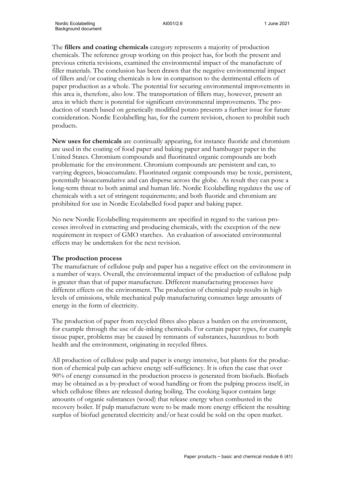The **fillers and coating chemicals** category represents a majority of production chemicals. The reference group working on this project has, for both the present and previous criteria revisions, examined the environmental impact of the manufacture of filler materials. The conclusion has been drawn that the negative environmental impact of fillers and/or coating chemicals is low in comparison to the detrimental effects of paper production as a whole. The potential for securing environmental improvements in this area is, therefore, also low. The transportation of fillers may, however, present an area in which there is potential for significant environmental improvements. The production of starch based on genetically modified potato presents a further issue for future consideration. Nordic Ecolabelling has, for the current revision, chosen to prohibit such products.

**New uses for chemicals** are continually appearing, for instance fluoride and chromium are used in the coating of food paper and baking paper and hamburger paper in the United States. Chromium compounds and fluorinated organic compounds are both problematic for the environment. Chromium compounds are persistent and can, to varying degrees, bioaccumulate. Fluorinated organic compounds may be toxic, persistent, potentially bioaccumulative and can disperse across the globe. As result they can pose a long-term threat to both animal and human life. Nordic Ecolabelling regulates the use of chemicals with a set of stringent requirements; and both fluoride and chromium are prohibited for use in Nordic Ecolabelled food paper and baking paper.

No new Nordic Ecolabelling requirements are specified in regard to the various processes involved in extracting and producing chemicals, with the exception of the new requirement in respect of GMO starches. An evaluation of associated environmental effects may be undertaken for the next revision.

#### **The production process**

The manufacture of cellulose pulp and paper has a negative effect on the environment in a number of ways. Overall, the environmental impact of the production of cellulose pulp is greater than that of paper manufacture. Different manufacturing processes have different effects on the environment. The production of chemical pulp results in high levels of emissions, while mechanical pulp manufacturing consumes large amounts of energy in the form of electricity.

The production of paper from recycled fibres also places a burden on the environment, for example through the use of de-inking chemicals. For certain paper types, for example tissue paper, problems may be caused by remnants of substances, hazardous to both health and the environment, originating in recycled fibres.

All production of cellulose pulp and paper is energy intensive, but plants for the production of chemical pulp can achieve energy self-sufficiency. It is often the case that over 90% of energy consumed in the production process is generated from biofuels. Biofuels may be obtained as a by-product of wood handling or from the pulping process itself, in which cellulose fibres are released during boiling. The cooking liquor contains large amounts of organic substances (wood) that release energy when combusted in the recovery boiler. If pulp manufacture were to be made more energy efficient the resulting surplus of biofuel generated electricity and/or heat could be sold on the open market.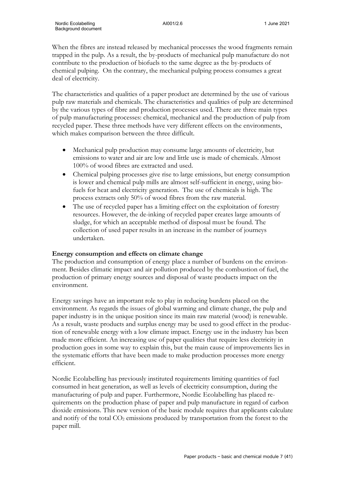When the fibres are instead released by mechanical processes the wood fragments remain trapped in the pulp. As a result, the by-products of mechanical pulp manufacture do not contribute to the production of biofuels to the same degree as the by-products of chemical pulping. On the contrary, the mechanical pulping process consumes a great deal of electricity.

The characteristics and qualities of a paper product are determined by the use of various pulp raw materials and chemicals. The characteristics and qualities of pulp are determined by the various types of fibre and production processes used. There are three main types of pulp manufacturing processes: chemical, mechanical and the production of pulp from recycled paper. These three methods have very different effects on the environments, which makes comparison between the three difficult.

- Mechanical pulp production may consume large amounts of electricity, but emissions to water and air are low and little use is made of chemicals. Almost 100% of wood fibres are extracted and used.
- Chemical pulping processes give rise to large emissions, but energy consumption is lower and chemical pulp mills are almost self-sufficient in energy, using biofuels for heat and electricity generation. The use of chemicals is high. The process extracts only 50% of wood fibres from the raw material.
- The use of recycled paper has a limiting effect on the exploitation of forestry resources. However, the de-inking of recycled paper creates large amounts of sludge, for which an acceptable method of disposal must be found. The collection of used paper results in an increase in the number of journeys undertaken.

#### **Energy consumption and effects on climate change**

The production and consumption of energy place a number of burdens on the environment. Besides climatic impact and air pollution produced by the combustion of fuel, the production of primary energy sources and disposal of waste products impact on the environment.

Energy savings have an important role to play in reducing burdens placed on the environment. As regards the issues of global warming and climate change, the pulp and paper industry is in the unique position since its main raw material (wood) is renewable. As a result, waste products and surplus energy may be used to good effect in the production of renewable energy with a low climate impact. Energy use in the industry has been made more efficient. An increasing use of paper qualities that require less electricity in production goes in some way to explain this, but the main cause of improvements lies in the systematic efforts that have been made to make production processes more energy efficient.

Nordic Ecolabelling has previously instituted requirements limiting quantities of fuel consumed in heat generation, as well as levels of electricity consumption, during the manufacturing of pulp and paper. Furthermore, Nordic Ecolabelling has placed requirements on the production phase of paper and pulp manufacture in regard of carbon dioxide emissions. This new version of the basic module requires that applicants calculate and notify of the total CO<sub>2</sub> emissions produced by transportation from the forest to the paper mill.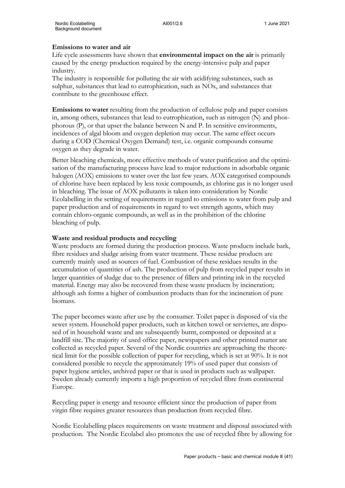#### **Emissions to water and air**

Life cycle assessments have shown that **environmental impact on the air** is primarily caused by the energy production required by the energy-intensive pulp and paper industry.

The industry is responsible for polluting the air with acidifying substances, such as sulphur, substances that lead to eutrophication, such as NOx, and substances that contribute to the greenhouse effect.

**Emissions to water** resulting from the production of cellulose pulp and paper consists in, among others, substances that lead to eutrophication, such as nitrogen (N) and phosphorous (P), or that upset the balance between N and P. In sensitive environments, incidences of algal bloom and oxygen depletion may occur. The same effect occurs during a COD (Chemical Oxygen Demand) test, i.e. organic compounds consume oxygen as they degrade in water.

Better bleaching chemicals, more effective methods of water purification and the optimisation of the manufacturing process have lead to major reductions in adsorbable organic halogen (AOX) emissions to water over the last few years. AOX categorised compounds of chlorine have been replaced by less toxic compounds, as chlorine gas is no longer used in bleaching. The issue of AOX pollutants is taken into consideration by Nordic Ecolabelling in the setting of requirements in regard to emissions to water from pulp and paper production and of requirements in regard to wet strength agents, which may contain chloro-organic compounds, as well as in the prohibition of the chlorine bleaching of pulp.

#### **Waste and residual products and recycling**

Waste products are formed during the production process. Waste products include bark, fibre residues and sludge arising from water treatment. These residue products are currently mainly used as sources of fuel. Combustion of these residues results in the accumulation of quantities of ash. The production of pulp from recycled paper results in larger quantities of sludge due to the presence of fillers and printing ink in the recycled material. Energy may also be recovered from these waste products by incineration; although ash forms a higher of combustion products than for the incineration of pure biomass.

The paper becomes waste after use by the consumer. Toilet paper is disposed of via the sewer system. Household paper products, such as kitchen towel or serviettes, are disposed of in household waste and are subsequently burnt, composted or deposited at a landfill site. The majority of used office paper, newspapers and other printed matter are collected as recycled paper. Several of the Nordic countries are approaching the theoretical limit for the possible collection of paper for recycling, which is set at 90%. It is not considered possible to recycle the approximately 19% of used paper that consists of paper hygiene articles, archived paper or that is used in products such as wallpaper. Sweden already currently imports a high proportion of recycled fibre from continental Europe.

Recycling paper is energy and resource efficient since the production of paper from virgin fibre requires greater resources than production from recycled fibre.

Nordic Ecolabelling places requirements on waste treatment and disposal associated with production. The Nordic Ecolabel also promotes the use of recycled fibre by allowing for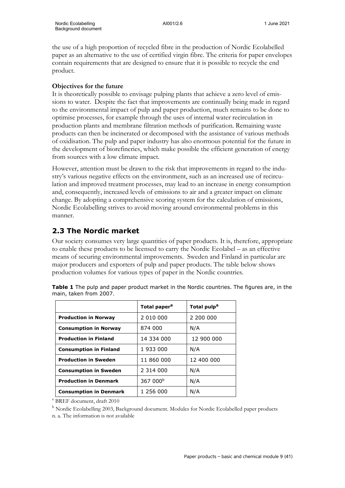the use of a high proportion of recycled fibre in the production of Nordic Ecolabelled paper as an alternative to the use of certified virgin fibre. The criteria for paper envelopes contain requirements that are designed to ensure that it is possible to recycle the end product.

## **Objectives for the future**

It is theoretically possible to envisage pulping plants that achieve a zero level of emissions to water. Despite the fact that improvements are continually being made in regard to the environmental impact of pulp and paper production, much remains to be done to optimise processes, for example through the uses of internal water recirculation in production plants and membrane filtration methods of purification. Remaining waste products can then be incinerated or decomposed with the assistance of various methods of oxidisation. The pulp and paper industry has also enormous potential for the future in the development of biorefineries, which make possible the efficient generation of energy from sources with a low climate impact.

However, attention must be drawn to the risk that improvements in regard to the industry's various negative effects on the environment, such as an increased use of recirculation and improved treatment processes, may lead to an increase in energy consumption and, consequently, increased levels of emissions to air and a greater impact on climate change. By adopting a comprehensive scoring system for the calculation of emissions, Nordic Ecolabelling strives to avoid moving around environmental problems in this manner.

# **2.3 The Nordic market**

Our society consumes very large quantities of paper products. It is, therefore, appropriate to enable these products to be licensed to carry the Nordic Ecolabel – as an effective means of securing environmental improvements. Sweden and Finland in particular are major producers and exporters of pulp and paper products. The table below shows production volumes for various types of paper in the Nordic countries.

|                               | Total paper <sup>a</sup> | Total pulp <sup>a</sup> |
|-------------------------------|--------------------------|-------------------------|
| <b>Production in Norway</b>   | 2 010 000                | 2 200 000               |
| <b>Consumption in Norway</b>  | 874 000                  | N/A                     |
| <b>Production in Finland</b>  | 14 334 000               | 12 900 000              |
| <b>Consumption in Finland</b> | 1 933 000                | N/A                     |
| <b>Production in Sweden</b>   | 11 860 000               | 12 400 000              |
| <b>Consumption in Sweden</b>  | 2 314 000                | N/A                     |
| <b>Production in Denmark</b>  | 367 000 <sup>b</sup>     | N/A                     |
| <b>Consumption in Denmark</b> | 1 256 000                | N/A                     |

**Table 1** The pulp and paper product market in the Nordic countries. The figures are, in the main, taken from 2007.

<sup>a</sup> BREF document, draft 2010

<sup>b</sup> Nordic Ecolabelling 2003, Background document. Modules for Nordic Ecolabelled paper products n. a. The information is not available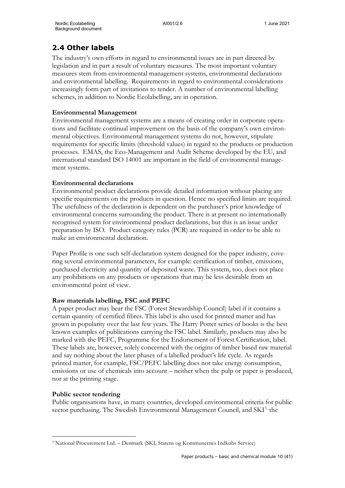# **2.4 Other labels**

The industry's own efforts in regard to environmental issues are in part directed by legislation and in part a result of voluntary measures. The most important voluntary measures stem from environmental management systems, environmental declarations and environmental labelling. Requirements in regard to environmental considerations increasingly form part of invitations to tender. A number of environmental labelling schemes, in addition to Nordic Ecolabelling, are in operation.

# **Environmental Management**

Environmental management systems are a means of creating order in corporate operations and facilitate continual improvement on the basis of the company's own environmental objectives. Environmental management systems do not, however, stipulate requirements for specific limits (threshold values) in regard to the products or production processes. EMAS, the Eco-Management and Audit Scheme developed by the EU, and international standard ISO 14001 are important in the field of environmental management systems.

# **Environmental declarations**

Environmental product declarations provide detailed information without placing any specific requirements on the products in question. Hence no specified limits are required. The usefulness of the declaration is dependent on the purchaser's prior knowledge of environmental concerns surrounding the product. There is at present no internationally recognised system for environmental product declarations, but this is an issue under preparation by ISO. Product category rules (PCR) are required in order to be able to make an environmental declaration.

Paper Profile is one such self-declaration system designed for the paper industry, covering several environmental parameters, for example: certification of timber, emissions, purchased electricity and quantity of deposited waste. This system, too, does not place any prohibitions on any products or operations that may be less desirable from an environmental point of view.

# **Raw materials labelling, FSC and PEFC**

A paper product may bear the FSC (Forest Stewardship Council) label if it contains a certain quantity of certified fibres. This label is also used for printed matter and has grown in popularity over the last few years. The Harry Potter series of books is the best known examples of publications carrying the FSC label. Similarly, products may also be marked with the PEFC, Programme for the Endorsement of Forest Certification, label. These labels are, however, solely concerned with the origins of timber based raw material and say nothing about the later phases of a labelled product's life cycle. As regards printed matter, for example, FSC/PEFC labelling does not take energy consumption, emissions or use of chemicals into account – neither when the pulp or paper is produced, nor at the printing stage.

# **Public sector tendering**

Public organisations have, in many countries, developed environmental criteria for public sector purchasing. The Swedish Environmental Management Council, and SKI<sup>[3](#page-12-0),</sup> the

<span id="page-12-0"></span><sup>3</sup> National Procurement Ltd. – Denmark (SKI, Statens og Kommunernes Indkøbs Service)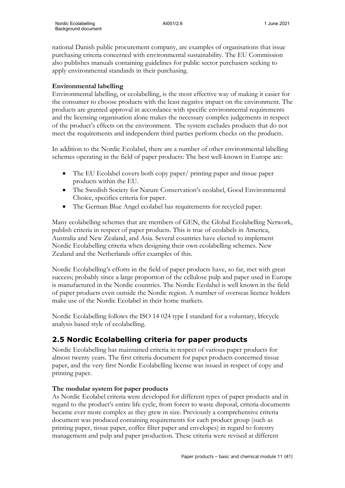national Danish public procurement company, are examples of organisations that issue purchasing criteria concerned with environmental sustainability. The EU Commission also publishes manuals containing guidelines for public sector purchasers seeking to apply environmental standards in their purchasing.

## **Environmental labelling**

Environmental labelling, or ecolabelling, is the most effective way of making it easier for the consumer to choose products with the least negative impact on the environment. The products are granted approval in accordance with specific environmental requirements and the licensing organisation alone makes the necessary complex judgements in respect of the product's effects on the environment. The system excludes products that do not meet the requirements and independent third parties perform checks on the products.

In addition to the Nordic Ecolabel, there are a number of other environmental labelling schemes operating in the field of paper products: The best well-known in Europe are:

- The EU Ecolabel covers both copy paper/ printing paper and tissue paper products within the EU.
- The Swedish Society for Nature Conservation's ecolabel, Good Environmental Choice, specifies criteria for paper.
- The German Blue Angel ecolabel has requirements for recycled paper.

Many ecolabelling schemes that are members of GEN, the Global Ecolabelling Network, publish criteria in respect of paper products. This is true of ecolabels in America, Australia and New Zealand, and Asia. Several countries have elected to implement Nordic Ecolabelling criteria when designing their own ecolabelling schemes. New Zealand and the Netherlands offer examples of this.

Nordic Ecolabelling's efforts in the field of paper products have, so far, met with great success; probably since a large proportion of the cellulose pulp and paper used in Europe is manufactured in the Nordic countries. The Nordic Ecolabel is well known in the field of paper products even outside the Nordic region. A number of overseas licence holders make use of the Nordic Ecolabel in their home markets.

Nordic Ecolabelling follows the ISO 14 024 type I standard for a voluntary, lifecycle analysis based style of ecolabelling.

# **2.5 Nordic Ecolabelling criteria for paper products**

Nordic Ecolabelling has maintained criteria in respect of various paper products for almost twenty years. The first criteria document for paper products concerned tissue paper, and the very first Nordic Ecolabelling license was issued in respect of copy and printing paper.

# **The modular system for paper products**

As Nordic Ecolabel criteria were developed for different types of paper products and in regard to the product's entire life cycle, from forest to waste disposal, criteria documents became ever more complex as they grew in size. Previously a comprehensive criteria document was produced containing requirements for each product group (such as printing paper, tissue paper, coffee filter paper and envelopes) in regard to forestry management and pulp and paper production. These criteria were revised at different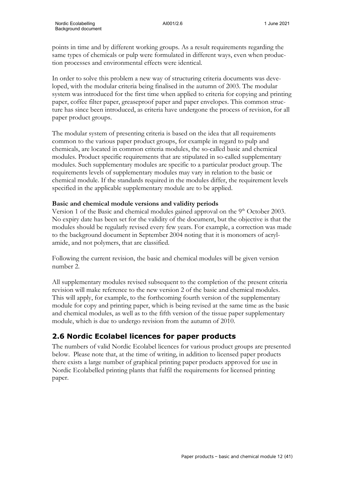points in time and by different working groups. As a result requirements regarding the same types of chemicals or pulp were formulated in different ways, even when production processes and environmental effects were identical.

In order to solve this problem a new way of structuring criteria documents was developed, with the modular criteria being finalised in the autumn of 2003. The modular system was introduced for the first time when applied to criteria for copying and printing paper, coffee filter paper, greaseproof paper and paper envelopes. This common structure has since been introduced, as criteria have undergone the process of revision, for all paper product groups.

The modular system of presenting criteria is based on the idea that all requirements common to the various paper product groups, for example in regard to pulp and chemicals, are located in common criteria modules, the so-called basic and chemical modules. Product specific requirements that are stipulated in so-called supplementary modules. Such supplementary modules are specific to a particular product group. The requirements levels of supplementary modules may vary in relation to the basic or chemical module. If the standards required in the modules differ, the requirement levels specified in the applicable supplementary module are to be applied.

#### **Basic and chemical module versions and validity periods**

Version 1 of the Basic and chemical modules gained approval on the 9<sup>th</sup> October 2003. No expiry date has been set for the validity of the document, but the objective is that the modules should be regularly revised every few years. For example, a correction was made to the background document in September 2004 noting that it is monomers of acrylamide, and not polymers, that are classified.

Following the current revision, the basic and chemical modules will be given version number 2.

All supplementary modules revised subsequent to the completion of the present criteria revision will make reference to the new version 2 of the basic and chemical modules. This will apply, for example, to the forthcoming fourth version of the supplementary module for copy and printing paper, which is being revised at the same time as the basic and chemical modules, as well as to the fifth version of the tissue paper supplementary module, which is due to undergo revision from the autumn of 2010.

# **2.6 Nordic Ecolabel licences for paper products**

The numbers of valid Nordic Ecolabel licences for various product groups are presented below. Please note that, at the time of writing, in addition to licensed paper products there exists a large number of graphical printing paper products approved for use in Nordic Ecolabelled printing plants that fulfil the requirements for licensed printing paper.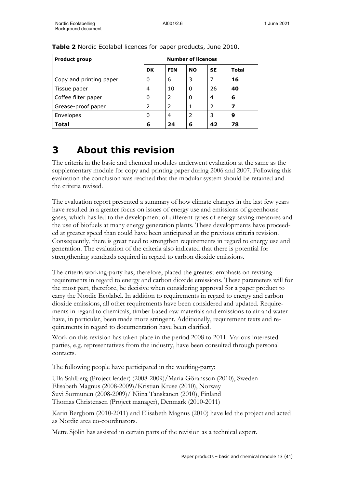| <b>Product group</b>    | <b>Number of licences</b> |            |           |           |              |
|-------------------------|---------------------------|------------|-----------|-----------|--------------|
|                         | <b>DK</b>                 | <b>FIN</b> | <b>NO</b> | <b>SE</b> | <b>Total</b> |
| Copy and printing paper | 0                         | 6          | 3         |           | 16           |
| Tissue paper            | 4                         | 10         | 0         | 26        | 40           |
| Coffee filter paper     | 0                         | 2          | 0         | 4         | 6            |
| Grease-proof paper      | 2                         | 2          | 1         | 2         | 7            |
| Envelopes               | 0                         | 4          | 2         | 3         | 9            |
| Total                   | 6                         | 24         | 6         | 42        | 78           |

**Table 2** Nordic Ecolabel licences for paper products, June 2010.

# **3 About this revision**

The criteria in the basic and chemical modules underwent evaluation at the same as the supplementary module for copy and printing paper during 2006 and 2007. Following this evaluation the conclusion was reached that the modular system should be retained and the criteria revised.

The evaluation report presented a summary of how climate changes in the last few years have resulted in a greater focus on issues of energy use and emissions of greenhouse gases, which has led to the development of different types of energy-saving measures and the use of biofuels at many energy generation plants. These developments have proceeded at greater speed than could have been anticipated at the previous criteria revision. Consequently, there is great need to strengthen requirements in regard to energy use and generation. The evaluation of the criteria also indicated that there is potential for strengthening standards required in regard to carbon dioxide emissions.

The criteria working-party has, therefore, placed the greatest emphasis on revising requirements in regard to energy and carbon dioxide emissions. These parameters will for the most part, therefore, be decisive when considering approval for a paper product to carry the Nordic Ecolabel. In addition to requirements in regard to energy and carbon dioxide emissions, all other requirements have been considered and updated. Requirements in regard to chemicals, timber based raw materials and emissions to air and water have, in particular, been made more stringent. Additionally, requirement texts and requirements in regard to documentation have been clarified.

Work on this revision has taken place in the period 2008 to 2011. Various interested parties, e.g. representatives from the industry, have been consulted through personal contacts.

The following people have participated in the working-party:

Ulla Sahlberg (Project leader) (2008-2009)/Maria Göransson (2010), Sweden Elisabeth Magnus (2008-2009)/Kristian Kruse (2010), Norway Suvi Sormunen (2008-2009)/ Niina Tanskanen (2010), Finland Thomas Christensen (Project manager), Denmark (2010-2011)

Karin Bergbom (2010-2011) and Elisabeth Magnus (2010) have led the project and acted as Nordic area co-coordinators.

Mette Sjölin has assisted in certain parts of the revision as a technical expert.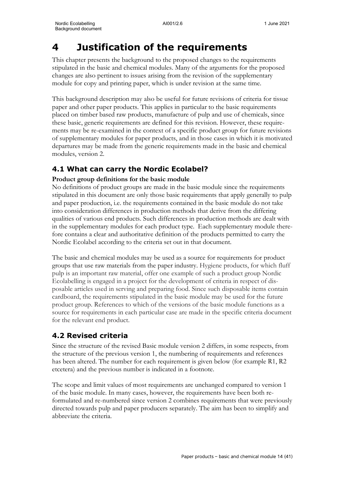# **4 Justification of the requirements**

This chapter presents the background to the proposed changes to the requirements stipulated in the basic and chemical modules. Many of the arguments for the proposed changes are also pertinent to issues arising from the revision of the supplementary module for copy and printing paper, which is under revision at the same time.

This background description may also be useful for future revisions of criteria for tissue paper and other paper products. This applies in particular to the basic requirements placed on timber based raw products, manufacture of pulp and use of chemicals, since these basic, generic requirements are defined for this revision. However, these requirements may be re-examined in the context of a specific product group for future revisions of supplementary modules for paper products, and in those cases in which it is motivated departures may be made from the generic requirements made in the basic and chemical modules, version 2.

# **4.1 What can carry the Nordic Ecolabel?**

# **Product group definitions for the basic module**

No definitions of product groups are made in the basic module since the requirements stipulated in this document are only those basic requirements that apply generally to pulp and paper production, i.e. the requirements contained in the basic module do not take into consideration differences in production methods that derive from the differing qualities of various end products. Such differences in production methods are dealt with in the supplementary modules for each product type. Each supplementary module therefore contains a clear and authoritative definition of the products permitted to carry the Nordic Ecolabel according to the criteria set out in that document.

The basic and chemical modules may be used as a source for requirements for product groups that use raw materials from the paper industry. Hygiene products, for which fluff pulp is an important raw material, offer one example of such a product group Nordic Ecolabelling is engaged in a project for the development of criteria in respect of disposable articles used in serving and preparing food. Since such disposable items contain cardboard, the requirements stipulated in the basic module may be used for the future product group. References to which of the versions of the basic module functions as a source for requirements in each particular case are made in the specific criteria document for the relevant end product.

# **4.2 Revised criteria**

Since the structure of the revised Basic module version 2 differs, in some respects, from the structure of the previous version 1, the numbering of requirements and references has been altered. The number for each requirement is given below (for example R1, R2 etcetera) and the previous number is indicated in a footnote.

The scope and limit values of most requirements are unchanged compared to version 1 of the basic module. In many cases, however, the requirements have been both reformulated and re-numbered since version 2 combines requirements that were previously directed towards pulp and paper producers separately. The aim has been to simplify and abbreviate the criteria.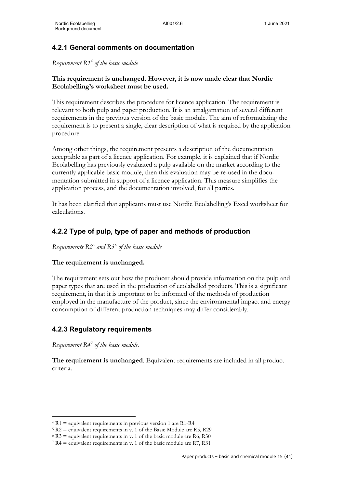# **4.2.1 General comments on documentation**

*Requirement R1[4](#page-17-0) of the basic module*

## **This requirement is unchanged. However, it is now made clear that Nordic Ecolabelling's worksheet must be used.**

This requirement describes the procedure for licence application. The requirement is relevant to both pulp and paper production. It is an amalgamation of several different requirements in the previous version of the basic module. The aim of reformulating the requirement is to present a single, clear description of what is required by the application procedure.

Among other things, the requirement presents a description of the documentation acceptable as part of a licence application. For example, it is explained that if Nordic Ecolabelling has previously evaluated a pulp available on the market according to the currently applicable basic module, then this evaluation may be re-used in the documentation submitted in support of a licence application. This measure simplifies the application process, and the documentation involved, for all parties.

It has been clarified that applicants must use Nordic Ecolabelling's Excel worksheet for calculations.

# **4.2.2 Type of pulp, type of paper and methods of production**

*Requirements R2[5](#page-17-1) and R3[6](#page-17-2) of the basic module*

#### **The requirement is unchanged.**

The requirement sets out how the producer should provide information on the pulp and paper types that are used in the production of ecolabelled products. This is a significant requirement, in that it is important to be informed of the methods of production employed in the manufacture of the product, since the environmental impact and energy consumption of different production techniques may differ considerably.

# **4.2.3 Regulatory requirements**

*Requirement R4[7](#page-17-3) of the basic module.*

**The requirement is unchanged**. Equivalent requirements are included in all product criteria.

<span id="page-17-0"></span> $4 R1$  = equivalent requirements in previous version 1 are R1-R4

<span id="page-17-1"></span> $5 R2$  = equivalent requirements in v. 1 of the Basic Module are R5, R29

<span id="page-17-2"></span> $6 R3$  = equivalent requirements in v. 1 of the basic module are R6, R30

<span id="page-17-3"></span> $7 R4 =$  equivalent requirements in v. 1 of the basic module are R7, R31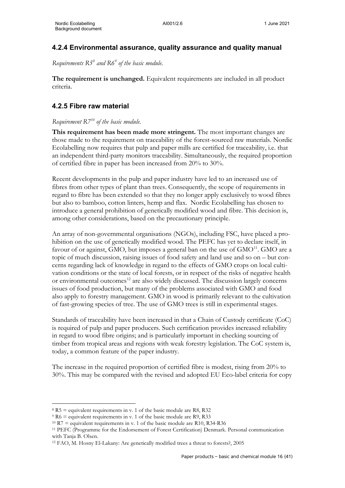# **4.2.4 Environmental assurance, quality assurance and quality manual**

*Requirements R5[8](#page-18-0) and R6[9](#page-18-1) of the basic module.*

**The requirement is unchanged.** Equivalent requirements are included in all product criteria.

# **4.2.5 Fibre raw material**

## *Requirement R7[10](#page-18-2) of the basic module.*

**This requirement has been made more stringent.** The most important changes are those made to the requirement on traceability of the forest-sourced raw materials. Nordic Ecolabelling now requires that pulp and paper mills are certified for traceability, i.e. that an independent third-party monitors traceability. Simultaneously, the required proportion of certified fibre in paper has been increased from 20% to 30%.

Recent developments in the pulp and paper industry have led to an increased use of fibres from other types of plant than trees. Consequently, the scope of requirements in regard to fibre has been extended so that they no longer apply exclusively to wood fibres but also to bamboo, cotton linters, hemp and flax. Nordic Ecolabelling has chosen to introduce a general prohibition of genetically modified wood and fibre. This decision is, among other considerations, based on the precautionary principle.

An array of non-governmental organisations (NGOs), including FSC, have placed a prohibition on the use of genetically modified wood. The PEFC has yet to declare itself, in favour of or against, GMO, but imposes a general ban on the use of GMO<sup>[11](#page-18-3)</sup>. GMO are a topic of much discussion, raising issues of food safety and land use and so on – but concerns regarding lack of knowledge in regard to the effects of GMO crops on local cultivation conditions or the state of local forests, or in respect of the risks of negative health or environmental outcomes<sup>[12](#page-18-4)</sup> are also widely discussed. The discussion largely concerns issues of food production, but many of the problems associated with GMO and food also apply to forestry management. GMO in wood is primarily relevant to the cultivation of fast-growing species of tree. The use of GMO trees is still in experimental stages.

Standards of traceability have been increased in that a Chain of Custody certificate (CoC) is required of pulp and paper producers. Such certification provides increased reliability in regard to wood fibre origins; and is particularly important in checking sourcing of timber from tropical areas and regions with weak forestry legislation. The CoC system is, today, a common feature of the paper industry.

The increase in the required proportion of certified fibre is modest, rising from 20% to 30%. This may be compared with the revised and adopted EU Eco-label criteria for copy

<span id="page-18-0"></span> $8$  R5 = equivalent requirements in v. 1 of the basic module are R8, R32

<span id="page-18-1"></span> $9 R6$  = equivalent requirements in v. 1 of the basic module are R9, R33

<span id="page-18-2"></span> $10 R7$  = equivalent requirements in v. 1 of the basic module are R10, R34-R36

<span id="page-18-3"></span><sup>11</sup> PEFC (Programme for the Endorsement of Forest Certification) Denmark. Personal communication with Tanja B. Olsen.

<span id="page-18-4"></span><sup>12</sup> FAO, M. Hosny El-Lakany: Are genetically modified trees a threat to forests?, 2005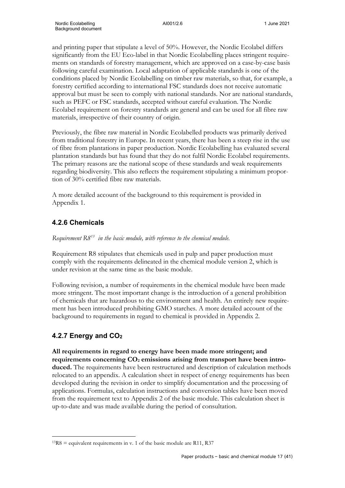and printing paper that stipulate a level of 50%. However, the Nordic Ecolabel differs significantly from the EU Eco-label in that Nordic Ecolabelling places stringent requirements on standards of forestry management, which are approved on a case-by-case basis following careful examination. Local adaptation of applicable standards is one of the conditions placed by Nordic Ecolabelling on timber raw materials, so that, for example, a forestry certified according to international FSC standards does not receive automatic approval but must be seen to comply with national standards. Nor are national standards, such as PEFC or FSC standards, accepted without careful evaluation. The Nordic Ecolabel requirement on forestry standards are general and can be used for all fibre raw materials, irrespective of their country of origin.

Previously, the fibre raw material in Nordic Ecolabelled products was primarily derived from traditional forestry in Europe. In recent years, there has been a steep rise in the use of fibre from plantations in paper production. Nordic Ecolabelling has evaluated several plantation standards but has found that they do not fulfil Nordic Ecolabel requirements. The primary reasons are the national scope of these standards and weak requirements regarding biodiversity. This also reflects the requirement stipulating a minimum proportion of 30% certified fibre raw materials.

A more detailed account of the background to this requirement is provided in Appendix 1.

# **4.2.6 Chemicals**

*Requirement R8[13](#page-19-0) in the basic module, with reference to the chemical module.*

Requirement R8 stipulates that chemicals used in pulp and paper production must comply with the requirements delineated in the chemical module version 2, which is under revision at the same time as the basic module.

Following revision, a number of requirements in the chemical module have been made more stringent. The most important change is the introduction of a general prohibition of chemicals that are hazardous to the environment and health. An entirely new requirement has been introduced prohibiting GMO starches. A more detailed account of the background to requirements in regard to chemical is provided in Appendix 2.

# **4.2.7 Energy and CO2**

**All requirements in regard to energy have been made more stringent; and requirements concerning CO2 emissions arising from transport have been introduced.** The requirements have been restructured and description of calculation methods relocated to an appendix. A calculation sheet in respect of energy requirements has been developed during the revision in order to simplify documentation and the processing of applications. Formulas, calculation instructions and conversion tables have been moved from the requirement text to Appendix 2 of the basic module. This calculation sheet is up-to-date and was made available during the period of consultation.

<span id="page-19-0"></span> $13R8$  = equivalent requirements in v. 1 of the basic module are R11, R37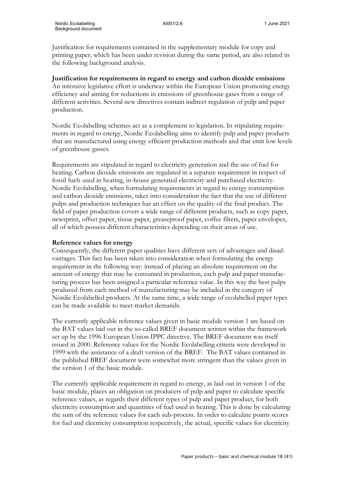Justification for requirements contained in the supplementary module for copy and printing paper, which has been under revision during the same period, are also related in the following background analysis.

#### **Justification for requirements in regard to energy and carbon dioxide emissions**

An intensive legislative effort is underway within the European Union promoting energy efficiency and aiming for reductions in emissions of greenhouse gases from a range of different activities. Several new directives contain indirect regulation of pulp and paper production.

Nordic Ecolabelling schemes act as a complement to legislation. In stipulating requirements in regard to energy, Nordic Ecolabelling aims to identify pulp and paper products that are manufactured using energy efficient production methods and that emit low levels of greenhouse gasses.

Requirements are stipulated in regard to electricity generation and the use of fuel for heating. Carbon dioxide emissions are regulated in a separate requirement in respect of fossil fuels used in heating, in-house generated electricity and purchased electricity. Nordic Ecolabelling, when formulating requirements in regard to energy consumption and carbon dioxide emissions, takes into consideration the fact that the use of different pulps and production techniques has an effect on the quality of the final product. The field of paper production covers a wide range of different products, such as copy paper, newsprint, offset paper, tissue paper, greaseproof paper, coffee filters, paper envelopes, all of which possess different characteristics depending on their areas of use.

#### **Reference values for energy**

Consequently, the different paper qualities have different sets of advantages and disadvantages. This fact has been taken into consideration when formulating the energy requirement in the following way: instead of placing an absolute requirement on the amount of energy that may be consumed in production, each pulp and paper manufacturing process has been assigned a particular reference value. In this way the best pulps produced from each method of manufacturing may be included in the category of Nordic Ecolabelled products. At the same time, a wide range of ecolabelled paper types can be made available to meet market demands.

The currently applicable reference values given in basic module version 1 are based on the BAT values laid out in the so-called BREF document written within the framework set up by the 1996 European Union IPPC directive. The BREF document was itself issued in 2000. Reference values for the Nordic Ecolabelling criteria were developed in 1999 with the assistance of a draft version of the BREF. The BAT values contained in the published BREF document were somewhat more stringent than the values given in the version 1 of the basic module.

The currently applicable requirement in regard to energy, as laid out in version 1 of the basic module, places an obligation on producers of pulp and paper to calculate specific reference values, as regards their different types of pulp and paper product, for both electricity consumption and quantities of fuel used in heating. This is done by calculating the sum of the reference values for each sub-process. In order to calculate points scores for fuel and electricity consumption respectively, the actual, specific values for electricity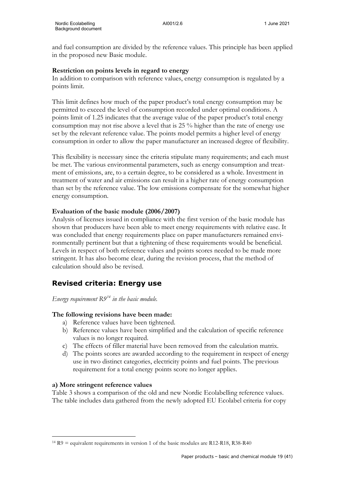and fuel consumption are divided by the reference values. This principle has been applied in the proposed new Basic module.

### **Restriction on points levels in regard to energy**

In addition to comparison with reference values, energy consumption is regulated by a points limit.

This limit defines how much of the paper product's total energy consumption may be permitted to exceed the level of consumption recorded under optimal conditions. A points limit of 1.25 indicates that the average value of the paper product's total energy consumption may not rise above a level that is 25 % higher than the rate of energy use set by the relevant reference value. The points model permits a higher level of energy consumption in order to allow the paper manufacturer an increased degree of flexibility.

This flexibility is necessary since the criteria stipulate many requirements; and each must be met. The various environmental parameters, such as energy consumption and treatment of emissions, are, to a certain degree, to be considered as a whole. Investment in treatment of water and air emissions can result in a higher rate of energy consumption than set by the reference value. The low emissions compensate for the somewhat higher energy consumption.

# **Evaluation of the basic module (2006/2007)**

Analysis of licenses issued in compliance with the first version of the basic module has shown that producers have been able to meet energy requirements with relative ease. It was concluded that energy requirements place on paper manufacturers remained environmentally pertinent but that a tightening of these requirements would be beneficial. Levels in respect of both reference values and points scores needed to be made more stringent. It has also become clear, during the revision process, that the method of calculation should also be revised.

# **Revised criteria: Energy use**

*Energy requirement R9[14](#page-21-0) in the basic module.*

# **The following revisions have been made:**

- a) Reference values have been tightened.
- b) Reference values have been simplified and the calculation of specific reference values is no longer required.
- c) The effects of filler material have been removed from the calculation matrix.
- d) The points scores are awarded according to the requirement in respect of energy use in two distinct categories, electricity points and fuel points. The previous requirement for a total energy points score no longer applies.

#### **a) More stringent reference values**

Table 3 shows a comparison of the old and new Nordic Ecolabelling reference values. The table includes data gathered from the newly adopted EU Ecolabel criteria for copy

<span id="page-21-0"></span> $14 R9$  = equivalent requirements in version 1 of the basic modules are R12-R18, R38-R40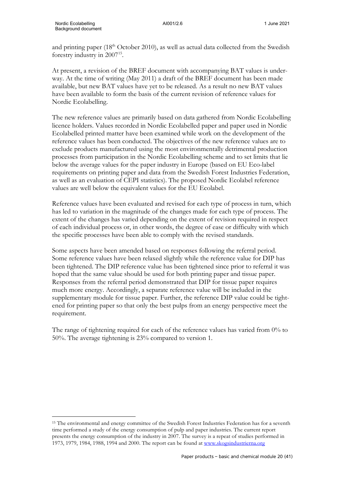and printing paper  $(18<sup>th</sup> October 2010)$ , as well as actual data collected from the Swedish forestry industry in 2007<sup>15</sup>.

At present, a revision of the BREF document with accompanying BAT values is underway. At the time of writing (May 2011) a draft of the BREF document has been made available, but new BAT values have yet to be released. As a result no new BAT values have been available to form the basis of the current revision of reference values for Nordic Ecolabelling.

The new reference values are primarily based on data gathered from Nordic Ecolabelling licence holders. Values recorded in Nordic Ecolabelled paper and paper used in Nordic Ecolabelled printed matter have been examined while work on the development of the reference values has been conducted. The objectives of the new reference values are to exclude products manufactured using the most environmentally detrimental production processes from participation in the Nordic Ecolabelling scheme and to set limits that lie below the average values for the paper industry in Europe (based on EU Eco-label requirements on printing paper and data from the Swedish Forest Industries Federation, as well as an evaluation of CEPI statistics). The proposed Nordic Ecolabel reference values are well below the equivalent values for the EU Ecolabel.

Reference values have been evaluated and revised for each type of process in turn, which has led to variation in the magnitude of the changes made for each type of process. The extent of the changes has varied depending on the extent of revision required in respect of each individual process or, in other words, the degree of ease or difficulty with which the specific processes have been able to comply with the revised standards.

Some aspects have been amended based on responses following the referral period. Some reference values have been relaxed slightly while the reference value for DIP has been tightened. The DIP reference value has been tightened since prior to referral it was hoped that the same value should be used for both printing paper and tissue paper. Responses from the referral period demonstrated that DIP for tissue paper requires much more energy. Accordingly, a separate reference value will be included in the supplementary module for tissue paper. Further, the reference DIP value could be tightened for printing paper so that only the best pulps from an energy perspective meet the requirement.

The range of tightening required for each of the reference values has varied from  $0\%$  to 50%. The average tightening is 23% compared to version 1.

<span id="page-22-0"></span><sup>&</sup>lt;sup>15</sup> The environmental and energy committee of the Swedish Forest Industries Federation has for a seventh time performed a study of the energy consumption of pulp and paper industries. The current report presents the energy consumption of the industry in 2007. The survey is a repeat of studies performed in 1973, 1979, 1984, 1988, 1994 and 2000. The report can be found at [www.skogsindustrierna.org](http://www.skogsindustrierna.org/)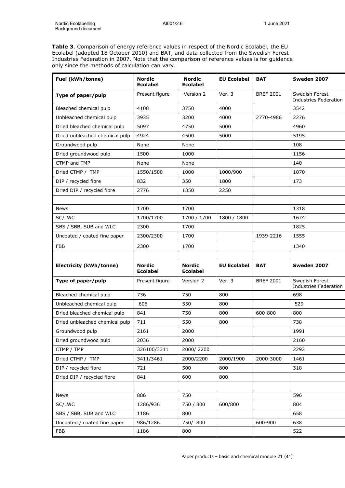**Table 3**. Comparison of energy reference values in respect of the Nordic Ecolabel, the EU Ecolabel (adopted 18 October 2010) and BAT, and data collected from the Swedish Forest Industries Federation in 2007. Note that the comparison of reference values is for guidance only since the methods of calculation can vary.

| Fuel (kWh/tonne)               | <b>Nordic</b><br><b>Ecolabel</b> | <b>Nordic</b><br><b>Ecolabel</b> | <b>EU Ecolabel</b> | <b>BAT</b>       | Sweden 2007                             |
|--------------------------------|----------------------------------|----------------------------------|--------------------|------------------|-----------------------------------------|
| Type of paper/pulp             | Present figure                   | Version 2                        | Ver. 3             | <b>BREF 2001</b> | Swedish Forest<br>Industries Federation |
| Bleached chemical pulp         | 4108                             | 3750                             | 4000               |                  | 3542                                    |
| Unbleached chemical pulp       | 3935                             | 3200                             | 4000               | 2770-4986        | 2276                                    |
| Dried bleached chemical pulp   | 5097                             | 4750                             | 5000               |                  | 4960                                    |
| Dried unbleached chemical pulp | 4924                             | 4500                             | 5000               |                  | 5195                                    |
| Groundwood pulp                | None                             | None                             |                    |                  | 108                                     |
| Dried groundwood pulp          | 1500                             | 1000                             |                    |                  | 1156                                    |
| CTMP and TMP                   | None                             | None                             |                    |                  | 140                                     |
| Dried CTMP / TMP               | 1550/1500                        | 1000                             | 1000/900           |                  | 1070                                    |
| DIP / recycled fibre           | 832                              | 350                              | 1800               |                  | 173                                     |
| Dried DIP / recycled fibre     | 2776                             | 1350                             | 2250               |                  |                                         |
|                                |                                  |                                  |                    |                  |                                         |
| <b>News</b>                    | 1700                             | 1700                             |                    |                  | 1318                                    |
| SC/LWC                         | 1700/1700                        | 1700 / 1700                      | 1800 / 1800        |                  | 1674                                    |
| SBS / SBB, SUB and WLC         | 2300                             | 1700                             |                    |                  | 1825                                    |
| Uncoated / coated fine paper   | 2300/2300                        | 1700                             |                    | 1939-2216        | 1555                                    |
| FBB                            | 2300                             | 1700                             |                    |                  | 1340                                    |
|                                |                                  |                                  |                    |                  |                                         |
| <b>Electricity (kWh/tonne)</b> | <b>Nordic</b><br><b>Ecolabel</b> | <b>Nordic</b><br><b>Ecolabel</b> | <b>EU Ecolabel</b> | <b>BAT</b>       | Sweden 2007                             |
| Type of paper/pulp             | Present figure                   | Version 2                        | Ver. 3             | <b>BREF 2001</b> | Swedish Forest                          |
|                                |                                  |                                  |                    |                  | Industries Federation                   |
| Bleached chemical pulp         | 736                              | 750                              | 800                |                  | 698                                     |
| Unbleached chemical pulp       | 606                              | 550                              | 800                |                  | 529                                     |
| Dried bleached chemical pulp   | 841                              | 750                              | 800                | 600-800          | 800                                     |
| Dried unbleached chemical pulp | 711                              | 550                              | 800                |                  | 738                                     |
| Groundwood pulp                | 2161                             | 2000                             |                    |                  | 1991                                    |
| Dried groundwood pulp          | 2036                             | 2000                             |                    |                  | 2160                                    |
| CTMP / TMP                     | 326100/3311                      | 2000/2200                        |                    |                  | 2292                                    |
| Dried CTMP / TMP               | 3411/3461                        | 2000/2200                        | 2000/1900          | 2000-3000        | 1461                                    |
| DIP / recycled fibre           | 721                              | 500                              | 800                |                  | 318                                     |
| Dried DIP / recycled fibre     | 841                              | 600                              | 800                |                  |                                         |
|                                |                                  |                                  |                    |                  |                                         |
| <b>News</b>                    | 886                              | 750                              |                    |                  | 596                                     |
| SC/LWC                         | 1286/936                         | 750 / 800                        | 600/800            |                  | 804                                     |
| SBS / SBB, SUB and WLC         | 1186                             | 800                              |                    |                  | 658                                     |
| Uncoated / coated fine paper   | 986/1286                         | 750/800                          |                    | 600-900          | 638                                     |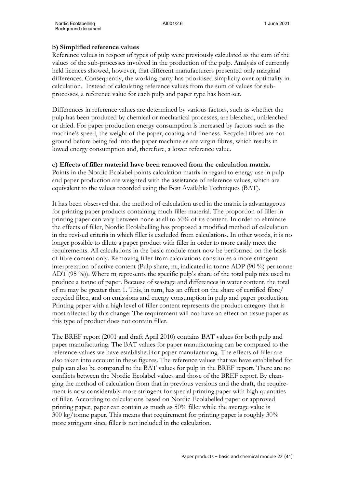#### **b) Simplified reference values**

Reference values in respect of types of pulp were previously calculated as the sum of the values of the sub-processes involved in the production of the pulp. Analysis of currently held licences showed, however, that different manufacturers presented only marginal differences. Consequently, the working-party has prioritised simplicity over optimality in calculation. Instead of calculating reference values from the sum of values for subprocesses, a reference value for each pulp and paper type has been set.

Differences in reference values are determined by various factors, such as whether the pulp has been produced by chemical or mechanical processes, are bleached, unbleached or dried. For paper production energy consumption is increased by factors such as the machine's speed, the weight of the paper, coating and fineness. Recycled fibres are not ground before being fed into the paper machine as are virgin fibres, which results in lowed energy consumption and, therefore, a lower reference value.

#### **c) Effects of filler material have been removed from the calculation matrix.**

Points in the Nordic Ecolabel points calculation matrix in regard to energy use in pulp and paper production are weighted with the assistance of reference values, which are equivalent to the values recorded using the Best Available Techniques (BAT).

It has been observed that the method of calculation used in the matrix is advantageous for printing paper products containing much filler material. The proportion of filler in printing paper can vary between none at all to 50% of its content. In order to eliminate the effects of filler, Nordic Ecolabelling has proposed a modified method of calculation in the revised criteria in which filler is excluded from calculations. In other words, it is no longer possible to dilute a paper product with filler in order to more easily meet the requirements. All calculations in the basic module must now be performed on the basis of fibre content only. Removing filler from calculations constitutes a more stringent interpretation of active content (Pulp share,  $m_i$ , indicated in tonne ADP (90 %) per tonne ADT (95 %)). Where  $m_i$  represents the specific pulp's share of the total pulp mix used to produce a tonne of paper. Because of wastage and differences in water content, the total of mi may be greater than 1. This, in turn, has an effect on the share of certified fibre/ recycled fibre, and on emissions and energy consumption in pulp and paper production. Printing paper with a high level of filler content represents the product category that is most affected by this change. The requirement will not have an effect on tissue paper as this type of product does not contain filler.

The BREF report (2001 and draft April 2010) contains BAT values for both pulp and paper manufacturing. The BAT values for paper manufacturing can be compared to the reference values we have established for paper manufacturing. The effects of filler are also taken into account in these figures. The reference values that we have established for pulp can also be compared to the BAT values for pulp in the BREF report. There are no conflicts between the Nordic Ecolabel values and those of the BREF report. By changing the method of calculation from that in previous versions and the draft, the requirement is now considerably more stringent for special printing paper with high quantities of filler. According to calculations based on Nordic Ecolabelled paper or approved printing paper, paper can contain as much as 50% filler while the average value is 300 kg/tonne paper. This means that requirement for printing paper is roughly 30% more stringent since filler is not included in the calculation.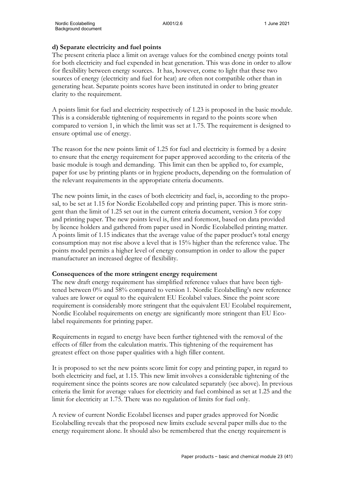## **d) Separate electricity and fuel points**

The present criteria place a limit on average values for the combined energy points total for both electricity and fuel expended in heat generation. This was done in order to allow for flexibility between energy sources. It has, however, come to light that these two sources of energy (electricity and fuel for heat) are often not compatible other than in generating heat. Separate points scores have been instituted in order to bring greater clarity to the requirement.

A points limit for fuel and electricity respectively of 1.23 is proposed in the basic module. This is a considerable tightening of requirements in regard to the points score when compared to version 1, in which the limit was set at 1.75. The requirement is designed to ensure optimal use of energy.

The reason for the new points limit of 1.25 for fuel and electricity is formed by a desire to ensure that the energy requirement for paper approved according to the criteria of the basic module is tough and demanding. This limit can then be applied to, for example, paper for use by printing plants or in hygiene products, depending on the formulation of the relevant requirements in the appropriate criteria documents.

The new points limit, in the cases of both electricity and fuel, is, according to the proposal, to be set at 1.15 for Nordic Ecolabelled copy and printing paper. This is more stringent than the limit of 1.25 set out in the current criteria document, version 3 for copy and printing paper. The new points level is, first and foremost, based on data provided by licence holders and gathered from paper used in Nordic Ecolabelled printing matter. A points limit of 1.15 indicates that the average value of the paper product's total energy consumption may not rise above a level that is 15% higher than the reference value. The points model permits a higher level of energy consumption in order to allow the paper manufacturer an increased degree of flexibility.

#### **Consequences of the more stringent energy requirement**

The new draft energy requirement has simplified reference values that have been tightened between 0% and 58% compared to version 1. Nordic Ecolabelling's new reference values are lower or equal to the equivalent EU Ecolabel values. Since the point score requirement is considerably more stringent that the equivalent EU Ecolabel requirement, Nordic Ecolabel requirements on energy are significantly more stringent than EU Ecolabel requirements for printing paper.

Requirements in regard to energy have been further tightened with the removal of the effects of filler from the calculation matrix. This tightening of the requirement has greatest effect on those paper qualities with a high filler content.

It is proposed to set the new points score limit for copy and printing paper, in regard to both electricity and fuel, at 1.15. This new limit involves a considerable tightening of the requirement since the points scores are now calculated separately (see above). In previous criteria the limit for average values for electricity and fuel combined as set at 1.25 and the limit for electricity at 1.75. There was no regulation of limits for fuel only.

A review of current Nordic Ecolabel licenses and paper grades approved for Nordic Ecolabelling reveals that the proposed new limits exclude several paper mills due to the energy requirement alone. It should also be remembered that the energy requirement is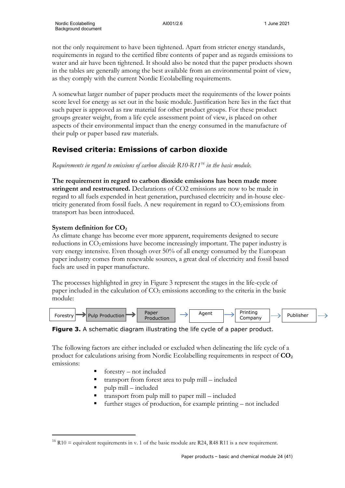not the only requirement to have been tightened. Apart from stricter energy standards, requirements in regard to the certified fibre contents of paper and as regards emissions to water and air have been tightened. It should also be noted that the paper products shown in the tables are generally among the best available from an environmental point of view, as they comply with the current Nordic Ecolabelling requirements.

A somewhat larger number of paper products meet the requirements of the lower points score level for energy as set out in the basic module. Justification here lies in the fact that such paper is approved as raw material for other product groups. For these product groups greater weight, from a life cycle assessment point of view, is placed on other aspects of their environmental impact than the energy consumed in the manufacture of their pulp or paper based raw materials.

# **Revised criteria: Emissions of carbon dioxide**

*Requirements in regard to emissions of carbon dioxide R10-R11[16](#page-26-0) in the basic module.*

**The requirement in regard to carbon dioxide emissions has been made more stringent and restructured.** Declarations of CO2 emissions are now to be made in regard to all fuels expended in heat generation, purchased electricity and in-house electricity generated from fossil fuels. A new requirement in regard to  $CO<sub>2</sub>$  emissions from transport has been introduced.

# **System definition for CO<sub>2</sub>**

As climate change has become ever more apparent, requirements designed to secure reductions in  $CO<sub>2</sub>$  emissions have become increasingly important. The paper industry is very energy intensive. Even though over 50% of all energy consumed by the European paper industry comes from renewable sources, a great deal of electricity and fossil based fuels are used in paper manufacture.

The processes highlighted in grey in Figure 3 represent the stages in the life-cycle of paper included in the calculation of  $CO<sub>2</sub>$  emissions according to the criteria in the basic module:



**Figure 3.** A schematic diagram illustrating the life cycle of a paper product.

The following factors are either included or excluded when delineating the life cycle of a product for calculations arising from Nordic Ecolabelling requirements in respect of **CO2** emissions:

- forestry not included
- transport from forest area to pulp mill included
- pulp mill included
- transport from pulp mill to paper mill included
- further stages of production, for example printing not included

<span id="page-26-0"></span><sup>&</sup>lt;sup>16</sup> R10 = equivalent requirements in v. 1 of the basic module are R24, R48 R11 is a new requirement.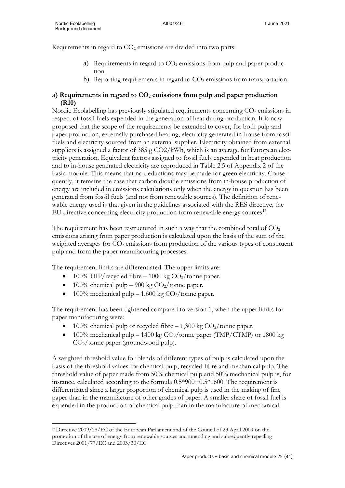Requirements in regard to  $CO<sub>2</sub>$  emissions are divided into two parts:

- a) Requirements in regard to  $CO<sub>2</sub>$  emissions from pulp and paper production
- b) Reporting requirements in regard to  $CO<sub>2</sub>$  emissions from transportation

# **a) Requirements in regard to CO2 emissions from pulp and paper production (R10)**

Nordic Ecolabelling has previously stipulated requirements concerning CO<sub>2</sub> emissions in respect of fossil fuels expended in the generation of heat during production. It is now proposed that the scope of the requirements be extended to cover, for both pulp and paper production, externally purchased heating, electricity generated in-house from fossil fuels and electricity sourced from an external supplier. Electricity obtained from external suppliers is assigned a factor of 385 g CO2/kWh, which is an average for European electricity generation. Equivalent factors assigned to fossil fuels expended in heat production and to in-house generated electricity are reproduced in Table 2.5 of Appendix 2 of the basic module. This means that no deductions may be made for green electricity. Consequently, it remains the case that carbon dioxide emissions from in-house production of energy are included in emissions calculations only when the energy in question has been generated from fossil fuels (and not from renewable sources). The definition of renewable energy used is that given in the guidelines associated with the RES directive, the EU directive concerning electricity production from renewable energy sources $^{17}$ .

The requirement has been restructured in such a way that the combined total of  $CO<sub>2</sub>$ emissions arising from paper production is calculated upon the basis of the sum of the weighted averages for CO<sub>2</sub> emissions from production of the various types of constituent pulp and from the paper manufacturing processes.

The requirement limits are differentiated. The upper limits are:

- 100% DIP/recycled fibre 1000 kg  $CO<sub>2</sub>/tonne$  paper.
- 100% chemical pulp 900 kg  $CO<sub>2</sub>/tonne$  paper.
- 100% mechanical pulp  $-$  1,600 kg CO<sub>2</sub>/tonne paper.

The requirement has been tightened compared to version 1, when the upper limits for paper manufacturing were:

- 100% chemical pulp or recycled fibre  $-1,300$  kg  $CO<sub>2</sub>/$ tonne paper.
- 100% mechanical pulp 1400 kg  $CO<sub>2</sub>/$ tonne paper (TMP/CTMP) or 1800 kg CO2/tonne paper (groundwood pulp).

A weighted threshold value for blends of different types of pulp is calculated upon the basis of the threshold values for chemical pulp, recycled fibre and mechanical pulp. The threshold value of paper made from 50% chemical pulp and 50% mechanical pulp is, for instance, calculated according to the formula 0.5\*900+0.5\*1600. The requirement is differentiated since a larger proportion of chemical pulp is used in the making of fine paper than in the manufacture of other grades of paper. A smaller share of fossil fuel is expended in the production of chemical pulp than in the manufacture of mechanical

<span id="page-27-0"></span><sup>17</sup> Directive 2009/28/EC of the European Parliament and of the Council of 23 April 2009 on the promotion of the use of energy from renewable sources and amending and subsequently repealing Directives 2001/77/EC and 2003/30/EC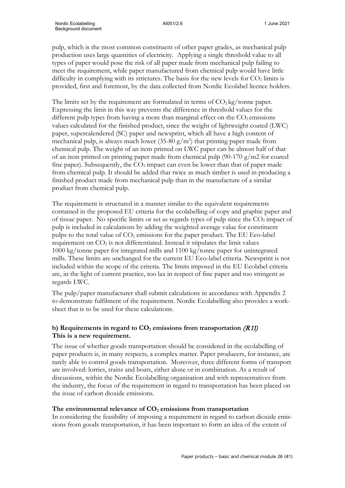pulp, which is the most common constituent of other paper grades, as mechanical pulp production uses large quantities of electricity. Applying a single threshold value to all types of paper would pose the risk of all paper made from mechanical pulp failing to meet the requirement, while paper manufactured from chemical pulp would have little difficulty in complying with its strictures. The basis for the new levels for  $CO<sub>2</sub>$  limits is provided, first and foremost, by the data collected from Nordic Ecolabel licence holders.

The limits set by the requirement are formulated in terms of  $CO<sub>2</sub>$  kg/tonne paper. Expressing the limit in this way prevents the difference in threshold values for the different pulp types from having a more than marginal effect on the  $CO<sub>2</sub>$  emissions values calculated for the finished product, since the weight of lightweight coated (LWC) paper, supercalendered (SC) paper and newsprint, which all have a high content of mechanical pulp, is always much lower (35-80  $g/m^2$ ) that printing paper made from chemical pulp. The weight of an item printed on LWC paper can be almost half of that of an item printed on printing paper made from chemical pulp (90-170 g/m2 for coated fine paper). Subsequently, the  $CO<sub>2</sub>$  impact can even be lower than that of paper made from chemical pulp. It should be added that twice as much timber is used in producing a finished product made from mechanical pulp than in the manufacture of a similar product from chemical pulp.

The requirement is structured in a manner similar to the equivalent requirements contained in the proposed EU criteria for the ecolabelling of copy and graphic paper and of tissue paper. No specific limits or set as regards types of pulp since the  $CO<sub>2</sub>$  impact of pulp is included in calculations by adding the weighted average value for constituent pulps to the total value of  $CO<sub>2</sub>$  emissions for the paper product. The EU Eco-label requirement on  $CO<sub>2</sub>$  is not differentiated. Instead it stipulates the limit values 1000 kg/tonne paper for integrated mills and 1100 kg/tonne paper for unintegrated mills. These limits are unchanged for the current EU Eco-label criteria. Newsprint is not included within the scope of the criteria. The limits imposed in the EU Ecolabel criteria are, in the light of current practice, too lax in respect of fine paper and too stringent as regards LWC.

The pulp/paper manufacturer shall submit calculations in accordance with Appendix 2 to demonstrate fulfilment of the requirement. Nordic Ecolabelling also provides a worksheet that is to be used for these calculations.

# **b) Requirements in regard to**  $CO<sub>2</sub>$  **emissions from transportation**  $(R11)$ **This is a new requirement.**

The issue of whether goods transportation should be considered in the ecolabelling of paper products is, in many respects, a complex matter. Paper producers, for instance, are rarely able to control goods transportation. Moreover, three different forms of transport are involved: lorries, trains and boats, either alone or in combination. As a result of discussions, within the Nordic Ecolabelling organisation and with representatives from the industry, the focus of the requirement in regard to transportation has been placed on the issue of carbon dioxide emissions.

#### The environmental relevance of  $CO<sub>2</sub>$  emissions from transportation

In considering the feasibility of imposing a requirement in regard to carbon dioxide emissions from goods transportation, it has been important to form an idea of the extent of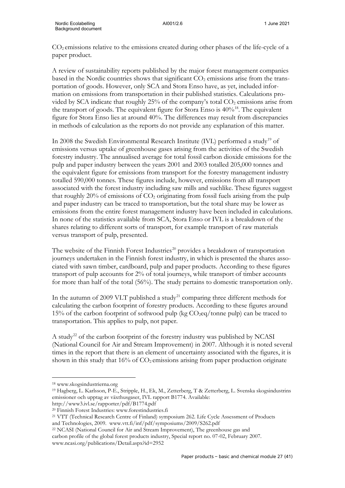CO2 emissions relative to the emissions created during other phases of the life-cycle of a paper product.

A review of sustainability reports published by the major forest management companies based in the Nordic countries shows that significant  $CO<sub>2</sub>$  emissions arise from the transportation of goods. However, only SCA and Stora Enso have, as yet, included information on emissions from transportation in their published statistics. Calculations provided by SCA indicate that roughly  $25%$  of the company's total  $CO<sub>2</sub>$  emissions arise from the transport of goods. The equivalent figure for Stora Enso is  $40\%$ <sup>[18](#page-29-0)</sup>. The equivalent figure for Stora Enso lies at around 40%. The differences may result from discrepancies in methods of calculation as the reports do not provide any explanation of this matter.

In 2008 the Swedish Environmental Research Institute (IVL) performed a study<sup>[19](#page-29-1)</sup> of emissions versus uptake of greenhouse gases arising from the activities of the Swedish forestry industry. The annualised average for total fossil carbon dioxide emissions for the pulp and paper industry between the years 2001 and 2003 totalled 205,000 tonnes and the equivalent figure for emissions from transport for the forestry management industry totalled 590,000 tonnes. These figures include, however, emissions from all transport associated with the forest industry including saw mills and suchlike. These figures suggest that roughly 20% of emissions of  $CO<sub>2</sub>$  originating from fossil fuels arising from the pulp and paper industry can be traced to transportation, but the total share may be lower as emissions from the entire forest management industry have been included in calculations. In none of the statistics available from SCA, Stora Enso or IVL is a breakdown of the shares relating to different sorts of transport, for example transport of raw materials versus transport of pulp, presented.

The website of the Finnish Forest Industries<sup>[20](#page-29-2)</sup> provides a breakdown of transportation journeys undertaken in the Finnish forest industry, in which is presented the shares associated with sawn timber, cardboard, pulp and paper products. According to these figures transport of pulp accounts for 2% of total journeys, while transport of timber accounts for more than half of the total (56%). The study pertains to domestic transportation only.

In the autumn of 2009 VLT published a study<sup>[21](#page-29-3)</sup> comparing three different methods for calculating the carbon footprint of forestry products. According to these figures around 15% of the carbon footprint of softwood pulp (kg  $CO<sub>2</sub>eq/tonne$  pulp) can be traced to transportation. This applies to pulp, not paper.

A study<sup>[22](#page-29-4)</sup> of the carbon footprint of the forestry industry was published by NCASI (National Council for Air and Stream Improvement) in 2007. Although it is noted several times in the report that there is an element of uncertainty associated with the figures, it is shown in this study that  $16\%$  of  $CO<sub>2</sub>$  emissions arising from paper production originate

<span id="page-29-0"></span><sup>18</sup> www.skogsindustrierna.org

<span id="page-29-1"></span><sup>19</sup> Hagberg, L. Karlsson, P-E., Stripple, H., Ek, M., Zetterberg, T & Zetterberg, L. Svenska skogsindustrins emissioner och upptag av växthusgaser, IVL rapport B1774. Available: http://www3.ivl.se/rapporter/pdf/B1774.pdf

<sup>20</sup> Finnish Forest Industries: www.forestindustries.fi

<span id="page-29-3"></span><span id="page-29-2"></span><sup>21</sup> VTT (Technical Research Centre of Finland) symposium 262. Life Cycle Assessment of Products

and Technologies, 2009. www.vtt.fi/inf/pdf/symposiums/2009/S262.pdf

<span id="page-29-4"></span><sup>22</sup> NCASI (National Council for Air and Stream Improvement), The greenhouse gas and carbon profile of the global forest products industry, Special report no. 07-02, February 2007. www.ncasi.org/publications/Detail.aspx?id=2952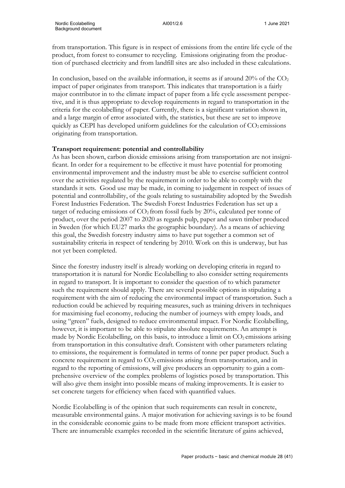from transportation. This figure is in respect of emissions from the entire life cycle of the product, from forest to consumer to recycling. Emissions originating from the production of purchased electricity and from landfill sites are also included in these calculations.

In conclusion, based on the available information, it seems as if around  $20\%$  of the  $CO<sub>2</sub>$ impact of paper originates from transport. This indicates that transportation is a fairly major contributor in to the climate impact of paper from a life cycle assessment perspective, and it is thus appropriate to develop requirements in regard to transportation in the criteria for the ecolabelling of paper. Currently, there is a significant variation shown in, and a large margin of error associated with, the statistics, but these are set to improve quickly as CEPI has developed uniform guidelines for the calculation of  $CO<sub>2</sub>$  emissions originating from transportation.

## **Transport requirement: potential and controllability**

As has been shown, carbon dioxide emissions arising from transportation are not insignificant. In order for a requirement to be effective it must have potential for promoting environmental improvement and the industry must be able to exercise sufficient control over the activities regulated by the requirement in order to be able to comply with the standards it sets. Good use may be made, in coming to judgement in respect of issues of potential and controllability, of the goals relating to sustainability adopted by the Swedish Forest Industries Federation. The Swedish Forest Industries Federation has set up a target of reducing emissions of  $CO<sub>2</sub>$  from fossil fuels by 20%, calculated per tonne of product, over the period 2007 to 2020 as regards pulp, paper and sawn timber produced in Sweden (for which EU27 marks the geographic boundary). As a means of achieving this goal, the Swedish forestry industry aims to have put together a common set of sustainability criteria in respect of tendering by 2010. Work on this is underway, but has not yet been completed.

Since the forestry industry itself is already working on developing criteria in regard to transportation it is natural for Nordic Ecolabelling to also consider setting requirements in regard to transport. It is important to consider the question of to which parameter such the requirement should apply. There are several possible options in stipulating a requirement with the aim of reducing the environmental impact of transportation. Such a reduction could be achieved by requiring measures, such as training drivers in techniques for maximising fuel economy, reducing the number of journeys with empty loads, and using "green" fuels, designed to reduce environmental impact. For Nordic Ecolabelling, however, it is important to be able to stipulate absolute requirements. An attempt is made by Nordic Ecolabelling, on this basis, to introduce a limit on  $CO<sub>2</sub>$  emissions arising from transportation in this consultative draft. Consistent with other parameters relating to emissions, the requirement is formulated in terms of tonne per paper product. Such a concrete requirement in regard to  $CO<sub>2</sub>$  emissions arising from transportation, and in regard to the reporting of emissions, will give producers an opportunity to gain a comprehensive overview of the complex problems of logistics posed by transportation. This will also give them insight into possible means of making improvements. It is easier to set concrete targets for efficiency when faced with quantified values.

Nordic Ecolabelling is of the opinion that such requirements can result in concrete, measurable environmental gains. A major motivation for achieving savings is to be found in the considerable economic gains to be made from more efficient transport activities. There are innumerable examples recorded in the scientific literature of gains achieved,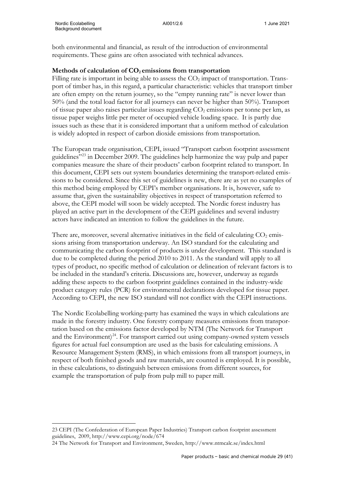both environmental and financial, as result of the introduction of environmental requirements. These gains are often associated with technical advances.

#### Methods of calculation of  $CO<sub>2</sub>$  emissions from transportation

Filling rate is important in being able to assess the  $CO<sub>2</sub>$  impact of transportation. Transport of timber has, in this regard, a particular characteristic: vehicles that transport timber are often empty on the return journey, so the "empty running rate" is never lower than 50% (and the total load factor for all journeys can never be higher than 50%). Transport of tissue paper also raises particular issues regarding  $CO<sub>2</sub>$  emissions per tonne per km, as tissue paper weighs little per meter of occupied vehicle loading space. It is partly due issues such as these that it is considered important that a uniform method of calculation is widely adopted in respect of carbon dioxide emissions from transportation.

The European trade organisation, CEPI, issued "Transport carbon footprint assessment guidelines"[23](#page-31-0) in December 2009. The guidelines help harmonize the way pulp and paper companies measure the share of their products' carbon footprint related to transport. In this document, CEPI sets out system boundaries determining the transport-related emissions to be considered. Since this set of guidelines is new, there are as yet no examples of this method being employed by CEPI's member organisations. It is, however, safe to assume that, given the sustainability objectives in respect of transportation referred to above, the CEPI model will soon be widely accepted. The Nordic forest industry has played an active part in the development of the CEPI guidelines and several industry actors have indicated an intention to follow the guidelines in the future.

There are, moreover, several alternative initiatives in the field of calculating  $CO<sub>2</sub>$  emissions arising from transportation underway. An ISO standard for the calculating and communicating the carbon footprint of products is under development. This standard is due to be completed during the period 2010 to 2011. As the standard will apply to all types of product, no specific method of calculation or delineation of relevant factors is to be included in the standard's criteria. Discussions are, however, underway as regards adding these aspects to the carbon footprint guidelines contained in the industry-wide product category rules (PCR) for environmental declarations developed for tissue paper. According to CEPI, the new ISO standard will not conflict with the CEPI instructions.

The Nordic Ecolabelling working-party has examined the ways in which calculations are made in the forestry industry. One forestry company measures emissions from transportation based on the emissions factor developed by NTM (The Network for Transport and the Environment) $^{24}$ . For transport carried out using company-owned system vessels figures for actual fuel consumption are used as the basis for calculating emissions. A Resource Management System (RMS), in which emissions from all transport journeys, in respect of both finished goods and raw materials, are counted is employed. It is possible, in these calculations, to distinguish between emissions from different sources, for example the transportation of pulp from pulp mill to paper mill.

<span id="page-31-0"></span><sup>23</sup> CEPI (The Confederation of European Paper Industries) Transport carbon footprint assessment guidelines, 2009, http://www.cepi.org/node/674

<span id="page-31-1"></span><sup>24</sup> The Network for Transport and Environment, Sweden, http://www.ntmcalc.se/index.html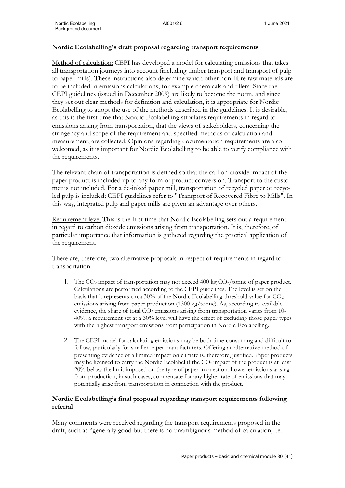### **Nordic Ecolabelling's draft proposal regarding transport requirements**

Method of calculation: CEPI has developed a model for calculating emissions that takes all transportation journeys into account (including timber transport and transport of pulp to paper mills). These instructions also determine which other non-fibre raw materials are to be included in emissions calculations, for example chemicals and fillers. Since the CEPI guidelines (issued in December 2009) are likely to become the norm, and since they set out clear methods for definition and calculation, it is appropriate for Nordic Ecolabelling to adopt the use of the methods described in the guidelines. It is desirable, as this is the first time that Nordic Ecolabelling stipulates requirements in regard to emissions arising from transportation, that the views of stakeholders, concerning the stringency and scope of the requirement and specified methods of calculation and measurement, are collected. Opinions regarding documentation requirements are also welcomed, as it is important for Nordic Ecolabelling to be able to verify compliance with the requirements.

The relevant chain of transportation is defined so that the carbon dioxide impact of the paper product is included up to any form of product conversion. Transport to the customer is not included. For a de-inked paper mill, transportation of recycled paper or recycled pulp is included; CEPI guidelines refer to "Transport of Recovered Fibre to Mills". In this way, integrated pulp and paper mills are given an advantage over others.

Requirement level This is the first time that Nordic Ecolabelling sets out a requirement in regard to carbon dioxide emissions arising from transportation. It is, therefore, of particular importance that information is gathered regarding the practical application of the requirement.

There are, therefore, two alternative proposals in respect of requirements in regard to transportation:

- 1. The  $CO<sub>2</sub>$  impact of transportation may not exceed 400 kg  $CO<sub>2</sub>/$  tonne of paper product. Calculations are performed according to the CEPI guidelines. The level is set on the basis that it represents circa 30% of the Nordic Ecolabelling threshold value for  $CO<sub>2</sub>$ emissions arising from paper production (1300 kg/tonne). As, according to available evidence, the share of total  $CO<sub>2</sub>$  emissions arising from transportation varies from 10-40%, a requirement set at a 30% level will have the effect of excluding those paper types with the highest transport emissions from participation in Nordic Ecolabelling.
- 2. The CEPI model for calculating emissions may be both time-consuming and difficult to follow, particularly for smaller paper manufacturers. Offering an alternative method of presenting evidence of a limited impact on climate is, therefore, justified. Paper products may be licensed to carry the Nordic Ecolabel if the CO2 impact of the product is at least 20% below the limit imposed on the type of paper in question. Lower emissions arising from production, in such cases, compensate for any higher rate of emissions that may potentially arise from transportation in connection with the product.

## **Nordic Ecolabelling's final proposal regarding transport requirements following referral**

Many comments were received regarding the transport requirements proposed in the draft, such as "generally good but there is no unambiguous method of calculation, i.e.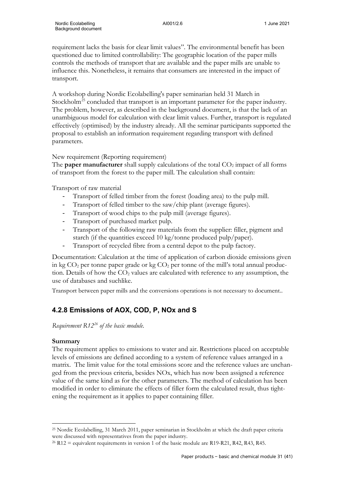requirement lacks the basis for clear limit values". The environmental benefit has been questioned due to limited controllability: The geographic location of the paper mills controls the methods of transport that are available and the paper mills are unable to influence this. Nonetheless, it remains that consumers are interested in the impact of transport.

A workshop during Nordic Ecolabelling's paper seminarian held 31 March in Stockholm<sup>[25](#page-33-0)</sup> concluded that transport is an important parameter for the paper industry. The problem, however, as described in the background document, is that the lack of an unambiguous model for calculation with clear limit values. Further, transport is regulated effectively (optimised) by the industry already. All the seminar participants supported the proposal to establish an information requirement regarding transport with defined parameters.

## New requirement (Reporting requirement)

The **paper manufacturer** shall supply calculations of the total  $CO<sub>2</sub>$  impact of all forms of transport from the forest to the paper mill. The calculation shall contain:

Transport of raw material

- Transport of felled timber from the forest (loading area) to the pulp mill.
- Transport of felled timber to the saw/chip plant (average figures).
- Transport of wood chips to the pulp mill (average figures).
- Transport of purchased market pulp.
- Transport of the following raw materials from the supplier: filler, pigment and starch (if the quantities exceed 10 kg/tonne produced pulp/paper).
- Transport of recycled fibre from a central depot to the pulp factory.

Documentation: Calculation at the time of application of carbon dioxide emissions given in kg  $CO<sub>2</sub>$  per tonne paper grade or kg  $CO<sub>2</sub>$  per tonne of the mill's total annual production. Details of how the  $CO<sub>2</sub>$  values are calculated with reference to any assumption, the use of databases and suchlike.

Transport between paper mills and the conversions operations is not necessary to document..

# **4.2.8 Emissions of AOX, COD, P, NOx and S**

*Requirement R12[26](#page-33-1) of the basic module.* 

#### **Summary**

The requirement applies to emissions to water and air. Restrictions placed on acceptable levels of emissions are defined according to a system of reference values arranged in a matrix. The limit value for the total emissions score and the reference values are unchanged from the previous criteria, besides NOx, which has now been assigned a reference value of the same kind as for the other parameters. The method of calculation has been modified in order to eliminate the effects of filler form the calculated result, thus tightening the requirement as it applies to paper containing filler.

<span id="page-33-0"></span><sup>25</sup> Nordic Ecolabelling, 31 March 2011, paper seminarian in Stockholm at which the draft paper criteria were discussed with representatives from the paper industry.

<span id="page-33-1"></span><sup>&</sup>lt;sup>26</sup> R12 = equivalent requirements in version 1 of the basic module are R19-R21, R42, R43, R45.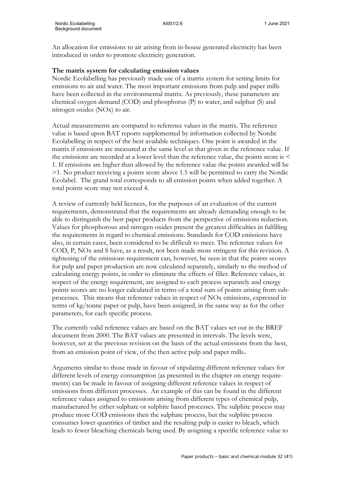An allocation for emissions to air arising from in-house generated electricity has been introduced in order to promote electricity generation.

### **The matrix system for calculating emission values**

Nordic Ecolabelling has previously made use of a matrix system for setting limits for emissions to air and water. The most important emissions from pulp and paper mills have been collected in the environmental matrix. As previously, these parameters are chemical oxygen demand (COD) and phosphorus (P) to water, and sulphur (S) and nitrogen oxides (NOx) to air.

Actual measurements are compared to reference values in the matrix. The reference value is based upon BAT reports supplemented by information collected by Nordic Ecolabelling in respect of the best available techniques. One point is awarded in the matrix if emissions are measured at the same level as that given in the reference value. If the emissions are recorded at a lower level than the reference value, the points score is < 1. If emissions are higher than allowed by the reference value the points awarded will be >1. No product receiving a points score above 1.5 will be permitted to carry the Nordic Ecolabel. The grand total corresponds to all emission points when added together. A total points score may not exceed 4.

A review of currently held licences, for the purposes of an evaluation of the current requirements, demonstrated that the requirements are already demanding enough to be able to distinguish the best paper products from the perspective of emissions reduction. Values for phosphorous and nitrogen oxides present the greatest difficulties in fulfilling the requirements in regard to chemical emissions. Standards for COD emissions have also, in certain cases, been considered to be difficult to meet. The reference values for COD, P, NOx and S have, as a result, not been made more stringent for this revision. A tightening of the emissions requirement can, however, be seen in that the points scores for pulp and paper production are now calculated separately, similarly to the method of calculating energy points, in order to eliminate the effects of filler. Reference values, in respect of the energy requirement, are assigned to each process separately and energy points scores are no longer calculated in terms of a total sum of points arising from subprocesses. This means that reference values in respect of NOx emissions, expressed in terms of kg/tonne paper or pulp, have been assigned, in the same way as for the other parameters, for each specific process.

The currently valid reference values are based on the BAT values set out in the BREF document from 2000. The BAT values are presented in intervals. The levels were, however, set at the previous revision on the basis of the actual emissions from the best, from an emission point of view, of the then active pulp and paper mills.

Arguments similar to those made in favour of stipulating different reference values for different levels of energy consumption (as presented in the chapter on energy requirements) can be made in favour of assigning different reference values in respect of emissions from different processes. An example of this can be found in the different reference values assigned to emissions arising from different types of chemical pulp, manufactured by either sulphate or sulphite based processes. The sulphite process may produce more COD emissions then the sulphate process, but the sulphite process consumes lower quantities of timber and the resulting pulp is easier to bleach, which leads to fewer bleaching chemicals being used. By assigning a specific reference value to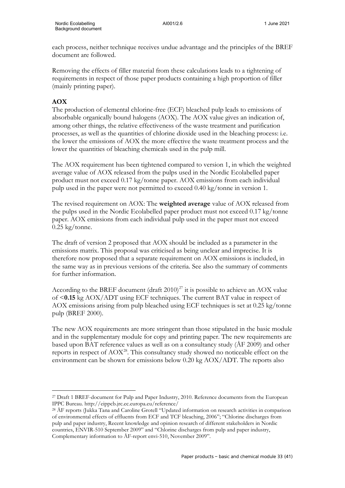each process, neither technique receives undue advantage and the principles of the BREF document are followed.

Removing the effects of filler material from these calculations leads to a tightening of requirements in respect of those paper products containing a high proportion of filler (mainly printing paper).

# **AOX**

The production of elemental chlorine-free (ECF) bleached pulp leads to emissions of absorbable organically bound halogens (AOX). The AOX value gives an indication of, among other things, the relative effectiveness of the waste treatment and purification processes, as well as the quantities of chlorine dioxide used in the bleaching process: i.e. the lower the emissions of AOX the more effective the waste treatment process and the lower the quantities of bleaching chemicals used in the pulp mill.

The AOX requirement has been tightened compared to version 1, in which the weighted average value of AOX released from the pulps used in the Nordic Ecolabelled paper product must not exceed 0.17 kg/tonne paper. AOX emissions from each individual pulp used in the paper were not permitted to exceed 0.40 kg/tonne in version 1.

The revised requirement on AOX: The **weighted average** value of AOX released from the pulps used in the Nordic Ecolabelled paper product must not exceed 0.17 kg/tonne paper. AOX emissions from each individual pulp used in the paper must not exceed  $0.25 \text{ kg}$ /tonne.

The draft of version 2 proposed that AOX should be included as a parameter in the emissions matrix. This proposal was criticised as being unclear and imprecise. It is therefore now proposed that a separate requirement on AOX emissions is included, in the same way as in previous versions of the criteria. See also the summary of comments for further information.

According to the BREF document (draft  $2010)^{27}$  $2010)^{27}$  $2010)^{27}$  it is possible to achieve an AOX value of <**0.15** kg AOX/ADT using ECF techniques. The current BAT value in respect of AOX emissions arising from pulp bleached using ECF techniques is set at 0.25 kg/tonne pulp (BREF 2000).

The new AOX requirements are more stringent than those stipulated in the basic module and in the supplementary module for copy and printing paper. The new requirements are based upon BAT reference values as well as on a consultancy study (ÅF 2009) and other reports in respect of  $AOX^{28}$ . This consultancy study showed no noticeable effect on the environment can be shown for emissions below 0.20 kg AOX/ADT. The reports also

<span id="page-35-0"></span><sup>&</sup>lt;sup>27</sup> Draft 1 BREF-document for Pulp and Paper Industry, 2010. Reference documents from the European IPPC Bureau. http://eippcb.jrc.ec.europa.eu/reference/

<span id="page-35-1"></span><sup>28</sup> ÅF reports (Jukka Tana and Caroline Grotell "Updated information on research activities in comparison of environmental effects of effluents from ECF and TCF bleaching, 2006"; "Chlorine discharges from pulp and paper industry, Recent knowledge and opinion research of different stakeholders in Nordic countries, ENVIR-510 September 2009" and "Chlorine discharges from pulp and paper industry, Complementary information to ÅF-report envi-510, November 2009".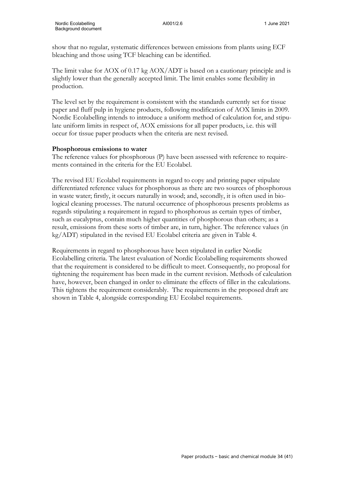show that no regular, systematic differences between emissions from plants using ECF bleaching and those using TCF bleaching can be identified.

The limit value for AOX of 0.17 kg AOX/ADT is based on a cautionary principle and is slightly lower than the generally accepted limit. The limit enables some flexibility in production.

The level set by the requirement is consistent with the standards currently set for tissue paper and fluff pulp in hygiene products, following modification of AOX limits in 2009. Nordic Ecolabelling intends to introduce a uniform method of calculation for, and stipulate uniform limits in respect of, AOX emissions for all paper products, i.e. this will occur for tissue paper products when the criteria are next revised.

#### **Phosphorous emissions to water**

The reference values for phosphorous (P) have been assessed with reference to requirements contained in the criteria for the EU Ecolabel.

The revised EU Ecolabel requirements in regard to copy and printing paper stipulate differentiated reference values for phosphorous as there are two sources of phosphorous in waste water; firstly, it occurs naturally in wood; and, secondly, it is often used in biological cleaning processes. The natural occurrence of phosphorous presents problems as regards stipulating a requirement in regard to phosphorous as certain types of timber, such as eucalyptus, contain much higher quantities of phosphorous than others; as a result, emissions from these sorts of timber are, in turn, higher. The reference values (in kg/ADT) stipulated in the revised EU Ecolabel criteria are given in Table 4.

Requirements in regard to phosphorous have been stipulated in earlier Nordic Ecolabelling criteria. The latest evaluation of Nordic Ecolabelling requirements showed that the requirement is considered to be difficult to meet. Consequently, no proposal for tightening the requirement has been made in the current revision. Methods of calculation have, however, been changed in order to eliminate the effects of filler in the calculations. This tightens the requirement considerably. The requirements in the proposed draft are shown in Table 4, alongside corresponding EU Ecolabel requirements.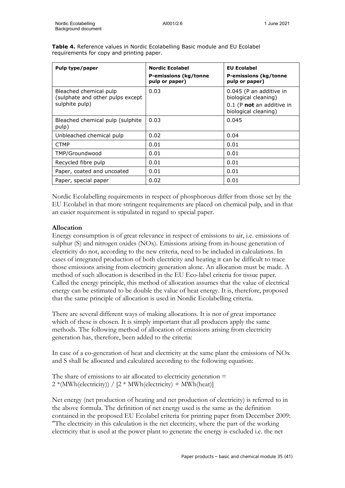| Pulp type/paper                                                              | <b>Nordic Ecolabel</b><br>P-emissions (kg/tonne<br>pulp or paper) | <b>EU Ecolabel</b><br><b>P-emissions (kg/tonne</b><br>pulp or paper)                                 |
|------------------------------------------------------------------------------|-------------------------------------------------------------------|------------------------------------------------------------------------------------------------------|
| Bleached chemical pulp<br>(sulphate and other pulps except<br>sulphite pulp) | 0.03                                                              | 0.045 (P an additive in<br>biological cleaning)<br>0.1 (P not an additive in<br>biological cleaning) |
| Bleached chemical pulp (sulphite)<br>pulp)                                   | 0.03                                                              | 0.045                                                                                                |
| Unbleached chemical pulp                                                     | 0.02                                                              | 0.04                                                                                                 |
| <b>CTMP</b>                                                                  | 0.01                                                              | 0.01                                                                                                 |
| TMP/Groundwood                                                               | 0.01                                                              | 0.01                                                                                                 |
| Recycled fibre pulp                                                          | 0.01                                                              | 0.01                                                                                                 |
| Paper, coated and uncoated                                                   | 0.01                                                              | 0.01                                                                                                 |
| Paper, special paper                                                         | 0.02                                                              | 0.01                                                                                                 |

**Table 4.** Reference values in Nordic Ecolabelling Basic module and EU Ecolabel requirements for copy and printing paper.

Nordic Ecolabelling requirements in respect of phosphorous differ from those set by the EU Ecolabel in that more stringent requirements are placed on chemical pulp, and in that an easier requirement is stipulated in regard to special paper.

#### **Allocation**

Energy consumption is of great relevance in respect of emissions to air, i.e. emissions of sulphur (S) and nitrogen oxides (NOx). Emissions arising from in-house generation of electricity do not, according to the new criteria, need to be included in calculations. In cases of integrated production of both electricity and heating it can be difficult to trace those emissions arising from electricity generation alone. An allocation must be made. A method of such allocation is described in the EU Eco-label criteria for tissue paper. Called the energy principle, this method of allocation assumes that the value of electrical energy can be estimated to be double the value of heat energy. It is, therefore, proposed that the same principle of allocation is used in Nordic Ecolabelling criteria.

There are several different ways of making allocations. It is not of great importance which of these is chosen. It is simply important that all producers apply the same methods. The following method of allocation of emissions arising from electricity generation has, therefore, been added to the criteria:

In case of a co-generation of heat and electricity at the same plant the emissions of NOx and S shall be allocated and calculated according to the following equation:

The share of emissions to air allocated to electricity generation  $=$  $2*(MWh(electricity)) / [2 * MWh(electricity) + MWh(heat)]$ 

Net energy (net production of heating and net production of electricity) is referred to in the above formula. The definition of net energy used is the same as the definition contained in the proposed EU Ecolabel criteria for printing paper from December 2009: "The electricity in this calculation is the net electricity, where the part of the working electricity that is used at the power plant to generate the energy is excluded i.e. the net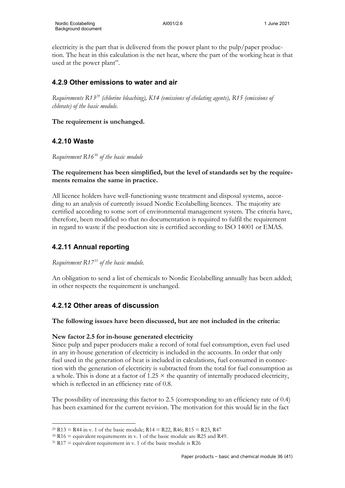electricity is the part that is delivered from the power plant to the pulp/paper production. The heat in this calculation is the net heat, where the part of the working heat is that used at the power plant".

## **4.2.9 Other emissions to water and air**

*Requirements R13[29](#page-38-0) (chlorine bleaching), K14 (emissions of chelating agents), R15 (emissions of chlorate) of the basic module.*

#### **The requirement is unchanged.**

## **4.2.10 Waste**

*Requirement R16[30](#page-38-1) of the basic module*

#### **The requirement has been simplified, but the level of standards set by the requirements remains the same in practice.**

All licence holders have well-functioning waste treatment and disposal systems, according to an analysis of currently issued Nordic Ecolabelling licences. The majority are certified according to some sort of environmental management system. The criteria have, therefore, been modified so that no documentation is required to fulfil the requirement in regard to waste if the production site is certified according to ISO 14001 or EMAS.

## **4.2.11 Annual reporting**

*Requirement R17[31](#page-38-2) of the basic module.*

An obligation to send a list of chemicals to Nordic Ecolabelling annually has been added; in other respects the requirement is unchanged.

## **4.2.12 Other areas of discussion**

## **The following issues have been discussed, but are not included in the criteria:**

## **New factor 2.5 for in-house generated electricity**

Since pulp and paper producers make a record of total fuel consumption, even fuel used in any in-house generation of electricity is included in the accounts. In order that only fuel used in the generation of heat is included in calculations, fuel consumed in connection with the generation of electricity is subtracted from the total for fuel consumption as a whole. This is done at a factor of  $1.25 \times$  the quantity of internally produced electricity, which is reflected in an efficiency rate of 0.8.

The possibility of increasing this factor to 2.5 (corresponding to an efficiency rate of 0.4) has been examined for the current revision. The motivation for this would lie in the fact

<span id="page-38-0"></span><sup>&</sup>lt;sup>29</sup> R13 = R44 in v. 1 of the basic module; R14 = R22, R46; R15 = R23, R47

<span id="page-38-1"></span> $30$  R16 = equivalent requirements in v. 1 of the basic module are R25 and R49.

<span id="page-38-2"></span> $31$  R17 = equivalent requirement in v. 1 of the basic module is R26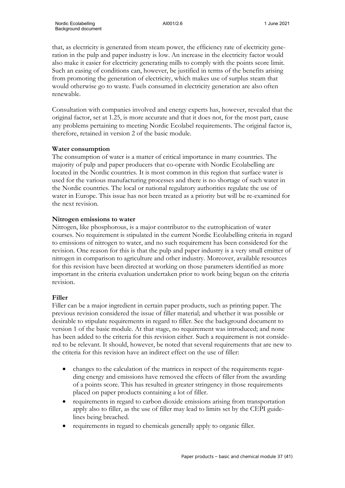that, as electricity is generated from steam power, the efficiency rate of electricity generation in the pulp and paper industry is low. An increase in the electricity factor would also make it easier for electricity generating mills to comply with the points score limit. Such an easing of conditions can, however, be justified in terms of the benefits arising from promoting the generation of electricity, which makes use of surplus steam that would otherwise go to waste. Fuels consumed in electricity generation are also often renewable.

Consultation with companies involved and energy experts has, however, revealed that the original factor, set at 1.25, is more accurate and that it does not, for the most part, cause any problems pertaining to meeting Nordic Ecolabel requirements. The original factor is, therefore, retained in version 2 of the basic module.

#### **Water consumption**

The consumption of water is a matter of critical importance in many countries. The majority of pulp and paper producers that co-operate with Nordic Ecolabelling are located in the Nordic countries. It is most common in this region that surface water is used for the various manufacturing processes and there is no shortage of such water in the Nordic countries. The local or national regulatory authorities regulate the use of water in Europe. This issue has not been treated as a priority but will be re-examined for the next revision.

#### **Nitrogen emissions to water**

Nitrogen, like phosphorous, is a major contributor to the eutrophication of water courses. No requirement is stipulated in the current Nordic Ecolabelling criteria in regard to emissions of nitrogen to water, and no such requirement has been considered for the revision. One reason for this is that the pulp and paper industry is a very small emitter of nitrogen in comparison to agriculture and other industry. Moreover, available resources for this revision have been directed at working on those parameters identified as more important in the criteria evaluation undertaken prior to work being begun on the criteria revision.

#### **Filler**

Filler can be a major ingredient in certain paper products, such as printing paper. The previous revision considered the issue of filler material; and whether it was possible or desirable to stipulate requirements in regard to filler. See the background document to version 1 of the basic module. At that stage, no requirement was introduced; and none has been added to the criteria for this revision either. Such a requirement is not considered to be relevant. It should, however, be noted that several requirements that are new to the criteria for this revision have an indirect effect on the use of filler:

- changes to the calculation of the matrices in respect of the requirements regarding energy and emissions have removed the effects of filler from the awarding of a points score. This has resulted in greater stringency in those requirements placed on paper products containing a lot of filler.
- requirements in regard to carbon dioxide emissions arising from transportation apply also to filler, as the use of filler may lead to limits set by the CEPI guidelines being breached.
- requirements in regard to chemicals generally apply to organic filler.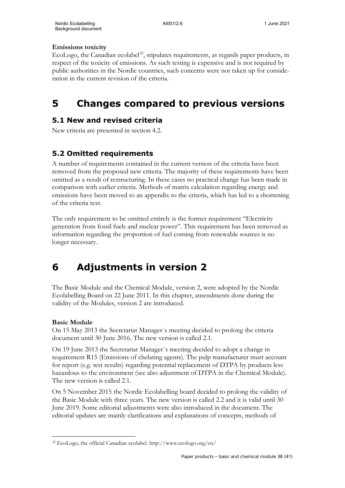## **Emissions toxicity**

EcoLogo, the Canadian ecolabel<sup>[32](#page-40-0)</sup>, stipulates requirements, as regards paper products, in respect of the toxicity of emissions. As such testing is expensive and is not required by public authorities in the Nordic countries, such concerns were not taken up for consideration in the current revision of the criteria.

# **5 Changes compared to previous versions**

## **5.1 New and revised criteria**

New criteria are presented in section 4.2.

## **5.2 Omitted requirements**

A number of requirements contained in the current version of the criteria have been removed from the proposed new criteria. The majority of these requirements have been omitted as a result of restructuring. In these cases no practical change has been made in comparison with earlier criteria. Methods of matrix calculation regarding energy and emissions have been moved to an appendix to the criteria, which has led to a shortening of the criteria text.

The only requirement to be omitted entirely is the former requirement "Electricity generation from fossil fuels and nuclear power". This requirement has been removed as information regarding the proportion of fuel coming from renewable sources is no longer necessary.

# **6 Adjustments in version 2**

The Basic Module and the Chemical Module, version 2, were adopted by the Nordic Ecolabelling Board on 22 June 2011. In this chapter, amendments done during the validity of the Modules, version 2 are introduced.

## **Basic Module**

On 15 May 2013 the Secretariat Manager´s meeting decided to prolong the criteria document until 30 June 2016. The new version is called 2.1.

On 19 June 2013 the Secretariat Manager´s meeting decided to adopt a change in requirement R15 (Emissions of chelating agents). The pulp manufacturer must account for report (e.g. test results) regarding potential replacement of DTPA by products less hazardous to the environment (see also adjustment of DTPA in the Chemical Module). The new version is called 2.1.

On 5 November 2015 the Nordic Ecolabelling board decided to prolong the validity of the Basic Module with three years. The new version is called 2.2 and it is valid until 30 June 2019. Some editorial adjustments were also introduced in the document. The editorial updates are mainly clarifications and explanations of concepts, methods of

<span id="page-40-0"></span><sup>32</sup> EcoLogo, the official Canadian ecolabel. http://www.ecologo.org/en/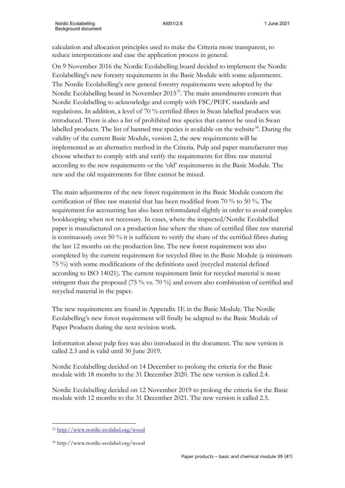calculation and allocation principles used to make the Criteria more transparent, to reduce interpretations and ease the application process in general.

Nordic Ecolabelling Background document

On 9 November 2016 the Nordic Ecolabelling board decided to implement the Nordic Ecolabelling's new forestry requirements in the Basic Module with some adjustments. The Nordic Ecolabelling's new general forestry requirements were adopted by the Nordic Ecolabelling board in November 2015<sup>[33](#page-41-0)</sup>. The main amendments concern that Nordic Ecolabelling to acknowledge and comply with FSC/PEFC standards and regulations. In addition, a level of 70 % certified fibres in Swan labelled products was introduced. There is also a list of prohibited tree species that cannot be used in Swan labelled products. The list of banned tree species is available on the website $34$ . During the validity of the current Basic Module, version 2, the new requirements will be implemented as an alternative method in the Criteria. Pulp and paper manufacturer may choose whether to comply with and verify the requirements for fibre raw material according to the new requirements or the 'old' requirements in the Basic Module. The new and the old requirements for fibre cannot be mixed.

The main adjustments of the new forest requirement in the Basic Module concern the certification of fibre raw material that has been modified from 70 % to 50 %. The requirement for accounting has also been reformulated slightly in order to avoid complex bookkeeping when not necessary. In cases, where the inspected/Nordic Ecolabelled paper is manufactured on a production line where the share of certified fibre raw material is continuously over 50 % it is sufficient to verify the share of the certified fibres during the last 12 months on the production line. The new forest requirement was also completed by the current requirement for recycled fibre in the Basic Module (a minimum 75 %) with some modifications of the definitions used (recycled material defined according to ISO 14021). The current requirement limit for recycled material is more stringent than the proposed (75 % vs. 70 %) and covers also combination of certified and recycled material in the paper.

The new requirements are found in Appendix 1E in the Basic Module. The Nordic Ecolabelling's new forest requirement will finally be adapted to the Basic Module of Paper Products during the next revision work.

Information about pulp fees was also introduced in the document. The new version is called 2.3 and is valid until 30 June 2019.

Nordic Ecolabelling decided on 14 December to prolong the criteria for the Basic module with 18 months to the 31 December 2020. The new version is called 2.4.

Nordic Ecolabelling decided on 12 November 2019 to prolong the criteria for the Basic module with 12 months to the 31 December 2021. The new version is called 2.5.

<span id="page-41-0"></span><sup>33</sup> <http://www.nordic-ecolabel.org/wood>

<span id="page-41-1"></span><sup>34</sup> http://www.nordic-ecolabel.org/wood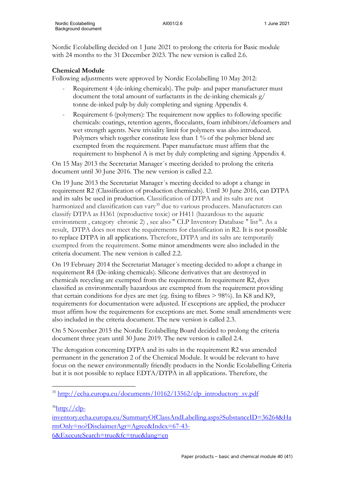Nordic Ecolabelling decided on 1 June 2021 to prolong the criteria for Basic module with 24 months to the 31 December 2023. The new version is called 2.6.

#### **Chemical Module**

Following adjustments were approved by Nordic Ecolabelling 10 May 2012:

- Requirement 4 (de-inking chemicals). The pulp- and paper manufacturer must document the total amount of surfactants in the de-inking chemicals g/ tonne de-inked pulp by duly completing and signing Appendix 4.
- Requirement 6 (polymers): The requirement now applies to following specific chemicals: coatings, retention agents, flocculants, foam inhibitors/defoamers and wet strength agents. New triviality limit for polymers was also introduced. Polymers which together constitute less than 1 % of the polymer blend are exempted from the requirement. Paper manufacture must affirm that the requirement to bisphenol A is met by duly completing and signing Appendix 4.

On 15 May 2013 the Secretariat Manager´s meeting decided to prolong the criteria document until 30 June 2016. The new version is called 2.2.

On 19 June 2013 the Secretariat Manager´s meeting decided to adopt a change in requirement R2 (Classification of production chemicals). Until 30 June 2016, can DTPA and its salts be used in production. Classification of DTPA and its salts are not harmonized and classification can vary<sup>35</sup> due to various producers. Manufacturers can classify DTPA as H361 (reproductive toxic) or H411 (hazardous to the aquatic environment, category chronic 2), see also " CLP Inventory Database " list<sup>[36](#page-42-1)</sup>. As a result, DTPA does not meet the requirements for classification in R2. It is not possible to replace DTPA in all applications. Therefore, DTPA and its salts are temporarily exempted from the requirement. Some minor amendments were also included in the criteria document. The new version is called 2.2.

On 19 February 2014 the Secretariat Manager´s meeting decided to adopt a change in requirement R4 (De-inking chemicals). Silicone derivatives that are destroyed in chemicals recycling are exempted from the requirement. In requirement R2, dyes classified as environmentally hazardous are exempted from the requirement providing that certain conditions for dyes are met (eg. fixing to fibres > 98%). In K8 and K9, requirements for documentation were adjusted. If exceptions are applied, the producer must affirm how the requirements for exceptions are met. Some small amendments were also included in the criteria document. The new version is called 2.3.

On 5 November 2015 the Nordic Ecolabelling Board decided to prolong the criteria document three years until 30 June 2019. The new version is called 2.4.

The derogation concerning DTPA and its salts in the requirement R2 was amended permanent in the generation 2 of the Chemical Module. It would be relevant to have focus on the newer environmentally friendly products in the Nordic Ecolabelling Criteria but it is not possible to replace EDTA/DTPA in all applications. Therefore, the

<span id="page-42-1"></span> $36$ http://clp-

<span id="page-42-0"></span><sup>&</sup>lt;sup>35</sup> [http://echa.europa.eu/documents/10162/13562/clp\\_introductory\\_sv.pdf](http://echa.europa.eu/documents/10162/13562/clp_introductory_sv.pdf)

[inventory.echa.europa.eu/SummaryOfClassAndLabelling.aspx?SubstanceID=36264&Ha](http://clp-inventory.echa.europa.eu/SummaryOfClassAndLabelling.aspx?SubstanceID=36264&HarmOnly=no?DisclaimerAgr=Agree&Index=67-43-6&ExecuteSearch=true&fc=true&lang=en) [rmOnly=no?DisclaimerAgr=Agree&Index=67-43-](http://clp-inventory.echa.europa.eu/SummaryOfClassAndLabelling.aspx?SubstanceID=36264&HarmOnly=no?DisclaimerAgr=Agree&Index=67-43-6&ExecuteSearch=true&fc=true&lang=en) [6&ExecuteSearch=true&fc=true&lang=en](http://clp-inventory.echa.europa.eu/SummaryOfClassAndLabelling.aspx?SubstanceID=36264&HarmOnly=no?DisclaimerAgr=Agree&Index=67-43-6&ExecuteSearch=true&fc=true&lang=en)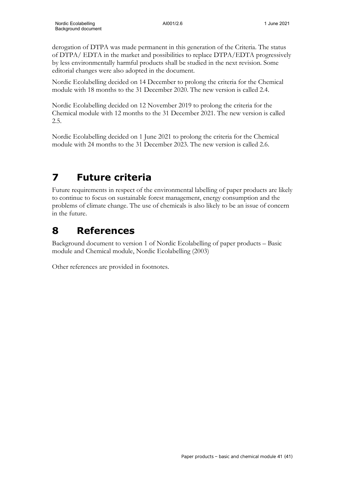derogation of DTPA was made permanent in this generation of the Criteria. The status of DTPA/ EDTA in the market and possibilities to replace DTPA/EDTA progressively by less environmentally harmful products shall be studied in the next revision. Some editorial changes were also adopted in the document.

Nordic Ecolabelling decided on 14 December to prolong the criteria for the Chemical module with 18 months to the 31 December 2020. The new version is called 2.4.

Nordic Ecolabelling decided on 12 November 2019 to prolong the criteria for the Chemical module with 12 months to the 31 December 2021. The new version is called 2.5.

Nordic Ecolabelling decided on 1 June 2021 to prolong the criteria for the Chemical module with 24 months to the 31 December 2023. The new version is called 2.6.

# **7 Future criteria**

Future requirements in respect of the environmental labelling of paper products are likely to continue to focus on sustainable forest management, energy consumption and the problems of climate change. The use of chemicals is also likely to be an issue of concern in the future.

# **8 References**

Background document to version 1 of Nordic Ecolabelling of paper products – Basic module and Chemical module, Nordic Ecolabelling (2003)

Other references are provided in footnotes.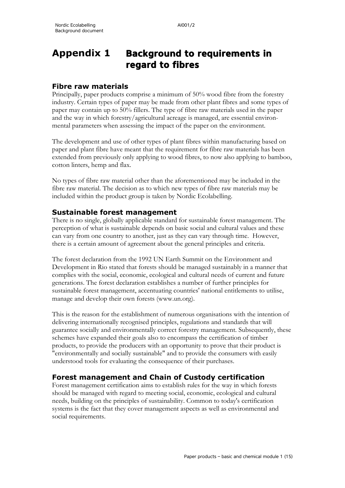# **Appendix 1 Background to requirements in regard to fibres**

## **Fibre raw materials**

Principally, paper products comprise a minimum of 50% wood fibre from the forestry industry. Certain types of paper may be made from other plant fibres and some types of paper may contain up to 50% fillers. The type of fibre raw materials used in the paper and the way in which forestry/agricultural acreage is managed, are essential environmental parameters when assessing the impact of the paper on the environment.

The development and use of other types of plant fibres within manufacturing based on paper and plant fibre have meant that the requirement for fibre raw materials has been extended from previously only applying to wood fibres, to now also applying to bamboo, cotton linters, hemp and flax.

No types of fibre raw material other than the aforementioned may be included in the fibre raw material. The decision as to which new types of fibre raw materials may be included within the product group is taken by Nordic Ecolabelling.

## **Sustainable forest management**

There is no single, globally applicable standard for sustainable forest management. The perception of what is sustainable depends on basic social and cultural values and these can vary from one country to another, just as they can vary through time. However, there is a certain amount of agreement about the general principles and criteria.

The forest declaration from the 1992 UN Earth Summit on the Environment and Development in Rio stated that forests should be managed sustainably in a manner that complies with the social, economic, ecological and cultural needs of current and future generations. The forest declaration establishes a number of further principles for sustainable forest management, accentuating countries' national entitlements to utilise, manage and develop their own forests (www.un.org).

This is the reason for the establishment of numerous organisations with the intention of delivering internationally recognised principles, regulations and standards that will guarantee socially and environmentally correct forestry management. Subsequently, these schemes have expanded their goals also to encompass the certification of timber products, to provide the producers with an opportunity to prove that their product is "environmentally and socially sustainable" and to provide the consumers with easily understood tools for evaluating the consequence of their purchases.

## **Forest management and Chain of Custody certification**

Forest management certification aims to establish rules for the way in which forests should be managed with regard to meeting social, economic, ecological and cultural needs, building on the principles of sustainability. Common to today's certification systems is the fact that they cover management aspects as well as environmental and social requirements.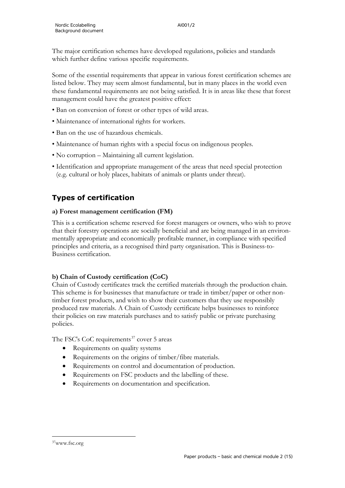The major certification schemes have developed regulations, policies and standards which further define various specific requirements.

Some of the essential requirements that appear in various forest certification schemes are listed below. They may seem almost fundamental, but in many places in the world even these fundamental requirements are not being satisfied. It is in areas like these that forest management could have the greatest positive effect:

- Ban on conversion of forest or other types of wild areas.
- Maintenance of international rights for workers.
- Ban on the use of hazardous chemicals.
- Maintenance of human rights with a special focus on indigenous peoples.
- No corruption Maintaining all current legislation.
- Identification and appropriate management of the areas that need special protection (e.g. cultural or holy places, habitats of animals or plants under threat).

## **Types of certification**

#### **a) Forest management certification (FM)**

This is a certification scheme reserved for forest managers or owners, who wish to prove that their forestry operations are socially beneficial and are being managed in an environmentally appropriate and economically profitable manner, in compliance with specified principles and criteria, as a recognised third party organisation. This is Business-to-Business certification.

#### **b) Chain of Custody certification (CoC)**

Chain of Custody certificates track the certified materials through the production chain. This scheme is for businesses that manufacture or trade in timber/paper or other nontimber forest products, and wish to show their customers that they use responsibly produced raw materials. A Chain of Custody certificate helps businesses to reinforce their policies on raw materials purchases and to satisfy public or private purchasing policies.

The FSC's CoC requirements<sup>[37](#page-45-0)</sup> cover 5 areas

- Requirements on quality systems
- Requirements on the origins of timber/fibre materials.
- Requirements on control and documentation of production.
- Requirements on FSC products and the labelling of these.
- Requirements on documentation and specification.

<span id="page-45-0"></span><sup>37</sup>www.fsc.org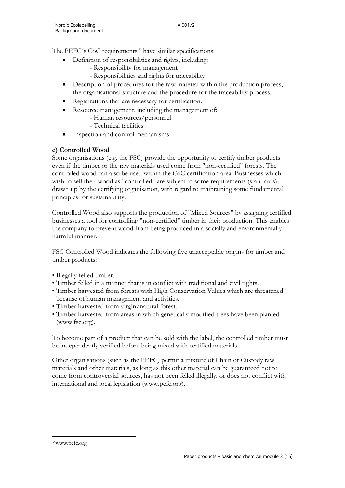The PEFC's CoC requirements<sup>[38](#page-46-0)</sup> have similar specifications:

- Definition of responsibilities and rights, including:
	- Responsibility for management
	- Responsibilities and rights for traceability
- Description of procedures for the raw material within the production process, the organisational structure and the procedure for the traceability process.
- Registrations that are necessary for certification.
- Resource management, including the management of:
	- Human resources/personnel
	- Technical facilities
- Inspection and control mechanisms

#### **c) Controlled Wood**

Some organisations (e.g. the FSC) provide the opportunity to certify timber products even if the timber or the raw materials used come from "non-certified" forests. The controlled wood can also be used within the CoC certification area. Businesses which wish to sell their wood as "controlled" are subject to some requirements (standards), drawn up by the certifying organisation, with regard to maintaining some fundamental principles for sustainability.

Controlled Wood also supports the production of "Mixed Sources" by assigning certified businesses a tool for controlling "non-certified" timber in their production. This enables the company to prevent wood from being produced in a socially and environmentally harmful manner.

FSC Controlled Wood indicates the following five unacceptable origins for timber and timber products:

- Illegally felled timber.
- Timber felled in a manner that is in conflict with traditional and civil rights.
- Timber harvested from forests with High Conservation Values which are threatened because of human management and activities.
- Timber harvested from virgin/natural forest.
- Timber harvested from areas in which genetically modified trees have been planted (www.fsc.org).

To become part of a product that can be sold with the label, the controlled timber must be independently verified before being mixed with certified materials.

Other organisations (such as the PEFC) permit a mixture of Chain of Custody raw materials and other materials, as long as this other material can be guaranteed not to come from controversial sources, has not been felled illegally, or does not conflict with international and local legislation (www.pefc.org).

<span id="page-46-0"></span>38www.pefc.org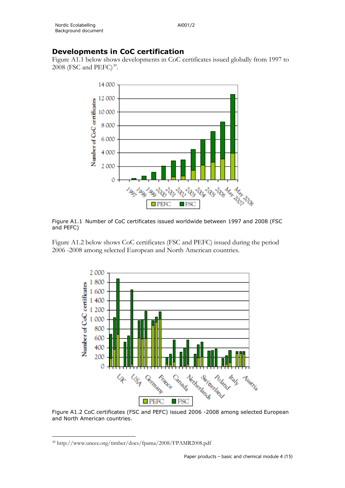## **Developments in CoC certification**

Figure A1.1 below shows developments in CoC certificates issued globally from 1997 to  $2008$  (FSC and PEFC)<sup>[39](#page-47-0)</sup>.



Figure A1.1 Number of CoC certificates issued worldwide between 1997 and 2008 (FSC and PEFC)

Figure A1.2 below shows CoC certificates (FSC and PEFC) issued during the period 2006 -2008 among selected European and North American countries.



Figure A1.2 CoC certificates (FSC and PEFC) issued 2006 -2008 among selected European and North American countries.

<span id="page-47-0"></span><sup>39</sup> http://www.unece.org/timber/docs/fpama/2008/FPAMR2008.pdf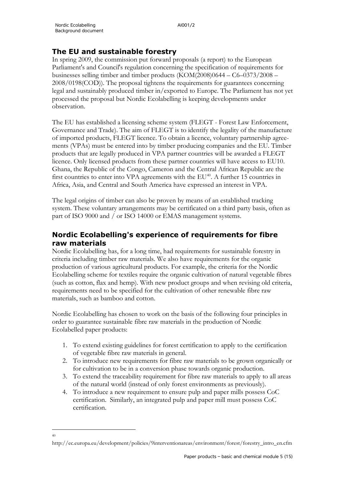40

## **The EU and sustainable forestry**

In spring 2009, the commission put forward proposals (a report) to the European Parliament's and Council's regulation concerning the specification of requirements for businesses selling timber and timber products  $(KOM(2008)0644 - C6 - 0373/2008 -$ 2008/0198(COD)). The proposal tightens the requirements for guarantees concerning legal and sustainably produced timber in/exported to Europe. The Parliament has not yet processed the proposal but Nordic Ecolabelling is keeping developments under observation.

The EU has established a licensing scheme system (FLEGT - Forest Law Enforcement, Governance and Trade). The aim of FLEGT is to identify the legality of the manufacture of imported products, FLEGT licence. To obtain a licence, voluntary partnership agreements (VPAs) must be entered into by timber producing companies and the EU. Timber products that are legally produced in VPA partner countries will be awarded a FLEGT licence. Only licensed products from these partner countries will have access to EU10. Ghana, the Republic of the Congo, Cameron and the Central African Republic are the first countries to enter into VPA agreements with the EU<sup>40</sup>. A further 15 countries in Africa, Asia, and Central and South America have expressed an interest in VPA.

The legal origins of timber can also be proven by means of an established tracking system. These voluntary arrangements may be certificated on a third party basis, often as part of ISO 9000 and / or ISO 14000 or EMAS management systems.

## **Nordic Ecolabelling's experience of requirements for fibre raw materials**

Nordic Ecolabelling has, for a long time, had requirements for sustainable forestry in criteria including timber raw materials. We also have requirements for the organic production of various agricultural products. For example, the criteria for the Nordic Ecolabelling scheme for textiles require the organic cultivation of natural vegetable fibres (such as cotton, flax and hemp). With new product groups and when revising old criteria, requirements need to be specified for the cultivation of other renewable fibre raw materials, such as bamboo and cotton.

Nordic Ecolabelling has chosen to work on the basis of the following four principles in order to guarantee sustainable fibre raw materials in the production of Nordic Ecolabelled paper products:

- 1. To extend existing guidelines for forest certification to apply to the certification of vegetable fibre raw materials in general.
- 2. To introduce new requirements for fibre raw materials to be grown organically or for cultivation to be in a conversion phase towards organic production.
- 3. To extend the traceability requirement for fibre raw materials to apply to all areas of the natural world (instead of only forest environments as previously).
- 4. To introduce a new requirement to ensure pulp and paper mills possess CoC certification. Similarly, an integrated pulp and paper mill must possess CoC certification.

<span id="page-48-0"></span>http://ec.europa.eu/development/policies/9interventionareas/environment/forest/forestry\_intro\_en.cfm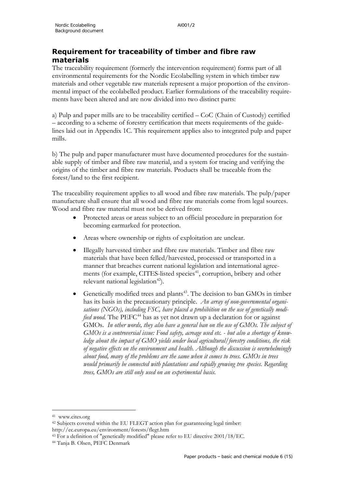## **Requirement for traceability of timber and fibre raw materials**

The traceability requirement (formerly the intervention requirement) forms part of all environmental requirements for the Nordic Ecolabelling system in which timber raw materials and other vegetable raw materials represent a major proportion of the environmental impact of the ecolabelled product. Earlier formulations of the traceability requirements have been altered and are now divided into two distinct parts:

a) Pulp and paper mills are to be traceability certified – CoC (Chain of Custody) certified – according to a scheme of forestry certification that meets requirements of the guidelines laid out in Appendix 1C. This requirement applies also to integrated pulp and paper mills.

b) The pulp and paper manufacturer must have documented procedures for the sustainable supply of timber and fibre raw material, and a system for tracing and verifying the origins of the timber and fibre raw materials. Products shall be traceable from the forest/land to the first recipient.

The traceability requirement applies to all wood and fibre raw materials. The pulp/paper manufacture shall ensure that all wood and fibre raw materials come from legal sources. Wood and fibre raw material must not be derived from:

- Protected areas or areas subject to an official procedure in preparation for becoming earmarked for protection.
- Areas where ownership or rights of exploitation are unclear.
- Illegally harvested timber and fibre raw materials. Timber and fibre raw materials that have been felled/harvested, processed or transported in a manner that breaches current national legislation and international agree-ments (for example, CITES-listed species<sup>[41](#page-49-0)</sup>, corruption, bribery and other relevant national legislation $42$ ).
- Genetically modified trees and plants<sup>[43](#page-49-2)</sup>. The decision to ban GMOs in timber has its basis in the precautionary principle. *An array of non-governmental organisations (NGOs), including FSC, have placed a prohibition on the use of genetically modified wood.* The PEFC<sup>[44](#page-49-3)</sup> has as yet not drawn up a declaration for or against GMOs. *In other words, they also have a general ban on the use of GMOs. The subject of GMOs is a controversial issue: Food safety, acreage used etc. - but also a shortage of knowledge about the impact of GMO yields under local agricultural/forestry conditions, the risk of negative effects on the environment and health. Although the discussion is overwhelmingly about food, many of the problems are the same when it comes to trees. GMOs in trees would primarily be connected with plantations and rapidly growing tree species. Regarding trees, GMOs are still only used on an experimental basis.*

<span id="page-49-0"></span><sup>41</sup> www.cites.org

<span id="page-49-1"></span><sup>&</sup>lt;sup>42</sup> Subjects covered within the EU FLEGT action plan for guaranteeing legal timber: http://ec.europa.eu/environment/forests/flegt.htm

<span id="page-49-2"></span><sup>43</sup> For a definition of "genetically modified" please refer to EU directive 2001/18/EC.

<span id="page-49-3"></span><sup>44</sup> Tanja B. Olsen, PEFC Denmark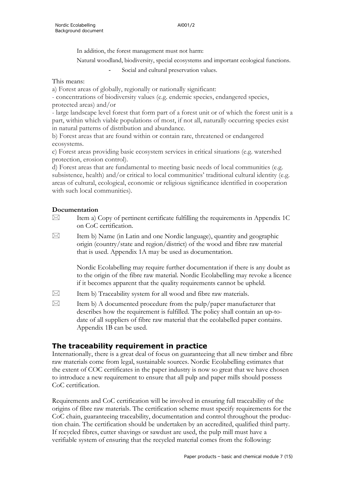In addition, the forest management must not harm:

Natural woodland, biodiversity, special ecosystems and important ecological functions.

Social and cultural preservation values.

#### This means:

a) Forest areas of globally, regionally or nationally significant:

- concentrations of biodiversity values (e.g. endemic species, endangered species, protected areas) and/or

- large landscape level forest that form part of a forest unit or of which the forest unit is a part, within which viable populations of most, if not all, naturally occurring species exist in natural patterns of distribution and abundance.

b) Forest areas that are found within or contain rare, threatened or endangered ecosystems.

c) Forest areas providing basic ecosystem services in critical situations (e.g. watershed protection, erosion control).

d) Forest areas that are fundamental to meeting basic needs of local communities (e.g. subsistence, health) and/or critical to local communities' traditional cultural identity (e.g. areas of cultural, ecological, economic or religious significance identified in cooperation with such local communities).

# **Documentation**<br>  $\boxed{\bowtie}$  **Item a**)

- Item a) Copy of pertinent certificate fulfilling the requirements in Appendix 1C on CoC certification.
- $\boxtimes$  Item b) Name (in Latin and one Nordic language), quantity and geographic origin (country/state and region/district) of the wood and fibre raw material that is used. Appendix 1A may be used as documentation.

Nordic Ecolabelling may require further documentation if there is any doubt as to the origin of the fibre raw material. Nordic Ecolabelling may revoke a licence if it becomes apparent that the quality requirements cannot be upheld.

- $\boxtimes$  Item b) Traceability system for all wood and fibre raw materials.
- $\boxtimes$  Item b) A documented procedure from the pulp/paper manufacturer that describes how the requirement is fulfilled. The policy shall contain an up-todate of all suppliers of fibre raw material that the ecolabelled paper contains. Appendix 1B can be used.

## **The traceability requirement in practice**

Internationally, there is a great deal of focus on guaranteeing that all new timber and fibre raw materials come from legal, sustainable sources. Nordic Ecolabelling estimates that the extent of COC certificates in the paper industry is now so great that we have chosen to introduce a new requirement to ensure that all pulp and paper mills should possess CoC certification.

Requirements and CoC certification will be involved in ensuring full traceability of the origins of fibre raw materials. The certification scheme must specify requirements for the CoC chain, guaranteeing traceability, documentation and control throughout the production chain. The certification should be undertaken by an accredited, qualified third party. If recycled fibres, cutter shavings or sawdust are used, the pulp mill must have a verifiable system of ensuring that the recycled material comes from the following: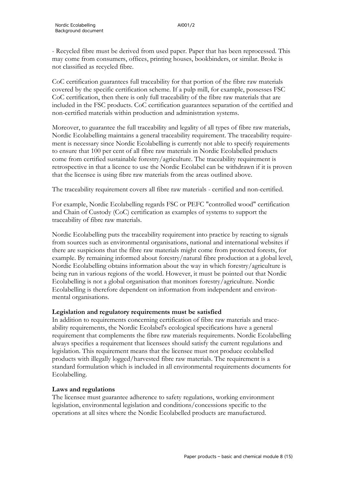- Recycled fibre must be derived from used paper. Paper that has been reprocessed. This may come from consumers, offices, printing houses, bookbinders, or similar. Broke is not classified as recycled fibre.

CoC certification guarantees full traceability for that portion of the fibre raw materials covered by the specific certification scheme. If a pulp mill, for example, possesses FSC CoC certification, then there is only full traceability of the fibre raw materials that are included in the FSC products. CoC certification guarantees separation of the certified and non-certified materials within production and administration systems.

Moreover, to guarantee the full traceability and legality of all types of fibre raw materials, Nordic Ecolabelling maintains a general traceability requirement. The traceability requirement is necessary since Nordic Ecolabelling is currently not able to specify requirements to ensure that 100 per cent of all fibre raw materials in Nordic Ecolabelled products come from certified sustainable forestry/agriculture. The traceability requirement is retrospective in that a licence to use the Nordic Ecolabel can be withdrawn if it is proven that the licensee is using fibre raw materials from the areas outlined above.

The traceability requirement covers all fibre raw materials - certified and non-certified.

For example, Nordic Ecolabelling regards FSC or PEFC "controlled wood" certification and Chain of Custody (CoC) certification as examples of systems to support the traceability of fibre raw materials.

Nordic Ecolabelling puts the traceability requirement into practice by reacting to signals from sources such as environmental organisations, national and international websites if there are suspicions that the fibre raw materials might come from protected forests, for example. By remaining informed about forestry/natural fibre production at a global level, Nordic Ecolabelling obtains information about the way in which forestry/agriculture is being run in various regions of the world. However, it must be pointed out that Nordic Ecolabelling is not a global organisation that monitors forestry/agriculture. Nordic Ecolabelling is therefore dependent on information from independent and environmental organisations.

#### **Legislation and regulatory requirements must be satisfied**

In addition to requirements concerning certification of fibre raw materials and traceability requirements, the Nordic Ecolabel's ecological specifications have a general requirement that complements the fibre raw materials requirements. Nordic Ecolabelling always specifies a requirement that licensees should satisfy the current regulations and legislation. This requirement means that the licensee must not produce ecolabelled products with illegally logged/harvested fibre raw materials. The requirement is a standard formulation which is included in all environmental requirements documents for Ecolabelling.

#### **Laws and regulations**

The licensee must guarantee adherence to safety regulations, working environment legislation, environmental legislation and conditions/concessions specific to the operations at all sites where the Nordic Ecolabelled products are manufactured.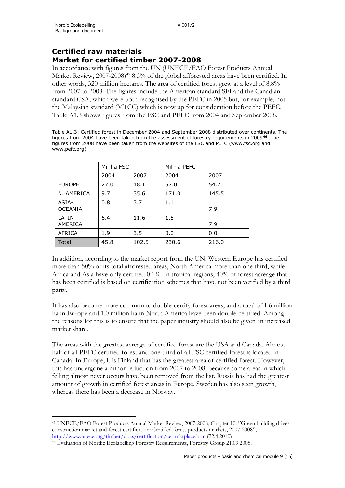## **Certified raw materials Market for certified timber 2007-2008**

In accordance with figures from the UN (UNECE/FAO Forest Products Annual Market Review, 2007-2008)<sup>[45](#page-52-0)</sup> 8.3% of the global afforested areas have been certified. In other words, 320 million hectares. The area of certified forest grew at a level of 8.8% from 2007 to 2008. The figures include the American standard SFI and the Canadian standard CSA, which were both recognised by the PEFC in 2005 but, for example, not the Malaysian standard (MTCC) which is now up for consideration before the PEFC. Table A1.3 shows figures from the FSC and PEFC from 2004 and September 2008.

Table A1.3: Certified forest in December 2004 and September 2008 distributed over continents. The figures from 2004 have been taken from the assessment of forestry requirements in 2009**[46](#page-52-1)**. The figures from 2008 have been taken from the websites of the FSC and PEFC (www.fsc.org and www.pefc.org)

|                         | Mil ha FSC |       | Mil ha PEFC |       |
|-------------------------|------------|-------|-------------|-------|
|                         | 2004       | 2007  | 2004        | 2007  |
| <b>EUROPE</b>           | 27.0       | 48.1  | 57.0        | 54.7  |
| N. AMERICA              | 9.7        | 35.6  | 171.0       | 145.5 |
| ASIA-<br><b>OCEANIA</b> | 0.8        | 3.7   | 1.1         | 7.9   |
| LATIN<br>AMERICA        | 6.4        | 11.6  | 1.5         | 7.9   |
| AFRICA                  | 1.9        | 3.5   | 0.0         | 0.0   |
| Total                   | 45.8       | 102.5 | 230.6       | 216.0 |

In addition, according to the market report from the UN, Western Europe has certified more than 50% of its total afforested areas, North America more than one third, while Africa and Asia have only certified 0.1%. In tropical regions, 40% of forest acreage that has been certified is based on certification schemes that have not been verified by a third party.

It has also become more common to double-certify forest areas, and a total of 1.6 million ha in Europe and 1.0 million ha in North America have been double-certified. Among the reasons for this is to ensure that the paper industry should also be given an increased market share.

The areas with the greatest acreage of certified forest are the USA and Canada. Almost half of all PEFC certified forest and one third of all FSC certified forest is located in Canada. In Europe, it is Finland that has the greatest area of certified forest. However, this has undergone a minor reduction from 2007 to 2008, because some areas in which felling almost never occurs have been removed from the list. Russia has had the greatest amount of growth in certified forest areas in Europe. Sweden has also seen growth, whereas there has been a decrease in Norway.

<span id="page-52-0"></span><sup>45</sup> UNECE/FAO Forest Products Annual Market Review, 2007-2008, Chapter 10: "Green building drives construction market and forest certification: Certified forest products markets, 2007-2008",

<http://www.unece.org/timber/docs/certification/certmktplace.htm> (22.4.2010)

<span id="page-52-1"></span><sup>46</sup> Evaluation of Nordic Ecolabelling Forestry Requirements, Forestry Group 21.09.2005.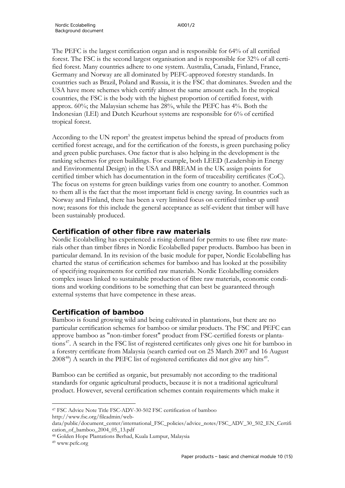The PEFC is the largest certification organ and is responsible for 64% of all certified forest. The FSC is the second largest organisation and is responsible for 32% of all certified forest. Many countries adhere to one system. Australia, Canada, Finland, France, Germany and Norway are all dominated by PEFC-approved forestry standards. In countries such as Brazil, Poland and Russia, it is the FSC that dominates. Sweden and the USA have more schemes which certify almost the same amount each. In the tropical countries, the FSC is the body with the highest proportion of certified forest, with approx. 60%; the Malaysian scheme has 28%, while the PEFC has 4%. Both the Indonesian (LEI) and Dutch Keurhout systems are responsible for 6% of certified tropical forest.

According to the UN report<sup>5</sup> the greatest impetus behind the spread of products from certified forest acreage, and for the certification of the forests, is green purchasing policy and green public purchases. One factor that is also helping in the development is the ranking schemes for green buildings. For example, both LEED (Leadership in Energy and Environmental Design) in the USA and BREAM in the UK assign points for certified timber which has documentation in the form of traceability certificates (CoC). The focus on systems for green buildings varies from one country to another. Common to them all is the fact that the most important field is energy saving. In countries such as Norway and Finland, there has been a very limited focus on certified timber up until now; reasons for this include the general acceptance as self-evident that timber will have been sustainably produced.

## **Certification of other fibre raw materials**

Nordic Ecolabelling has experienced a rising demand for permits to use fibre raw materials other than timber fibres in Nordic Ecolabelled paper products. Bamboo has been in particular demand. In its revision of the basic module for paper, Nordic Ecolabelling has charted the status of certification schemes for bamboo and has looked at the possibility of specifying requirements for certified raw materials. Nordic Ecolabelling considers complex issues linked to sustainable production of fibre raw materials, economic conditions and working conditions to be something that can best be guaranteed through external systems that have competence in these areas.

## **Certification of bamboo**

Bamboo is found growing wild and being cultivated in plantations, but there are no particular certification schemes for bamboo or similar products. The FSC and PEFC can approve bamboo as "non-timber forest" product from FSC-certified forests or plantations<sup>47</sup>. A search in the FSC list of registered certificates only gives one hit for bamboo in a forestry certificate from Malaysia (search carried out on 25 March 2007 and 16 August  $2008^{48}$  $2008^{48}$  $2008^{48}$ ) A search in the PEFC list of registered certificates did not give any hits<sup>49</sup>.

Bamboo can be certified as organic, but presumably not according to the traditional standards for organic agricultural products, because it is not a traditional agricultural product. However, several certification schemes contain requirements which make it

http://www.fsc.org/fileadmin/web-

<span id="page-53-0"></span><sup>47</sup> FSC Advice Note Title FSC-ADV-30-502 FSC certification of bamboo

data/public/document\_center/international\_FSC\_policies/advice\_notes/FSC\_ADV\_30\_502\_EN\_Certifi cation\_of\_bamboo\_2004\_05\_13.pdf

<span id="page-53-1"></span><sup>48</sup> Golden Hope Plantations Berhad, Kuala Lumpur, Malaysia

<span id="page-53-2"></span><sup>49</sup> www.pefc.org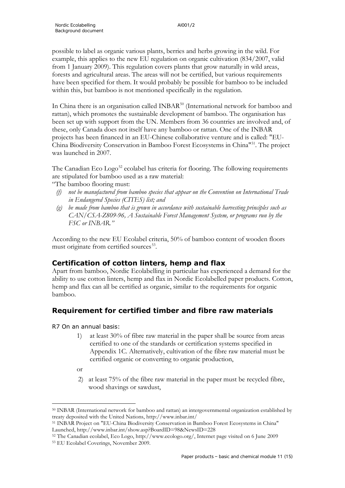possible to label as organic various plants, berries and herbs growing in the wild. For example, this applies to the new EU regulation on organic cultivation (834/2007, valid from 1 January 2009). This regulation covers plants that grow naturally in wild areas, forests and agricultural areas. The areas will not be certified, but various requirements have been specified for them. It would probably be possible for bamboo to be included within this, but bamboo is not mentioned specifically in the regulation.

In China there is an organisation called INBAR<sup>[50](#page-54-0)</sup> (International network for bamboo and rattan), which promotes the sustainable development of bamboo. The organisation has been set up with support from the UN. Members from 36 countries are involved and, of these, only Canada does not itself have any bamboo or rattan. One of the INBAR projects has been financed in an EU-Chinese collaborative venture and is called: "EU-China Biodiversity Conservation in Bamboo Forest Ecosystems in China"[51.](#page-54-1) The project was launched in 2007.

The Canadian Eco  $\text{Log}^{52}$  $\text{Log}^{52}$  $\text{Log}^{52}$  ecolabel has criteria for flooring. The following requirements are stipulated for bamboo used as a raw material:

"The bamboo flooring must:

- *(f) not be manufactured from bamboo species that appear on the Convention on International Trade in Endangered Species (CITES) list; and*
- *(g) be made from bamboo that is grown in accordance with sustainable harvesting principles such as CAN/CSA-Z809-96, A Sustainable Forest Management System, or programs run by the FSC or INBAR."*

According to the new EU Ecolabel criteria, 50% of bamboo content of wooden floors must originate from certified sources<sup>[53](#page-54-3)</sup>.

## **Certification of cotton linters, hemp and flax**

Apart from bamboo, Nordic Ecolabelling in particular has experienced a demand for the ability to use cotton linters, hemp and flax in Nordic Ecolabelled paper products. Cotton, hemp and flax can all be certified as organic, similar to the requirements for organic bamboo.

## **Requirement for certified timber and fibre raw materials**

R7 On an annual basis:

- 1) at least 30% of fibre raw material in the paper shall be source from areas certified to one of the standards or certification systems specified in Appendix 1C. Alternatively, cultivation of the fibre raw material must be certified organic or converting to organic production,
- or
- 2) at least 75% of the fibre raw material in the paper must be recycled fibre, wood shavings or sawdust,

<span id="page-54-0"></span><sup>50</sup> INBAR (International network for bamboo and rattan) an intergovernmental organization established by treaty deposited with the United Nations, http://www.inbar.int/

<span id="page-54-1"></span><sup>51</sup> INBAR Project on "EU-China Biodiversity Conservation in Bamboo Forest Ecosystems in China" Launched, http://www.inbar.int/show.asp?BoardID=98&NewsID=228

<span id="page-54-3"></span><span id="page-54-2"></span><sup>52</sup> The Canadian ecolabel, Eco Logo, http://www.ecologo.org/, Internet page visited on 6 June 2009 <sup>53</sup> EU Ecolabel Coverings, November 2009.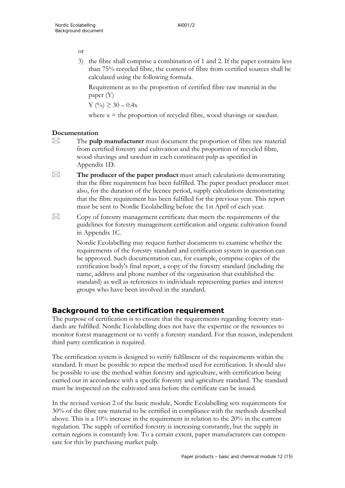or

3) the fibre shall comprise a combination of 1 and 2. If the paper contains less than 75% recycled fibre, the content of fibre from certified sources shall be calculated using the following formula.

Requirement as to the proportion of certified fibre raw material in the paper (Y)

Y (%) ≥ 30 – 0.4x

where  $x =$  the proportion of recycled fibre, wood shavings or sawdust.

## **Documentation**

- $\boxtimes$  The **pulp manufacturer** must document the proportion of fibre raw material from certified forestry and cultivation and the proportion of recycled fibre, wood shavings and sawdust in each constituent pulp as specified in Appendix 1D.
- $\boxtimes$  The producer of the paper product must attach calculations demonstrating that the fibre requirement has been fulfilled. The paper product producer must also, for the duration of the licence period, supply calculations demonstrating that the fibre requirement has been fulfilled for the previous year. This report must be sent to Nordic Ecolabelling before the 1st April of each year.
- $\boxtimes$  Copy of forestry management certificate that meets the requirements of the guidelines for forestry management certification and organic cultivation found in Appendix 1C.

Nordic Ecolabelling may request further documents to examine whether the requirements of the forestry standard and certification system in question can be approved. Such documentation can, for example, comprise copies of the certification body's final report, a copy of the forestry standard (including the name, address and phone number of the organisation that established the standard) as well as references to individuals representing parties and interest groups who have been involved in the standard.

## **Background to the certification requirement**

The purpose of certification is to ensure that the requirements regarding forestry standards are fulfilled. Nordic Ecolabelling does not have the expertise or the resources to monitor forest management or to verify a forestry standard. For that reason, independent third party certification is required.

The certification system is designed to verify fulfilment of the requirements within the standard. It must be possible to repeat the method used for certification. It should also be possible to use the method within forestry and agriculture, with certification being carried out in accordance with a specific forestry and agriculture standard. The standard must be inspected on the cultivated area before the certificate can be issued.

In the revised version 2 of the basic module, Nordic Ecolabelling sets requirements for 30% of the fibre raw material to be certified in compliance with the methods described above. This is a 10% increase in the requirement in relation to the 20% in the current regulation. The supply of certified forestry is increasing constantly, but the supply in certain regions is constantly low. To a certain extent, paper manufacturers can compensate for this by purchasing market pulp.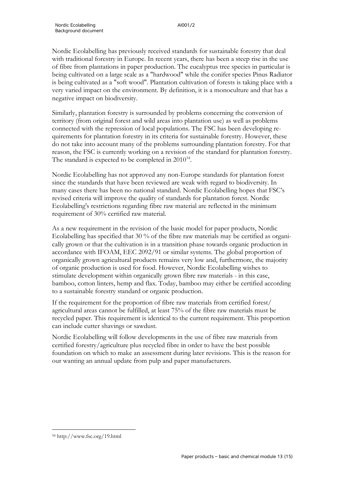Nordic Ecolabelling has previously received standards for sustainable forestry that deal with traditional forestry in Europe. In recent years, there has been a steep rise in the use of fibre from plantations in paper production. The eucalyptus tree species in particular is being cultivated on a large scale as a "hardwood" while the conifer species Pinus Radiator is being cultivated as a "soft wood". Plantation cultivation of forests is taking place with a very varied impact on the environment. By definition, it is a monoculture and that has a negative impact on biodiversity.

Similarly, plantation forestry is surrounded by problems concerning the conversion of territory (from original forest and wild areas into plantation use) as well as problems connected with the repression of local populations. The FSC has been developing requirements for plantation forestry in its criteria for sustainable forestry. However, these do not take into account many of the problems surrounding plantation forestry. For that reason, the FSC is currently working on a revision of the standard for plantation forestry. The standard is expected to be completed in  $2010^{54}$  $2010^{54}$  $2010^{54}$ .

Nordic Ecolabelling has not approved any non-Europe standards for plantation forest since the standards that have been reviewed are weak with regard to biodiversity. In many cases there has been no national standard. Nordic Ecolabelling hopes that FSC's revised criteria will improve the quality of standards for plantation forest. Nordic Ecolabelling's restrictions regarding fibre raw material are reflected in the minimum requirement of 30% certified raw material.

As a new requirement in the revision of the basic model for paper products, Nordic Ecolabelling has specified that 30 % of the fibre raw materials may be certified as organically grown or that the cultivation is in a transition phase towards organic production in accordance with IFOAM, EEC 2092/91 or similar systems. The global proportion of organically grown agricultural products remains very low and, furthermore, the majority of organic production is used for food. However, Nordic Ecolabelling wishes to stimulate development within organically grown fibre raw materials - in this case, bamboo, cotton linters, hemp and flax. Today, bamboo may either be certified according to a sustainable forestry standard or organic production.

If the requirement for the proportion of fibre raw materials from certified forest/ agricultural areas cannot be fulfilled, at least 75% of the fibre raw materials must be recycled paper. This requirement is identical to the current requirement. This proportion can include cutter shavings or sawdust.

Nordic Ecolabelling will follow developments in the use of fibre raw materials from certified forestry/agriculture plus recycled fibre in order to have the best possible foundation on which to make an assessment during later revisions. This is the reason for our wanting an annual update from pulp and paper manufacturers.

<span id="page-56-0"></span><sup>54</sup> http://www.fsc.org/19.html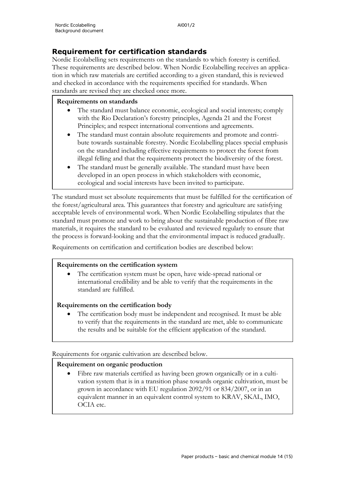## **Requirement for certification standards**

Nordic Ecolabelling sets requirements on the standards to which forestry is certified. These requirements are described below. When Nordic Ecolabelling receives an application in which raw materials are certified according to a given standard, this is reviewed and checked in accordance with the requirements specified for standards. When standards are revised they are checked once more.

#### **Requirements on standards**

- The standard must balance economic, ecological and social interests; comply with the Rio Declaration's forestry principles, Agenda 21 and the Forest Principles; and respect international conventions and agreements.
- The standard must contain absolute requirements and promote and contribute towards sustainable forestry. Nordic Ecolabelling places special emphasis on the standard including effective requirements to protect the forest from illegal felling and that the requirements protect the biodiversity of the forest.
- The standard must be generally available. The standard must have been developed in an open process in which stakeholders with economic, ecological and social interests have been invited to participate.

The standard must set absolute requirements that must be fulfilled for the certification of the forest/agricultural area. This guarantees that forestry and agriculture are satisfying acceptable levels of environmental work. When Nordic Ecolabelling stipulates that the standard must promote and work to bring about the sustainable production of fibre raw materials, it requires the standard to be evaluated and reviewed regularly to ensure that the process is forward-looking and that the environmental impact is reduced gradually.

Requirements on certification and certification bodies are described below:

#### **Requirements on the certification system**

The certification system must be open, have wide-spread national or international credibility and be able to verify that the requirements in the standard are fulfilled.

#### **Requirements on the certification body**

The certification body must be independent and recognised. It must be able to verify that the requirements in the standard are met, able to communicate the results and be suitable for the efficient application of the standard.

Requirements for organic cultivation are described below.

#### **Requirement on organic production**

Fibre raw materials certified as having been grown organically or in a cultivation system that is in a transition phase towards organic cultivation, must be grown in accordance with EU regulation 2092/91 or 834/2007, or in an equivalent manner in an equivalent control system to KRAV, SKAL, IMO, OCIA etc.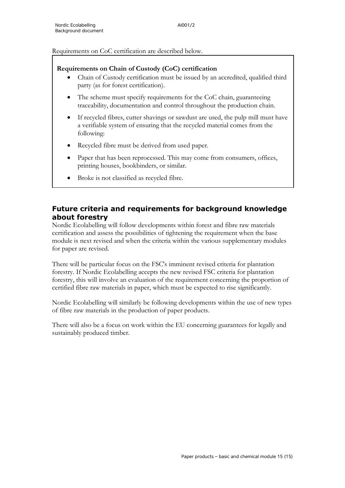Requirements on CoC certification are described below.

#### **Requirements on Chain of Custody (CoC) certification**

- Chain of Custody certification must be issued by an accredited, qualified third party (as for forest certification).
- The scheme must specify requirements for the CoC chain, guaranteeing traceability, documentation and control throughout the production chain.
- If recycled fibres, cutter shavings or sawdust are used, the pulp mill must have a verifiable system of ensuring that the recycled material comes from the following:
- Recycled fibre must be derived from used paper.
- Paper that has been reprocessed. This may come from consumers, offices, printing houses, bookbinders, or similar.
- Broke is not classified as recycled fibre.

## **Future criteria and requirements for background knowledge about forestry**

Nordic Ecolabelling will follow developments within forest and fibre raw materials certification and assess the possibilities of tightening the requirement when the base module is next revised and when the criteria within the various supplementary modules for paper are revised.

There will be particular focus on the FSC's imminent revised criteria for plantation forestry. If Nordic Ecolabelling accepts the new revised FSC criteria for plantation forestry, this will involve an evaluation of the requirement concerning the proportion of certified fibre raw materials in paper, which must be expected to rise significantly.

Nordic Ecolabelling will similarly be following developments within the use of new types of fibre raw materials in the production of paper products.

There will also be a focus on work within the EU concerning guarantees for legally and sustainably produced timber.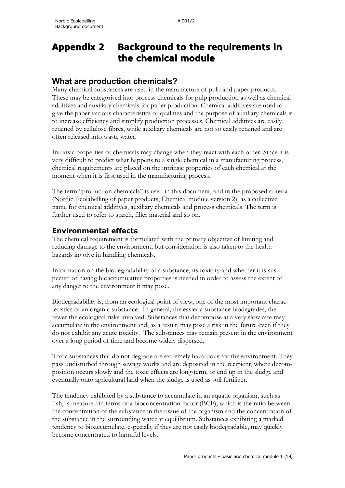# **Appendix 2 Background to the requirements in the chemical module**

## **What are production chemicals?**

Many chemical substances are used in the manufacture of pulp and paper products. These may be categorised into process chemicals for pulp production as well as chemical additives and auxiliary chemicals for paper production. Chemical additives are used to give the paper various characteristics or qualities and the purpose of auxiliary chemicals is to increase efficiency and simplify production processes. Chemical additives are easily retained by cellulose fibres, while auxiliary chemicals are not so easily retained and are often released into waste water.

Intrinsic properties of chemicals may change when they react with each other. Since it is very difficult to predict what happens to a single chemical in a manufacturing process, chemical requirements are placed on the intrinsic properties of each chemical at the moment when it is first used in the manufacturing process.

The term "production chemicals" is used in this document, and in the proposed criteria (Nordic Ecolabelling of paper products, Chemical module version 2), as a collective name for chemical additives, auxiliary chemicals and process chemicals. The term is further used to refer to starch, filler material and so on.

## **Environmental effects**

The chemical requirement is formulated with the primary objective of limiting and reducing damage to the environment, but consideration is also taken to the health hazards involve in handling chemicals.

Information on the biodegradability of a substance, its toxicity and whether it is suspected of having bioaccumulative properties is needed in order to assess the extent of any danger to the environment it may pose.

Biodegradability is, from an ecological point of view, one of the most important characteristics of an organic substance. In general, the easier a substance biodegrades, the fewer the ecological risks involved. Substances that decompose at a very slow rate may accumulate in the environment and, as a result, may pose a risk in the future even if they do not exhibit any acute toxicity. The substances may remain present in the environment over a long period of time and become widely dispersed.

Toxic substances that do not degrade are extremely hazardous for the environment. They pass undisturbed through sewage works and are deposited in the recipient, where decomposition occurs slowly and the toxic effects are long-term, or end up in the sludge and eventually onto agricultural land when the sludge is used as soil fertilizer.

The tendency exhibited by a substance to accumulate in an aquatic organism, such as fish, is measured in terms of a bioconcentration factor (BCF), which is the ratio between the concentration of the substance in the tissue of the organism and the concentration of the substance in the surrounding water at equilibrium. Substances exhibiting a marked tendency to bioaccumulate, especially if they are not easily biodegradable, may quickly become concentrated to harmful levels.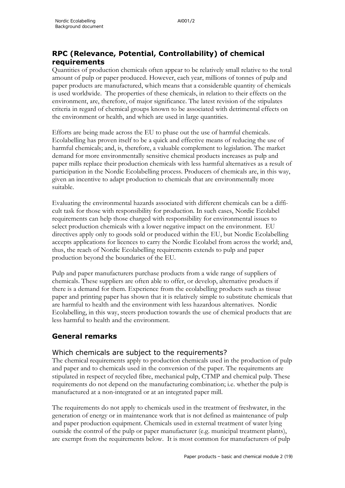## **RPC (Relevance, Potential, Controllability) of chemical requirements**

Quantities of production chemicals often appear to be relatively small relative to the total amount of pulp or paper produced. However, each year, millions of tonnes of pulp and paper products are manufactured, which means that a considerable quantity of chemicals is used worldwide. The properties of these chemicals, in relation to their effects on the environment, are, therefore, of major significance. The latest revision of the stipulates criteria in regard of chemical groups known to be associated with detrimental effects on the environment or health, and which are used in large quantities.

Efforts are being made across the EU to phase out the use of harmful chemicals. Ecolabelling has proven itself to be a quick and effective means of reducing the use of harmful chemicals; and, is, therefore, a valuable complement to legislation. The market demand for more environmentally sensitive chemical products increases as pulp and paper mills replace their production chemicals with less harmful alternatives as a result of participation in the Nordic Ecolabelling process. Producers of chemicals are, in this way, given an incentive to adapt production to chemicals that are environmentally more suitable.

Evaluating the environmental hazards associated with different chemicals can be a difficult task for those with responsibility for production. In such cases, Nordic Ecolabel requirements can help those charged with responsibility for environmental issues to select production chemicals with a lower negative impact on the environment. EU directives apply only to goods sold or produced within the EU, but Nordic Ecolabelling accepts applications for licences to carry the Nordic Ecolabel from across the world; and, thus, the reach of Nordic Ecolabelling requirements extends to pulp and paper production beyond the boundaries of the EU.

Pulp and paper manufacturers purchase products from a wide range of suppliers of chemicals. These suppliers are often able to offer, or develop, alternative products if there is a demand for them. Experience from the ecolabelling products such as tissue paper and printing paper has shown that it is relatively simple to substitute chemicals that are harmful to health and the environment with less hazardous alternatives. Nordic Ecolabelling, in this way, steers production towards the use of chemical products that are less harmful to health and the environment.

## **General remarks**

## Which chemicals are subject to the requirements?

The chemical requirements apply to production chemicals used in the production of pulp and paper and to chemicals used in the conversion of the paper. The requirements are stipulated in respect of recycled fibre, mechanical pulp, CTMP and chemical pulp. These requirements do not depend on the manufacturing combination; i.e. whether the pulp is manufactured at a non-integrated or at an integrated paper mill.

The requirements do not apply to chemicals used in the treatment of freshwater, in the generation of energy or in maintenance work that is not defined as maintenance of pulp and paper production equipment. Chemicals used in external treatment of water lying outside the control of the pulp or paper manufacturer (e.g. municipal treatment plants), are exempt from the requirements below. It is most common for manufacturers of pulp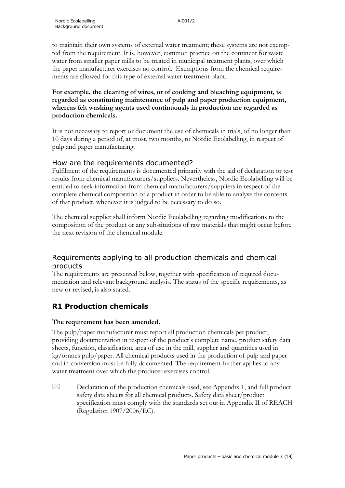to maintain their own systems of external water treatment; these systems are not exempted from the requirement. It is, however, common practice on the continent for waste water from smaller paper mills to be treated in municipal treatment plants, over which the paper manufacturer exercises no control. Exemptions from the chemical requirements are allowed for this type of external water treatment plant.

**For example, the cleaning of wires, or of cooking and bleaching equipment, is regarded as constituting maintenance of pulp and paper production equipment, whereas felt washing agents used continuously in production are regarded as production chemicals.**

It is not necessary to report or document the use of chemicals in trials, of no longer than 10 days during a period of, at most, two months, to Nordic Ecolabelling, in respect of pulp and paper manufacturing.

## How are the requirements documented?

Fulfilment of the requirements is documented primarily with the aid of declaration or test results from chemical manufacturers/suppliers. Nevertheless, Nordic Ecolabelling will be entitled to seek information from chemical manufacturers/suppliers in respect of the complete chemical composition of a product in order to be able to analyse the contents of that product, whenever it is judged to be necessary to do so.

The chemical supplier shall inform Nordic Ecolabelling regarding modifications to the composition of the product or any substitutions of raw materials that might occur before the next revision of the chemical module.

## Requirements applying to all production chemicals and chemical products

The requirements are presented below, together with specification of required documentation and relevant background analysis. The status of the specific requirements, as new or revised, is also stated.

## **R1 Production chemicals**

## **The requirement has been amended.**

The pulp/paper manufacturer must report all production chemicals per product, providing documentation in respect of the product's complete name, product safety data sheets, function, classification, area of use in the mill, supplier and quantities used in kg/tonnes pulp/paper. All chemical products used in the production of pulp and paper and in conversion must be fully documented. The requirement further applies to any water treatment over which the producer exercises control.

 $\boxtimes$  Declaration of the production chemicals used, see Appendix 1, and full product safety data sheets for all chemical products. Safety data sheet/product specification must comply with the standards set out in Appendix II of REACH (Regulation 1907/2006/EC).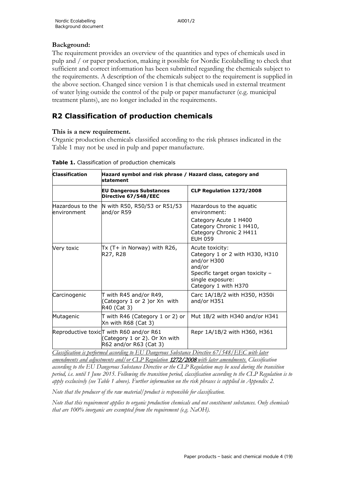## **Background:**

The requirement provides an overview of the quantities and types of chemicals used in pulp and / or paper production, making it possible for Nordic Ecolabelling to check that sufficient and correct information has been submitted regarding the chemicals subject to the requirements. A description of the chemicals subject to the requirement is supplied in the above section. Changed since version 1 is that chemicals used in external treatment of water lying outside the control of the pulp or paper manufacturer (e.g. municipal treatment plants), are no longer included in the requirements.

# **R2 Classification of production chemicals**

## **This is a new requirement.**

Organic production chemicals classified according to the risk phrases indicated in the Table 1 may not be used in pulp and paper manufacture.

| <b>Classification</b>            | Hazard symbol and risk phrase / Hazard class, category and<br>statement                                          |                                                                                                                                                             |  |
|----------------------------------|------------------------------------------------------------------------------------------------------------------|-------------------------------------------------------------------------------------------------------------------------------------------------------------|--|
|                                  | <b>EU Dangerous Substances</b><br>Directive 67/548/EEC                                                           | CLP Regulation 1272/2008                                                                                                                                    |  |
| Hazardous to the<br>lenvironment | N with R50, R50/53 or R51/53<br>and/or R59                                                                       | Hazardous to the aguatic<br>environment:                                                                                                                    |  |
|                                  |                                                                                                                  | Category Acute 1 H400<br>Category Chronic 1 H410,<br>Category Chronic 2 H411<br><b>FUH 059</b>                                                              |  |
| Very toxic                       | Tx (T+ in Norway) with R26,<br>R27, R28                                                                          | Acute toxicity:<br>Category 1 or 2 with H330, H310<br>and/or H300<br>and/or<br>Specific target organ toxicity -<br>single exposure:<br>Category 1 with H370 |  |
| Carcinogenic                     | T with R45 and/or R49,<br>(Category 1 or 2 )or Xn with<br>R40 (Cat 3)                                            | Carc 1A/1B/2 with H350, H350i<br>and/or H351                                                                                                                |  |
| Mutagenic                        | T with R46 (Category 1 or 2) or<br>Xn with R68 (Cat 3)                                                           | Mut 1B/2 with H340 and/or H341                                                                                                                              |  |
|                                  | Reproductive toxic <sub>l</sub> T with R60 and/or R61<br>(Category 1 or 2). Or Xn with<br>R62 and/or R63 (Cat 3) | Repr 1A/1B/2 with H360, H361                                                                                                                                |  |

**Table 1.** Classification of production chemicals

*Classification is performed according to EU Dangerous Substance Directive 67/548/EEC with later amendments and adjustments and/or CLP Regulation* 1272/2008 *with later amendments. Classification according to the EU Dangerous Substance Directive or the CLP Regulation may be used during the transition period, i.e. until 1 June 2015. Following the transition period, classification according to the CLP Regulation is to apply exclusively (see Table 1 above). Further information on the risk phrases is supplied in Appendix 2.*

*Note that the producer of the raw material/product is responsible for classification.*

*Note that this requirement applies to organic production chemicals and not constituent substances. Only chemicals that are 100% inorganic are exempted from the requirement (e.g. NaOH).*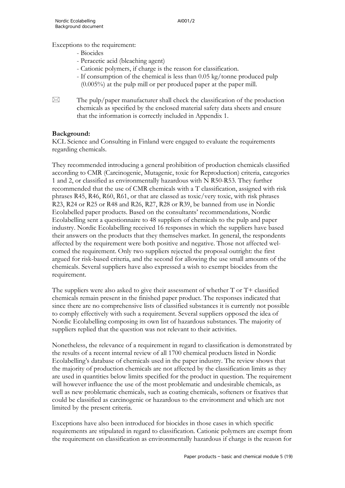Exceptions to the requirement:

- Biocides
- Peracetic acid (bleaching agent)
- Cationic polymers, if charge is the reason for classification.
- If consumption of the chemical is less than 0.05 kg/tonne produced pulp (0.005%) at the pulp mill or per produced paper at the paper mill.
- 
- $\boxtimes$  The pulp/paper manufacturer shall check the classification of the production chemicals as specified by the enclosed material safety data sheets and ensure that the information is correctly included in Appendix 1.

#### **Background:**

KCL Science and Consulting in Finland were engaged to evaluate the requirements regarding chemicals.

They recommended introducing a general prohibition of production chemicals classified according to CMR (Carcinogenic, Mutagenic, toxic for Reproduction) criteria, categories 1 and 2, or classified as environmentally hazardous with N R50-R53. They further recommended that the use of CMR chemicals with a T classification, assigned with risk phrases R45, R46, R60, R61, or that are classed as toxic/very toxic, with risk phrases R23, R24 or R25 or R48 and R26, R27, R28 or R39, be banned from use in Nordic Ecolabelled paper products. Based on the consultants' recommendations, Nordic Ecolabelling sent a questionnaire to 48 suppliers of chemicals to the pulp and paper industry. Nordic Ecolabelling received 16 responses in which the suppliers have based their answers on the products that they themselves market. In general, the respondents affected by the requirement were both positive and negative. Those not affected welcomed the requirement. Only two suppliers rejected the proposal outright: the first argued for risk-based criteria, and the second for allowing the use small amounts of the chemicals. Several suppliers have also expressed a wish to exempt biocides from the requirement.

The suppliers were also asked to give their assessment of whether  $T$  or  $T<sup>+</sup>$  classified chemicals remain present in the finished paper product. The responses indicated that since there are no comprehensive lists of classified substances it is currently not possible to comply effectively with such a requirement. Several suppliers opposed the idea of Nordic Ecolabelling composing its own list of hazardous substances. The majority of suppliers replied that the question was not relevant to their activities.

Nonetheless, the relevance of a requirement in regard to classification is demonstrated by the results of a recent internal review of all 1700 chemical products listed in Nordic Ecolabelling's database of chemicals used in the paper industry. The review shows that the majority of production chemicals are not affected by the classification limits as they are used in quantities below limits specified for the product in question. The requirement will however influence the use of the most problematic and undesirable chemicals, as well as new problematic chemicals, such as coating chemicals, softeners or fixatives that could be classified as carcinogenic or hazardous to the environment and which are not limited by the present criteria.

Exceptions have also been introduced for biocides in those cases in which specific requirements are stipulated in regard to classification. Cationic polymers are exempt from the requirement on classification as environmentally hazardous if charge is the reason for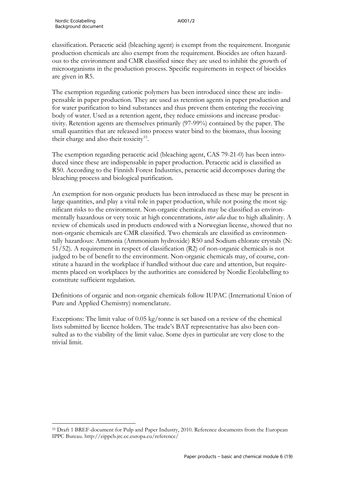classification. Peracetic acid (bleaching agent) is exempt from the requirement. Inorganic production chemicals are also exempt from the requirement. Biocides are often hazardous to the environment and CMR classified since they are used to inhibit the growth of microorganisms in the production process. Specific requirements in respect of biocides are given in R5.

The exemption regarding cationic polymers has been introduced since these are indispensable in paper production. They are used as retention agents in paper production and for water purification to bind substances and thus prevent them entering the receiving body of water. Used as a retention agent, they reduce emissions and increase productivity. Retention agents are themselves primarily (97-99%) contained by the paper. The small quantities that are released into process water bind to the biomass, thus loosing their charge and also their toxicity<sup>[55](#page-64-0)</sup>.

The exemption regarding peracetic acid (bleaching agent, CAS 79-21-0) has been introduced since these are indispensable in paper production. Peracetic acid is classified as R50. According to the Finnish Forest Industries, peracetic acid decomposes during the bleaching process and biological purification.

An exemption for non-organic products has been introduced as these may be present in large quantities, and play a vital role in paper production, while not posing the most significant risks to the environment. Non-organic chemicals may be classified as environmentally hazardous or very toxic at high concentrations, *inter alia* due to high alkalinity. A review of chemicals used in products endowed with a Norwegian license, showed that no non-organic chemicals are CMR classified. Two chemicals are classified as environmentally hazardous: Ammonia (Ammonium hydroxide) R50 and Sodium chlorate crystals (N: 51/52). A requirement in respect of classification (R2) of non-organic chemicals is not judged to be of benefit to the environment. Non-organic chemicals may, of course, constitute a hazard in the workplace if handled without due care and attention, but requirements placed on workplaces by the authorities are considered by Nordic Ecolabelling to constitute sufficient regulation.

Definitions of organic and non-organic chemicals follow IUPAC (International Union of Pure and Applied Chemistry) nomenclature.

Exceptions: The limit value of 0.05 kg/tonne is set based on a review of the chemical lists submitted by licence holders. The trade's BAT representative has also been consulted as to the viability of the limit value. Some dyes in particular are very close to the trivial limit.

<span id="page-64-0"></span><sup>55</sup> Draft 1 BREF-document for Pulp and Paper Industry, 2010. Reference documents from the European IPPC Bureau. http://eippcb.jrc.ec.europa.eu/reference/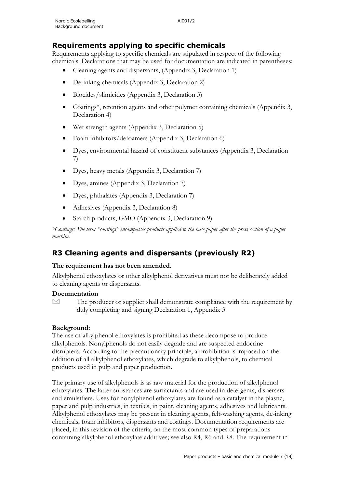## **Requirements applying to specific chemicals**

Requirements applying to specific chemicals are stipulated in respect of the following chemicals. Declarations that may be used for documentation are indicated in parentheses:

- Cleaning agents and dispersants, (Appendix 3, Declaration 1)
- De-inking chemicals (Appendix 3, Declaration 2)
- Biocides/slimicides (Appendix 3, Declaration 3)
- Coatings<sup>\*</sup>, retention agents and other polymer containing chemicals (Appendix 3, Declaration 4)
- Wet strength agents (Appendix 3, Declaration 5)
- Foam inhibitors/defoamers (Appendix 3, Declaration 6)
- Dyes, environmental hazard of constituent substances (Appendix 3, Declaration 7)
- Dyes, heavy metals (Appendix 3, Declaration 7)
- Dyes, amines (Appendix 3, Declaration 7)
- Dyes, phthalates (Appendix 3, Declaration 7)
- Adhesives (Appendix 3, Declaration 8)
- Starch products, GMO (Appendix 3, Declaration 9)

*\*Coatings: The term "coatings" encompasses products applied to the base paper after the press section of a paper machine.*

## **R3 Cleaning agents and dispersants (previously R2)**

## **The requirement has not been amended.**

Alkylphenol ethoxylates or other alkylphenol derivatives must not be deliberately added to cleaning agents or dispersants.

#### **Documentation**

 $\boxtimes$  The producer or supplier shall demonstrate compliance with the requirement by duly completing and signing Declaration 1, Appendix 3.

## **Background:**

The use of alkylphenol ethoxylates is prohibited as these decompose to produce alkylphenols. Nonylphenols do not easily degrade and are suspected endocrine disrupters. According to the precautionary principle, a prohibition is imposed on the addition of all alkylphenol ethoxylates, which degrade to alkylphenols, to chemical products used in pulp and paper production.

The primary use of alkylphenols is as raw material for the production of alkylphenol ethoxylates. The latter substances are surfactants and are used in detergents, dispersers and emulsifiers. Uses for nonylphenol ethoxylates are found as a catalyst in the plastic, paper and pulp industries, in textiles, in paint, cleaning agents, adhesives and lubricants. Alkylphenol ethoxylates may be present in cleaning agents, felt-washing agents, de-inking chemicals, foam inhibitors, dispersants and coatings. Documentation requirements are placed, in this revision of the criteria, on the most common types of preparations containing alkylphenol ethoxylate additives; see also R4, R6 and R8. The requirement in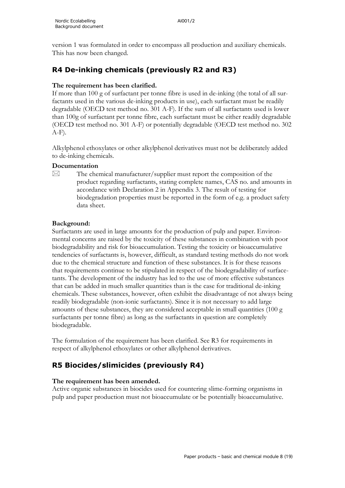version 1 was formulated in order to encompass all production and auxiliary chemicals. This has now been changed.

# **R4 De-inking chemicals (previously R2 and R3)**

## **The requirement has been clarified.**

If more than 100 g of surfactant per tonne fibre is used in de-inking (the total of all surfactants used in the various de-inking products in use), each surfactant must be readily degradable (OECD test method no. 301 A-F). If the sum of all surfactants used is lower than 100g of surfactant per tonne fibre, each surfactant must be either readily degradable (OECD test method no. 301 A-F) or potentially degradable (OECD test method no. 302  $A-F$ ).

Alkylphenol ethoxylates or other alkylphenol derivatives must not be deliberately added to de-inking chemicals.

## **Documentation**

 $\boxtimes$  The chemical manufacturer/supplier must report the composition of the product regarding surfactants, stating complete names, CAS no. and amounts in accordance with Declaration 2 in Appendix 3. The result of testing for biodegradation properties must be reported in the form of e.g. a product safety data sheet.

## **Background:**

Surfactants are used in large amounts for the production of pulp and paper. Environmental concerns are raised by the toxicity of these substances in combination with poor biodegradability and risk for bioaccumulation. Testing the toxicity or bioaccumulative tendencies of surfactants is, however, difficult, as standard testing methods do not work due to the chemical structure and function of these substances. It is for these reasons that requirements continue to be stipulated in respect of the biodegradability of surfacetants. The development of the industry has led to the use of more effective substances that can be added in much smaller quantities than is the case for traditional de-inking chemicals. These substances, however, often exhibit the disadvantage of not always being readily biodegradable (non-ionic surfactants). Since it is not necessary to add large amounts of these substances, they are considered acceptable in small quantities (100 g surfactants per tonne fibre) as long as the surfactants in question are completely biodegradable.

The formulation of the requirement has been clarified. See R3 for requirements in respect of alkylphenol ethoxylates or other alkylphenol derivatives.

# **R5 Biocides/slimicides (previously R4)**

## **The requirement has been amended.**

Active organic substances in biocides used for countering slime-forming organisms in pulp and paper production must not bioaccumulate or be potentially bioaccumulative.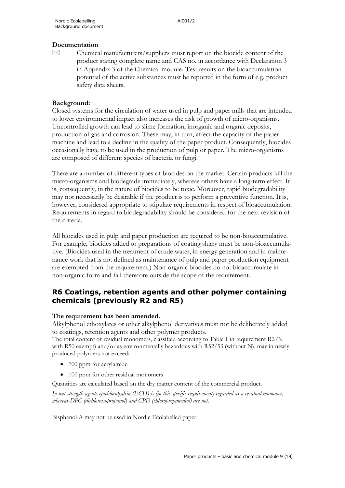#### **Documentation**

 $\boxtimes$  Chemical manufacturers/suppliers must report on the biocide content of the product stating complete name and CAS no. in accordance with Declaration 3 in Appendix 3 of the Chemical module. Test results on the bioaccumulation potential of the active substances must be reported in the form of e.g. product safety data sheets.

#### **Background:**

Closed systems for the circulation of water used in pulp and paper mills that are intended to lower environmental impact also increases the risk of growth of micro-organisms. Uncontrolled growth can lead to slime formation, inorganic and organic deposits, production of gas and corrosion. These may, in turn, affect the capacity of the paper machine and lead to a decline in the quality of the paper product. Consequently, biocides occasionally have to be used in the production of pulp or paper. The micro-organisms are composed of different species of bacteria or fungi.

There are a number of different types of biocides on the market. Certain products kill the micro-organisms and biodegrade immediately, whereas others have a long-term effect. It is, consequently, in the nature of biocides to be toxic. Moreover, rapid biodegradability may not necessarily be desirable if the product is to perform a preventive function. It is, however, considered appropriate to stipulate requirements in respect of bioaccumulation. Requirements in regard to biodegradability should be considered for the next revision of the criteria.

All biocides used in pulp and paper production are required to be non-bioaccumulative. For example, biocides added to preparations of coating slurry must be non-bioaccumulative. (Biocides used in the treatment of crude water, in energy generation and in maintenance work that is not defined as maintenance of pulp and paper production equipment are exempted from the requirement.) Non-organic biocides do not bioaccumulate in non-organic form and fall therefore outside the scope of the requirement.

## **R6 Coatings, retention agents and other polymer containing chemicals (previously R2 and R5)**

#### **The requirement has been amended.**

Alkylphenol ethoxylates or other alkylphenol derivatives must not be deliberately added to coatings, retention agents and other polymer products.

The total content of residual monomers, classified according to Table 1 in requirement R2 (N with R50 exempt) and/or as environmentally hazardous with R52/53 (without N), may in newly produced polymers not exceed:

- 700 ppm for acrylamide
- 100 ppm for other residual monomers

Quantities are calculated based on the dry matter content of the commercial product.

*In wet strength agents epichlorohydrin (ECH) is (in this specific requirement) regarded as a residual monomer, whereas DPC (dichloroisopropanol) and CPD (chloropropanediol) are not.*

Bisphenol A may not be used in Nordic Ecolabelled paper.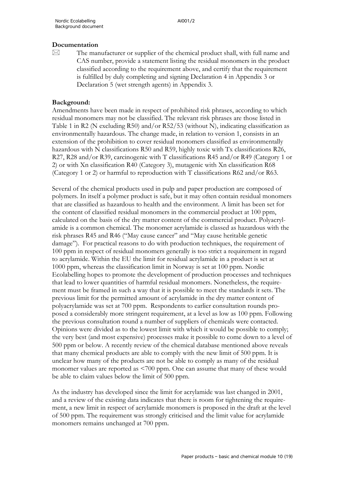#### **Documentation**

 $\boxtimes$  The manufacturer or supplier of the chemical product shall, with full name and CAS number, provide a statement listing the residual monomers in the product classified according to the requirement above, and certify that the requirement is fulfilled by duly completing and signing Declaration 4 in Appendix 3 or Declaration 5 (wet strength agents) in Appendix 3.

#### **Background:**

Amendments have been made in respect of prohibited risk phrases, according to which residual monomers may not be classified. The relevant risk phrases are those listed in Table 1 in R2 (N excluding R50) and/or R52/53 (without N), indicating classification as environmentally hazardous. The change made, in relation to version 1, consists in an extension of the prohibition to cover residual monomers classified as environmentally hazardous with N classifications R50 and R59, highly toxic with Tx classifications R26, R27, R28 and/or R39, carcinogenic with T classifications R45 and/or R49 (Category 1 or 2) or with Xn classification R40 (Category 3), mutagenic with Xn classification R68 (Category 1 or 2) or harmful to reproduction with T classifications R62 and/or R63.

Several of the chemical products used in pulp and paper production are composed of polymers. In itself a polymer product is safe, but it may often contain residual monomers that are classified as hazardous to health and the environment. A limit has been set for the content of classified residual monomers in the commercial product at 100 ppm, calculated on the basis of the dry matter content of the commercial product. Polyacrylamide is a common chemical. The monomer acrylamide is classed as hazardous with the risk phrases R45 and R46 ("May cause cancer" and "May cause heritable genetic damage"). For practical reasons to do with production techniques, the requirement of 100 ppm in respect of residual monomers generally is too strict a requirement in regard to acrylamide. Within the EU the limit for residual acrylamide in a product is set at 1000 ppm, whereas the classification limit in Norway is set at 100 ppm. Nordic Ecolabelling hopes to promote the development of production processes and techniques that lead to lower quantities of harmful residual monomers. Nonetheless, the requirement must be framed in such a way that it is possible to meet the standards it sets. The previous limit for the permitted amount of acrylamide in the dry matter content of polyacrylamide was set at 700 ppm. Respondents to earlier consultation rounds proposed a considerably more stringent requirement, at a level as low as 100 ppm. Following the previous consultation round a number of suppliers of chemicals were contacted. Opinions were divided as to the lowest limit with which it would be possible to comply; the very best (and most expensive) processes make it possible to come down to a level of 500 ppm or below. A recently review of the chemical database mentioned above reveals that many chemical products are able to comply with the new limit of 500 ppm. It is unclear how many of the products are not be able to comply as many of the residual monomer values are reported as <700 ppm. One can assume that many of these would be able to claim values below the limit of 500 ppm.

As the industry has developed since the limit for acrylamide was last changed in 2001, and a review of the existing data indicates that there is room for tightening the requirement, a new limit in respect of acrylamide monomers is proposed in the draft at the level of 500 ppm. The requirement was strongly criticised and the limit value for acrylamide monomers remains unchanged at 700 ppm.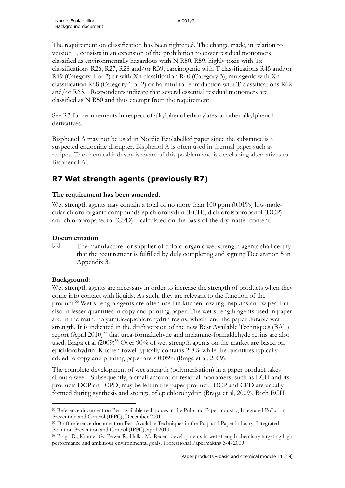The requirement on classification has been tightened. The change made, in relation to version 1, consists in an extension of the prohibition to cover residual monomers classified as environmentally hazardous with N R50, R59, highly toxic with Tx classifications R26, R27, R28 and/or R39, carcinogenic with T classifications R45 and/or R49 (Category 1 or 2) or with Xn classification R40 (Category 3), mutagenic with Xn classification R68 (Category 1 or 2) or harmful to reproduction with T classifications R62 and/or R63. Respondents indicate that several essential residual monomers are classified as N R50 and thus exempt from the requirement.

See R3 for requirements in respect of alkylphenol ethoxylates or other alkylphenol derivatives.

Bisphenol A may not be used in Nordic Ecolabelled paper since the substance is a suspected endocrine disrupter. Bisphenol A is often used in thermal paper such as recipes. The chemical industry is aware of this problem and is developing alternatives to B[i](#page-77-0)sphenol A<sup>i</sup>.

## **R7 Wet strength agents (previously R7)**

## **The requirement has been amended.**

Wet strength agents may contain a total of no more than  $100$  ppm  $(0.01\%)$  low-molecular chloro-organic compounds epichlorohydrin (ECH), dichloroisopropanol (DCP) and chloropropanediol (CPD) – calculated on the basis of the dry matter content.

#### **Documentation**

 $\boxtimes$  The manufacturer or supplier of chloro-organic wet strength agents shall certify that the requirement is fulfilled by duly completing and signing Declaration 5 in Appendix 3.

## **Background:**

Wet strength agents are necessary in order to increase the strength of products when they come into contact with liquids. As such, they are relevant to the function of the product.[56](#page-69-0) Wet strength agents are often used in kitchen towling, napkins and wipes, but also in lesser quantities in copy and printing paper. The wet strength agents used in paper are, in the main, polyamide-epichlorohydrin resins, which lend the paper durable wet strength. It is indicated in the draft version of the new Best Available Techniques (BAT) report (April 2010)<sup>[57](#page-69-1)</sup> that urea-formaldehyde and melamine-formaldehyde resins are also used. Braga et al (2009)<sup>58</sup> Over 90% of wet strength agents on the market are based on epichlorohydrin. Kitchen towel typically contains 2-8% while the quantities typically added to copy and printing paper are <0.05% (Braga et al, 2009).

The complete development of wet strength (polymerisation) in a paper product takes about a week. Subsequently, a small amount of residual monomers, such as ECH and its products DCP and CPD, may be left in the paper product. DCP and CPD are usually formed during synthesis and storage of epichlorohydrin (Braga et al, 2009). Both ECH

<span id="page-69-0"></span><sup>56</sup> Reference document on Best available techniques in the Pulp and Paper industry, Integrated Pollution Prevention and Control (IPPC), December 2001

<span id="page-69-1"></span><sup>57</sup> Draft reference document on Best Available Techniques in the Pulp and Paper industry, Integrated Pollution Prevention and Control (IPPC), april 2010

<span id="page-69-2"></span><sup>58</sup> Braga D., Kramer G., Pelzer R., Halko M., Recent developments in wet strength chemistry targeting high performance and ambitious environmental goals, Professional Papermaking 3-4/2009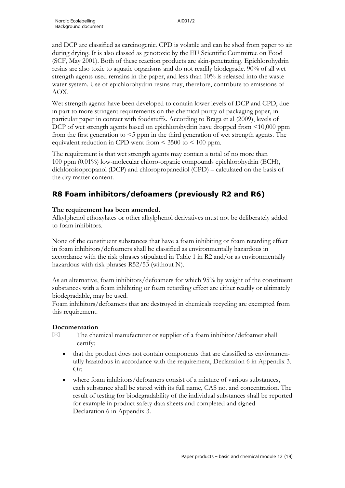and DCP are classified as carcinogenic. CPD is volatile and can be shed from paper to air during drying. It is also classed as genotoxic by the EU Scientific Committee on Food (SCF, May 2001). Both of these reaction products are skin-penetrating. Epichlorohydrin resins are also toxic to aquatic organisms and do not readily biodegrade. 90% of all wet strength agents used remains in the paper, and less than 10% is released into the waste water system. Use of epichlorohydrin resins may, therefore, contribute to emissions of AOX.

Wet strength agents have been developed to contain lower levels of DCP and CPD, due in part to more stringent requirements on the chemical purity of packaging paper, in particular paper in contact with foodstuffs. According to Braga et al (2009), levels of DCP of wet strength agents based on epichlorohydrin have dropped from <10,000 ppm from the first generation to <5 ppm in the third generation of wet strength agents. The equivalent reduction in CPD went from < 3500 to < 100 ppm.

The requirement is that wet strength agents may contain a total of no more than 100 ppm (0.01%) low-molecular chloro-organic compounds epichlorohydrin (ECH), dichloroisopropanol (DCP) and chloropropanediol (CPD) – calculated on the basis of the dry matter content.

## **R8 Foam inhibitors/defoamers (previously R2 and R6)**

## **The requirement has been amended.**

Alkylphenol ethoxylates or other alkylphenol derivatives must not be deliberately added to foam inhibitors.

None of the constituent substances that have a foam inhibiting or foam retarding effect in foam inhibitors/defoamers shall be classified as environmentally hazardous in accordance with the risk phrases stipulated in Table 1 in R2 and/or as environmentally hazardous with risk phrases R52/53 (without N).

As an alternative, foam inhibitors/defoamers for which 95% by weight of the constituent substances with a foam inhibiting or foam retarding effect are either readily or ultimately biodegradable, may be used.

Foam inhibitors/defoamers that are destroyed in chemicals recycling are exempted from this requirement.

## **Documentation**

 $\boxtimes$  The chemical manufacturer or supplier of a foam inhibitor/defoamer shall certify:

- that the product does not contain components that are classified as environmentally hazardous in accordance with the requirement, Declaration 6 in Appendix 3. Or:
- where foam inhibitors/defoamers consist of a mixture of various substances, each substance shall be stated with its full name, CAS no. and concentration. The result of testing for biodegradability of the individual substances shall be reported for example in product safety data sheets and completed and signed Declaration 6 in Appendix 3.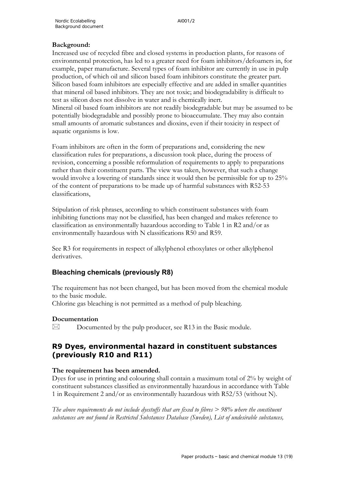## **Background:**

Increased use of recycled fibre and closed systems in production plants, for reasons of environmental protection, has led to a greater need for foam inhibitors/defoamers in, for example, paper manufacture. Several types of foam inhibitor are currently in use in pulp production, of which oil and silicon based foam inhibitors constitute the greater part. Silicon based foam inhibitors are especially effective and are added in smaller quantities that mineral oil based inhibitors. They are not toxic; and biodegradability is difficult to test as silicon does not dissolve in water and is chemically inert. Mineral oil based foam inhibitors are not readily biodegradable but may be assumed to be potentially biodegradable and possibly prone to bioaccumulate. They may also contain small amounts of aromatic substances and dioxins, even if their toxicity in respect of aquatic organisms is low.

Foam inhibitors are often in the form of preparations and, considering the new classification rules for preparations, a discussion took place, during the process of revision, concerning a possible reformulation of requirements to apply to preparations rather than their constituent parts. The view was taken, however, that such a change would involve a lowering of standards since it would then be permissible for up to 25% of the content of preparations to be made up of harmful substances with R52-53 classifications,

Stipulation of risk phrases, according to which constituent substances with foam inhibiting functions may not be classified, has been changed and makes reference to classification as environmentally hazardous according to Table 1 in R2 and/or as environmentally hazardous with N classifications R50 and R59.

See R3 for requirements in respect of alkylphenol ethoxylates or other alkylphenol derivatives.

## **Bleaching chemicals (previously R8)**

The requirement has not been changed, but has been moved from the chemical module to the basic module.

Chlorine gas bleaching is not permitted as a method of pulp bleaching.

## **Documentation**

 $\boxtimes$  Documented by the pulp producer, see R13 in the Basic module.

## **R9 Dyes, environmental hazard in constituent substances (previously R10 and R11)**

## **The requirement has been amended.**

Dyes for use in printing and colouring shall contain a maximum total of 2% by weight of constituent substances classified as environmentally hazardous in accordance with Table 1 in Requirement 2 and/or as environmentally hazardous with R52/53 (without N).

*The above requirements do not include dyestuffs that are fixed to fibres > 98% where the constituent substances are not found in Restricted Substances Database (Sweden), List of undesirable substances,*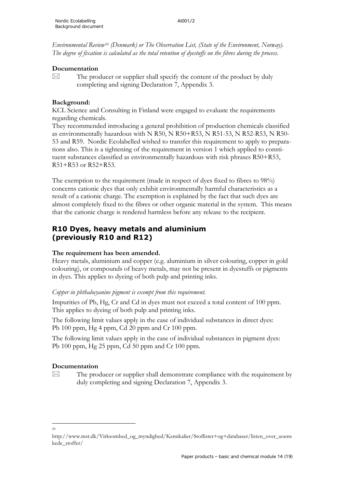*Environmental Review[59](#page-72-0) (Denmark) or The Observation List, (State of the Environment, Norway). The degree of fixation is calculated as the total retention of dyestuffs on the fibres during the process.*

#### **Documentation**

 $\boxtimes$  The producer or supplier shall specify the content of the product by duly completing and signing Declaration 7, Appendix 3.

#### **Background:**

KCL Science and Consulting in Finland were engaged to evaluate the requirements regarding chemicals.

They recommended introducing a general prohibition of production chemicals classified as environmentally hazardous with N R50, N R50+R53, N R51-53, N R52-R53, N R50- 53 and R59. Nordic Ecolabelled wished to transfer this requirement to apply to preparations also. This is a tightening of the requirement in version 1 which applied to constituent substances classified as environmentally hazardous with risk phrases R50+R53, R51+R53 or R52+R53.

The exemption to the requirement (made in respect of dyes fixed to fibres to 98%) concerns cationic dyes that only exhibit environmentally harmful characteristics as a result of a cationic charge. The exemption is explained by the fact that such dyes are almost completely fixed to the fibres or other organic material in the system. This means that the cationic charge is rendered harmless before any release to the recipient.

## **R10 Dyes, heavy metals and aluminium (previously R10 and R12)**

### **The requirement has been amended.**

Heavy metals, aluminium and copper (e.g. aluminium in silver colouring, copper in gold colouring), or compounds of heavy metals, may not be present in dyestuffs or pigments in dyes. This applies to dyeing of both pulp and printing inks.

#### *Copper in phthalocyanine pigment is exempt from this requirement.*

Impurities of Pb, Hg, Cr and Cd in dyes must not exceed a total content of 100 ppm. This applies to dyeing of both pulp and printing inks.

The following limit values apply in the case of individual substances in direct dyes: Pb 100 ppm, Hg 4 ppm, Cd 20 ppm and Cr 100 ppm.

The following limit values apply in the case of individual substances in pigment dyes: Pb 100 ppm, Hg 25 ppm, Cd 50 ppm and Cr 100 ppm.

### **Documentation**

 $\boxtimes$  The producer or supplier shall demonstrate compliance with the requirement by duly completing and signing Declaration 7, Appendix 3.

<sup>59</sup>

<span id="page-72-0"></span>http://www.mst.dk/Virksomhed\_og\_myndighed/Kemikalier/Stoflister+og+databaser/listen\_over\_uoens kede\_stoffer/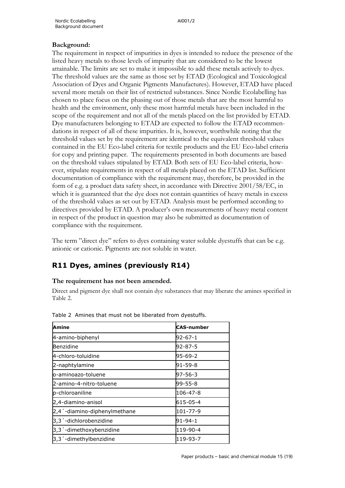### **Background:**

The requirement in respect of impurities in dyes is intended to reduce the presence of the listed heavy metals to those levels of impurity that are considered to be the lowest attainable. The limits are set to make it impossible to add these metals actively to dyes. The threshold values are the same as those set by ETAD (Ecological and Toxicological Association of Dyes and Organic Pigments Manufactures). However, ETAD have placed several more metals on their list of restricted substances. Since Nordic Ecolabelling has chosen to place focus on the phasing out of those metals that are the most harmful to health and the environment, only these most harmful metals have been included in the scope of the requirement and not all of the metals placed on the list provided by ETAD. Dye manufacturers belonging to ETAD are expected to follow the ETAD recommendations in respect of all of these impurities. It is, however, worthwhile noting that the threshold values set by the requirement are identical to the equivalent threshold values contained in the EU Eco-label criteria for textile products and the EU Eco-label criteria for copy and printing paper. The requirements presented in both documents are based on the threshold values stipulated by ETAD. Both sets of EU Eco-label criteria, however, stipulate requirements in respect of all metals placed on the ETAD list. Sufficient documentation of compliance with the requirement may, therefore, be provided in the form of e.g. a product data safety sheet, in accordance with Directive 2001/58/EC, in which it is guaranteed that the dye does not contain quantities of heavy metals in excess of the threshold values as set out by ETAD. Analysis must be performed according to directives provided by ETAD. A producer's own measurements of heavy metal content in respect of the product in question may also be submitted as documentation of compliance with the requirement.

The term "direct dye" refers to dyes containing water soluble dyestuffs that can be e.g. anionic or cationic. Pigments are not soluble in water.

## **R11 Dyes, amines (previously R14)**

#### **The requirement has not been amended.**

Direct and pigment dye shall not contain dye substances that may liberate the amines specified in Table 2.

| Amine                               | <b>CAS-number</b> |
|-------------------------------------|-------------------|
| 4-amino-biphenyl                    | 92-67-1           |
| Benzidine                           | $92 - 87 - 5$     |
| 4-chloro-toluidine                  | 95-69-2           |
| 2-naphtylamine                      | 91-59-8           |
| o-aminoazo-toluene                  | $97 - 56 - 3$     |
| 2-amino-4-nitro-toluene             | 99-55-8           |
| p-chloroaniline                     | 106-47-8          |
| 2,4-diamino-anisol                  | 615-05-4          |
| 2,4 '-diamino-diphenylmethane       | 101-77-9          |
| 3,3 <sup>'</sup> -dichlorobenzidine | 91-94-1           |
| 3,3 '-dimethoxybenzidine            | 119-90-4          |
| 3,3'-dimethylbenzidine              | 119-93-7          |

Table 2 Amines that must not be liberated from dyestuffs.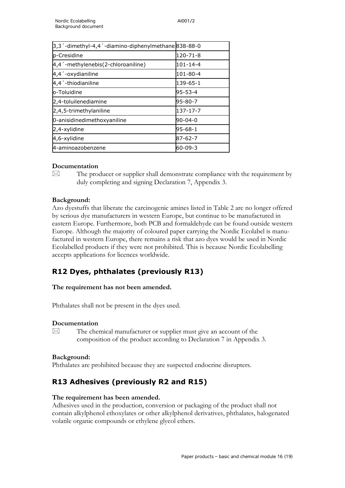| 3,3'-dimethyl-4,4'-diamino-diphenylmethane838-88-0 |                |
|----------------------------------------------------|----------------|
| p-Cresidine                                        | 120-71-8       |
| 4,4 '-methylenebis(2-chloroaniline)                | $101 - 14 - 4$ |
| 4,4'-oxydianiline                                  | 101-80-4       |
| 4,4 <sup>'</sup> -thiodianiline                    | 139-65-1       |
| o-Toluidine                                        | 95-53-4        |
| 2,4-toluilenediamine                               | 95-80-7        |
| 2,4,5-trimethylaniline                             | 137-17-7       |
| 0-anisidinedimethoxyaniline                        | $90 - 04 - 0$  |
| 2,4-xylidine                                       | 95-68-1        |
| 4,6-xylidine                                       | 87-62-7        |
| 4-aminoazobenzene                                  | 60-09-3        |
|                                                    |                |

### **Documentation**

 $\boxtimes$  The producer or supplier shall demonstrate compliance with the requirement by duly completing and signing Declaration 7, Appendix 3.

### **Background:**

Azo dyestuffs that liberate the carcinogenic amines listed in Table 2 are no longer offered by serious dye manufacturers in western Europe, but continue to be manufactured in eastern Europe. Furthermore, both PCB and formaldehyde can be found outside western Europe. Although the majority of coloured paper carrying the Nordic Ecolabel is manufactured in western Europe, there remains a risk that azo dyes would be used in Nordic Ecolabelled products if they were not prohibited. This is because Nordic Ecolabelling accepts applications for licences worldwide.

# **R12 Dyes, phthalates (previously R13)**

### **The requirement has not been amended.**

Phthalates shall not be present in the dyes used.

### **Documentation**

 $\boxtimes$  The chemical manufacturer or supplier must give an account of the composition of the product according to Declaration 7 in Appendix 3.

#### **Background:**

Phthalates are prohibited because they are suspected endocrine disrupters.

## **R13 Adhesives (previously R2 and R15)**

#### **The requirement has been amended.**

Adhesives used in the production, conversion or packaging of the product shall not contain alkylphenol ethoxylates or other alkylphenol derivatives, phthalates, halogenated volatile organic compounds or ethylene glycol ethers.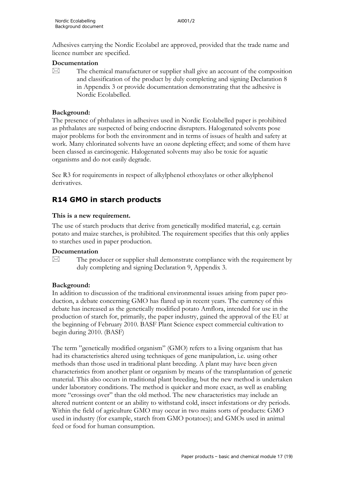Adhesives carrying the Nordic Ecolabel are approved, provided that the trade name and licence number are specified.

#### **Documentation**

 $\boxtimes$  The chemical manufacturer or supplier shall give an account of the composition and classification of the product by duly completing and signing Declaration 8 in Appendix 3 or provide documentation demonstrating that the adhesive is Nordic Ecolabelled.

#### **Background:**

The presence of phthalates in adhesives used in Nordic Ecolabelled paper is prohibited as phthalates are suspected of being endocrine disrupters. Halogenated solvents pose major problems for both the environment and in terms of issues of health and safety at work. Many chlorinated solvents have an ozone depleting effect; and some of them have been classed as carcinogenic. Halogenated solvents may also be toxic for aquatic organisms and do not easily degrade.

See R3 for requirements in respect of alkylphenol ethoxylates or other alkylphenol derivatives.

## **R14 GMO in starch products**

### **This is a new requirement.**

The use of starch products that derive from genetically modified material, e.g. certain potato and maize starches, is prohibited. The requirement specifies that this only applies to starches used in paper production.

### **Documentation**

 $\boxtimes$  The producer or supplier shall demonstrate compliance with the requirement by duly completing and signing Declaration 9, Appendix 3.

### **Background:**

In addition to discussion of the traditional environmental issues arising from paper production, a debate concerning GMO has flared up in recent years. The currency of this debate has increased as the genetically modified potato Amflora, intended for use in the production of starch for, primarily, the paper industry, gained the approval of the EU at the beginning of February 2010. BASF Plant Science expect commercial cultivation to begin during 2010. (BASF)

The term "genetically modified organism" (GMO) refers to a living organism that has had its characteristics altered using techniques of gene manipulation, i.e. using other methods than those used in traditional plant breeding. A plant may have been given characteristics from another plant or organism by means of the transplantation of genetic material. This also occurs in traditional plant breeding, but the new method is undertaken under laboratory conditions. The method is quicker and more exact, as well as enabling more "crossings over" than the old method. The new characteristics may include an altered nutrient content or an ability to withstand cold, insect infestations or dry periods. Within the field of agriculture GMO may occur in two mains sorts of products: GMO used in industry (for example, starch from GMO potatoes); and GMOs used in animal feed or food for human consumption.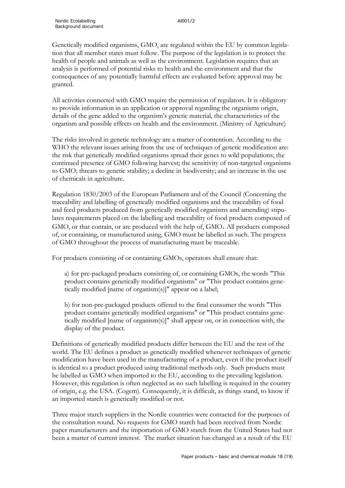Genetically modified organisms, GMO, are regulated within the EU by common legislation that all member states must follow. The purpose of the legislation is to protect the health of people and animals as well as the environment. Legislation requires that an analysis is performed of potential risks to health and the environment and that the consequences of any potentially harmful effects are evaluated before approval may be granted.

All activities connected with GMO require the permission of regulators. It is obligatory to provide information in an application or approval regarding the organisms origin, details of the gene added to the organism's genetic material, the characteristics of the organism and possible effects on health and the environment. (Ministry of Agriculture)

The risks involved in genetic technology are a matter of contention. According to the WHO the relevant issues arising from the use of techniques of genetic modification are: the risk that genetically modified organisms spread their genes to wild populations; the continued presence of GMO following harvest; the sensitivity of non-targeted organisms to GMO; threats to genetic stability; a decline in biodiversity; and an increase in the use of chemicals in agriculture.

Regulation 1830/2003 of the European Parliament and of the Council (Concerning the traceability and labelling of genetically modified organisms and the traceability of food and feed products produced from genetically modified organisms and amending) stipulates requirements placed on the labelling and traceability of food products composed of GMO, or that contain, or are produced with the help of, GMO. All products composed of, or containing, or manufactured using, GMO must be labelled as such. The progress of GMO throughout the process of manufacturing must be traceable.

For products consisting of or containing GMOs, operators shall ensure that:

a) for pre-packaged products consisting of, or containing GMOs, the words "This product contains genetically modified organisms" or "This product contains genetically modified [name of organism(s)]" appear on a label;

b) for non-pre-packaged products offered to the final consumer the words "This product contains genetically modified organisms" or "This product contains genetically modified [name of organism(s)]" shall appear on, or in connection with, the display of the product.

Definitions of genetically modified products differ between the EU and the rest of the world. The EU defines a product as genetically modified whenever techniques of genetic modification have been used in the manufacturing of a product, even if the product itself is identical to a product produced using traditional methods only. Such products must be labelled as GMO when imported to the EU, according to the prevailing legislation. However, this regulation is often neglected as no such labelling is required in the country of origin, e.g. the USA. (Cogem). Consequently, it is difficult, as things stand, to know if an imported starch is genetically modified or not.

Three major starch suppliers in the Nordic countries were contacted for the purposes of the consultation round. No requests for GMO starch had been received from Nordic paper manufacturers and the importation of GMO starch from the United States had not been a matter of current interest. The market situation has changed as a result of the EU